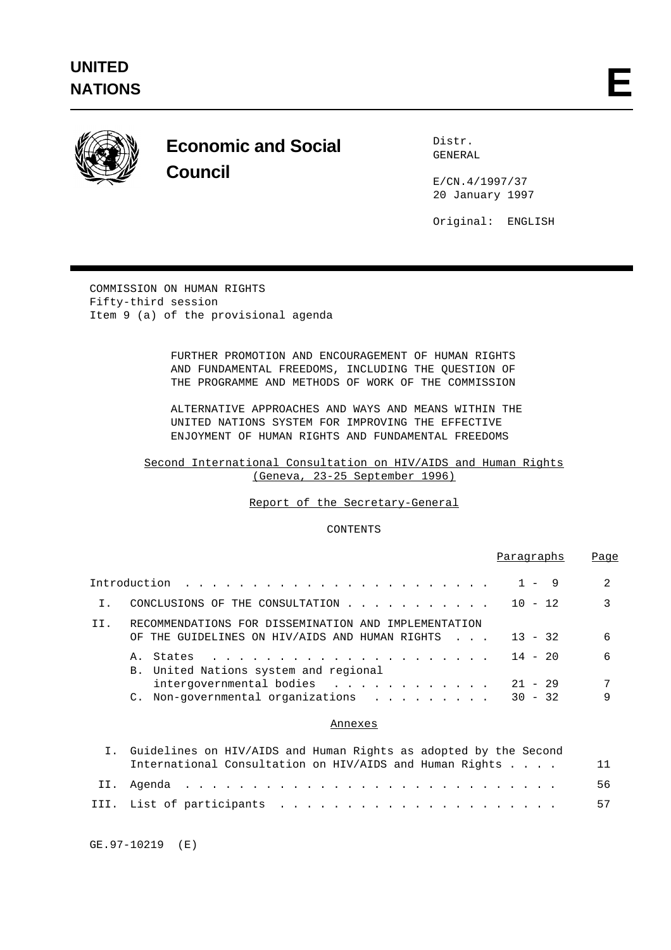

# **Economic and Social Council**

 Distr. GENERAL

 E/CN.4/1997/37 20 January 1997

Original: ENGLISH

COMMISSION ON HUMAN RIGHTS Fifty-third session Item 9 (a) of the provisional agenda

> FURTHER PROMOTION AND ENCOURAGEMENT OF HUMAN RIGHTS AND FUNDAMENTAL FREEDOMS, INCLUDING THE QUESTION OF THE PROGRAMME AND METHODS OF WORK OF THE COMMISSION

ALTERNATIVE APPROACHES AND WAYS AND MEANS WITHIN THE UNITED NATIONS SYSTEM FOR IMPROVING THE EFFECTIVE ENJOYMENT OF HUMAN RIGHTS AND FUNDAMENTAL FREEDOMS

# Second International Consultation on HIV/AIDS and Human Rights (Geneva, 23-25 September 1996)

Report of the Secretary-General

## CONTENTS

|     |                                                                                                        | Paragraphs             | Page |
|-----|--------------------------------------------------------------------------------------------------------|------------------------|------|
|     | Introduction                                                                                           | a q                    | 2    |
|     | CONCLUSIONS OF THE CONSULTATION                                                                        | $10 - 12$              |      |
| II. | RECOMMENDATIONS FOR DISSEMINATION AND IMPLEMENTATION<br>OF THE GUIDELINES ON HIV/AIDS AND HUMAN RIGHTS | $\therefore$ $13 - 32$ | 6    |
|     | States<br>Α.<br>B. United Nations system and regional                                                  | $14 - 20$              | 6    |
|     | intergovernmental bodies $\cdots$<br>Non-governmental organizations $\ldots$ , 30 - 32                 | $21 - 29$              | 9    |

## Annexes

| I. Guidelines on HIV/AIDS and Human Rights as adopted by the Second |    |
|---------------------------------------------------------------------|----|
| International Consultation on HIV/AIDS and Human Rights             | 11 |
|                                                                     | 56 |
|                                                                     | 57 |

GE.97-10219 (E)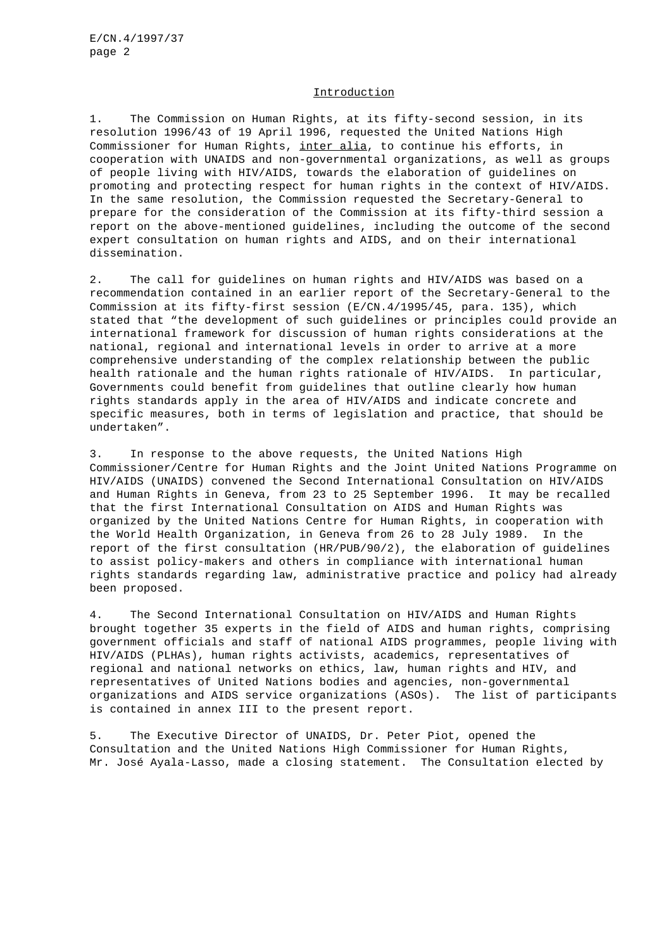## Introduction

1. The Commission on Human Rights, at its fifty-second session, in its resolution 1996/43 of 19 April 1996, requested the United Nations High Commissioner for Human Rights, inter alia, to continue his efforts, in cooperation with UNAIDS and non-governmental organizations, as well as groups of people living with HIV/AIDS, towards the elaboration of guidelines on promoting and protecting respect for human rights in the context of HIV/AIDS. In the same resolution, the Commission requested the Secretary-General to prepare for the consideration of the Commission at its fifty-third session a report on the above-mentioned guidelines, including the outcome of the second expert consultation on human rights and AIDS, and on their international dissemination.

2. The call for guidelines on human rights and HIV/AIDS was based on a recommendation contained in an earlier report of the Secretary-General to the Commission at its fifty-first session (E/CN.4/1995/45, para. 135), which stated that "the development of such guidelines or principles could provide an international framework for discussion of human rights considerations at the national, regional and international levels in order to arrive at a more comprehensive understanding of the complex relationship between the public health rationale and the human rights rationale of HIV/AIDS. In particular, Governments could benefit from guidelines that outline clearly how human rights standards apply in the area of HIV/AIDS and indicate concrete and specific measures, both in terms of legislation and practice, that should be undertaken".

3. In response to the above requests, the United Nations High Commissioner/Centre for Human Rights and the Joint United Nations Programme on HIV/AIDS (UNAIDS) convened the Second International Consultation on HIV/AIDS and Human Rights in Geneva, from 23 to 25 September 1996. It may be recalled that the first International Consultation on AIDS and Human Rights was organized by the United Nations Centre for Human Rights, in cooperation with the World Health Organization, in Geneva from 26 to 28 July 1989. In the report of the first consultation (HR/PUB/90/2), the elaboration of guidelines to assist policy-makers and others in compliance with international human rights standards regarding law, administrative practice and policy had already been proposed.

4. The Second International Consultation on HIV/AIDS and Human Rights brought together 35 experts in the field of AIDS and human rights, comprising government officials and staff of national AIDS programmes, people living with HIV/AIDS (PLHAs), human rights activists, academics, representatives of regional and national networks on ethics, law, human rights and HIV, and representatives of United Nations bodies and agencies, non-governmental organizations and AIDS service organizations (ASOs). The list of participants is contained in annex III to the present report.

5. The Executive Director of UNAIDS, Dr. Peter Piot, opened the Consultation and the United Nations High Commissioner for Human Rights, Mr. José Ayala-Lasso, made a closing statement. The Consultation elected by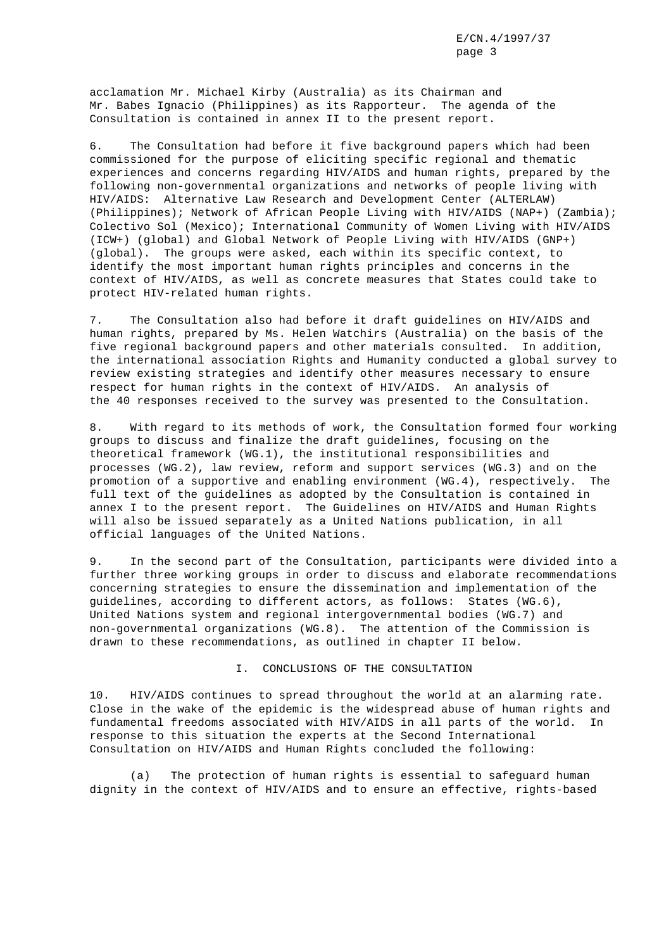acclamation Mr. Michael Kirby (Australia) as its Chairman and Mr. Babes Ignacio (Philippines) as its Rapporteur. The agenda of the Consultation is contained in annex II to the present report.

6. The Consultation had before it five background papers which had been commissioned for the purpose of eliciting specific regional and thematic experiences and concerns regarding HIV/AIDS and human rights, prepared by the following non-governmental organizations and networks of people living with HIV/AIDS: Alternative Law Research and Development Center (ALTERLAW) (Philippines); Network of African People Living with HIV/AIDS (NAP+) (Zambia); Colectivo Sol (Mexico); International Community of Women Living with HIV/AIDS (ICW+) (global) and Global Network of People Living with HIV/AIDS (GNP+) (global). The groups were asked, each within its specific context, to identify the most important human rights principles and concerns in the context of HIV/AIDS, as well as concrete measures that States could take to protect HIV-related human rights.

7. The Consultation also had before it draft guidelines on HIV/AIDS and human rights, prepared by Ms. Helen Watchirs (Australia) on the basis of the five regional background papers and other materials consulted. In addition, the international association Rights and Humanity conducted a global survey to review existing strategies and identify other measures necessary to ensure respect for human rights in the context of HIV/AIDS. An analysis of the 40 responses received to the survey was presented to the Consultation.

8. With regard to its methods of work, the Consultation formed four working groups to discuss and finalize the draft guidelines, focusing on the theoretical framework (WG.1), the institutional responsibilities and processes (WG.2), law review, reform and support services (WG.3) and on the promotion of a supportive and enabling environment (WG.4), respectively. The full text of the guidelines as adopted by the Consultation is contained in annex I to the present report. The Guidelines on HIV/AIDS and Human Rights will also be issued separately as a United Nations publication, in all official languages of the United Nations.

9. In the second part of the Consultation, participants were divided into a further three working groups in order to discuss and elaborate recommendations concerning strategies to ensure the dissemination and implementation of the guidelines, according to different actors, as follows: States (WG.6), United Nations system and regional intergovernmental bodies (WG.7) and non-governmental organizations (WG.8). The attention of the Commission is drawn to these recommendations, as outlined in chapter II below.

### I. CONCLUSIONS OF THE CONSULTATION

10. HIV/AIDS continues to spread throughout the world at an alarming rate. Close in the wake of the epidemic is the widespread abuse of human rights and fundamental freedoms associated with HIV/AIDS in all parts of the world. In response to this situation the experts at the Second International Consultation on HIV/AIDS and Human Rights concluded the following:

(a) The protection of human rights is essential to safeguard human dignity in the context of HIV/AIDS and to ensure an effective, rights-based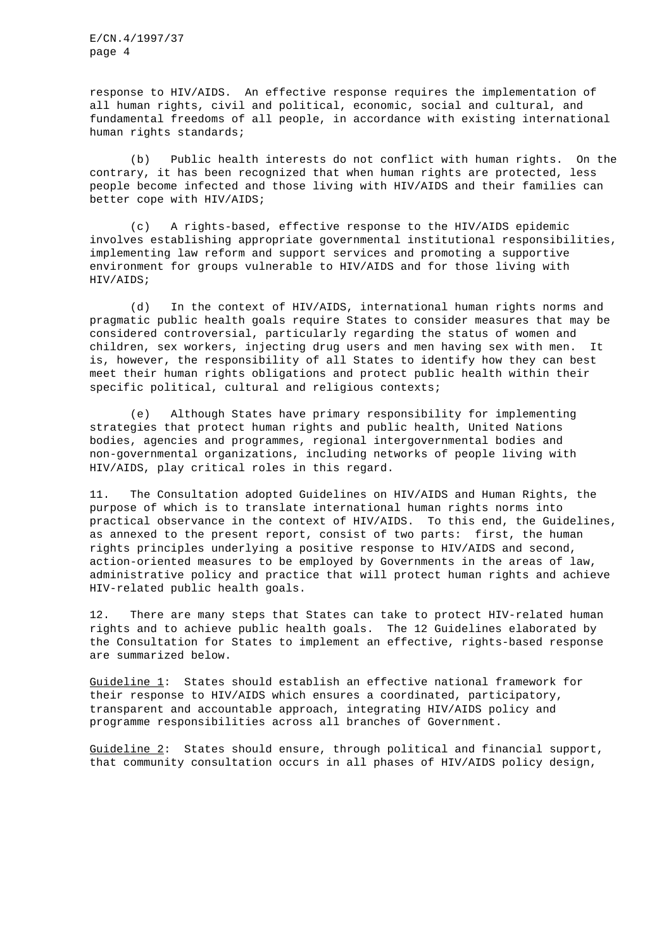response to HIV/AIDS. An effective response requires the implementation of all human rights, civil and political, economic, social and cultural, and fundamental freedoms of all people, in accordance with existing international human rights standards;

(b) Public health interests do not conflict with human rights. On the contrary, it has been recognized that when human rights are protected, less people become infected and those living with HIV/AIDS and their families can better cope with HIV/AIDS;

(c) A rights-based, effective response to the HIV/AIDS epidemic involves establishing appropriate governmental institutional responsibilities, implementing law reform and support services and promoting a supportive environment for groups vulnerable to HIV/AIDS and for those living with HIV/AIDS;

(d) In the context of HIV/AIDS, international human rights norms and pragmatic public health goals require States to consider measures that may be considered controversial, particularly regarding the status of women and children, sex workers, injecting drug users and men having sex with men. It is, however, the responsibility of all States to identify how they can best meet their human rights obligations and protect public health within their specific political, cultural and religious contexts;

(e) Although States have primary responsibility for implementing strategies that protect human rights and public health, United Nations bodies, agencies and programmes, regional intergovernmental bodies and non-governmental organizations, including networks of people living with HIV/AIDS, play critical roles in this regard.

11. The Consultation adopted Guidelines on HIV/AIDS and Human Rights, the purpose of which is to translate international human rights norms into practical observance in the context of HIV/AIDS. To this end, the Guidelines, as annexed to the present report, consist of two parts: first, the human rights principles underlying a positive response to HIV/AIDS and second, action-oriented measures to be employed by Governments in the areas of law, administrative policy and practice that will protect human rights and achieve HIV-related public health goals.

12. There are many steps that States can take to protect HIV-related human rights and to achieve public health goals. The 12 Guidelines elaborated by the Consultation for States to implement an effective, rights-based response are summarized below.

Guideline 1: States should establish an effective national framework for their response to HIV/AIDS which ensures a coordinated, participatory, transparent and accountable approach, integrating HIV/AIDS policy and programme responsibilities across all branches of Government.

Guideline 2: States should ensure, through political and financial support, that community consultation occurs in all phases of HIV/AIDS policy design,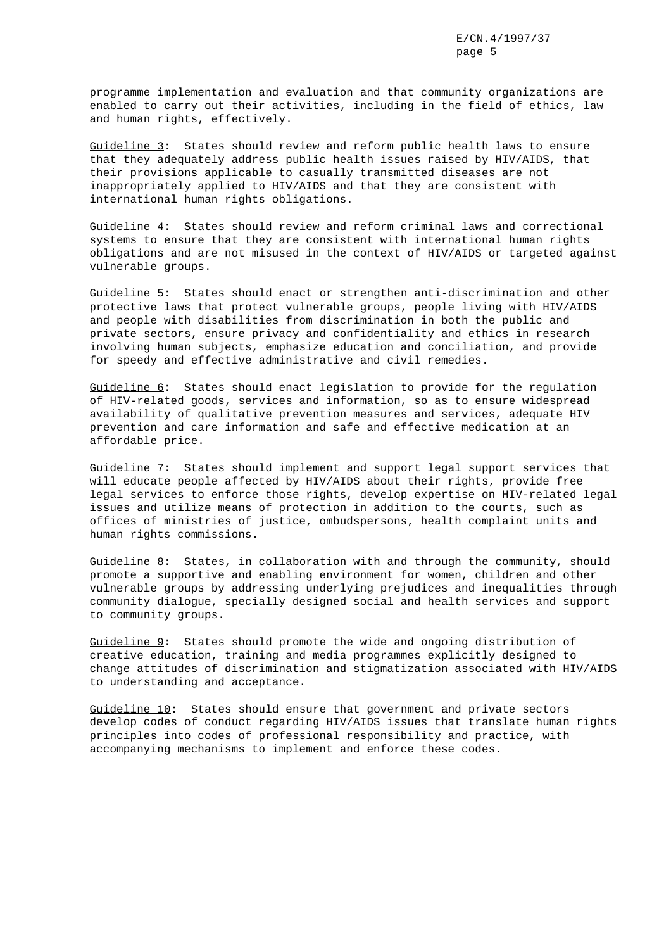programme implementation and evaluation and that community organizations are enabled to carry out their activities, including in the field of ethics, law and human rights, effectively.

Guideline 3: States should review and reform public health laws to ensure that they adequately address public health issues raised by HIV/AIDS, that their provisions applicable to casually transmitted diseases are not inappropriately applied to HIV/AIDS and that they are consistent with international human rights obligations.

Guideline 4: States should review and reform criminal laws and correctional systems to ensure that they are consistent with international human rights obligations and are not misused in the context of HIV/AIDS or targeted against vulnerable groups.

Guideline 5: States should enact or strengthen anti-discrimination and other protective laws that protect vulnerable groups, people living with HIV/AIDS and people with disabilities from discrimination in both the public and private sectors, ensure privacy and confidentiality and ethics in research involving human subjects, emphasize education and conciliation, and provide for speedy and effective administrative and civil remedies.

Guideline 6: States should enact legislation to provide for the regulation of HIV-related goods, services and information, so as to ensure widespread availability of qualitative prevention measures and services, adequate HIV prevention and care information and safe and effective medication at an affordable price.

Guideline 7: States should implement and support legal support services that will educate people affected by HIV/AIDS about their rights, provide free legal services to enforce those rights, develop expertise on HIV-related legal issues and utilize means of protection in addition to the courts, such as offices of ministries of justice, ombudspersons, health complaint units and human rights commissions.

Guideline 8: States, in collaboration with and through the community, should promote a supportive and enabling environment for women, children and other vulnerable groups by addressing underlying prejudices and inequalities through community dialogue, specially designed social and health services and support to community groups.

Guideline 9: States should promote the wide and ongoing distribution of creative education, training and media programmes explicitly designed to change attitudes of discrimination and stigmatization associated with HIV/AIDS to understanding and acceptance.

Guideline 10: States should ensure that government and private sectors develop codes of conduct regarding HIV/AIDS issues that translate human rights principles into codes of professional responsibility and practice, with accompanying mechanisms to implement and enforce these codes.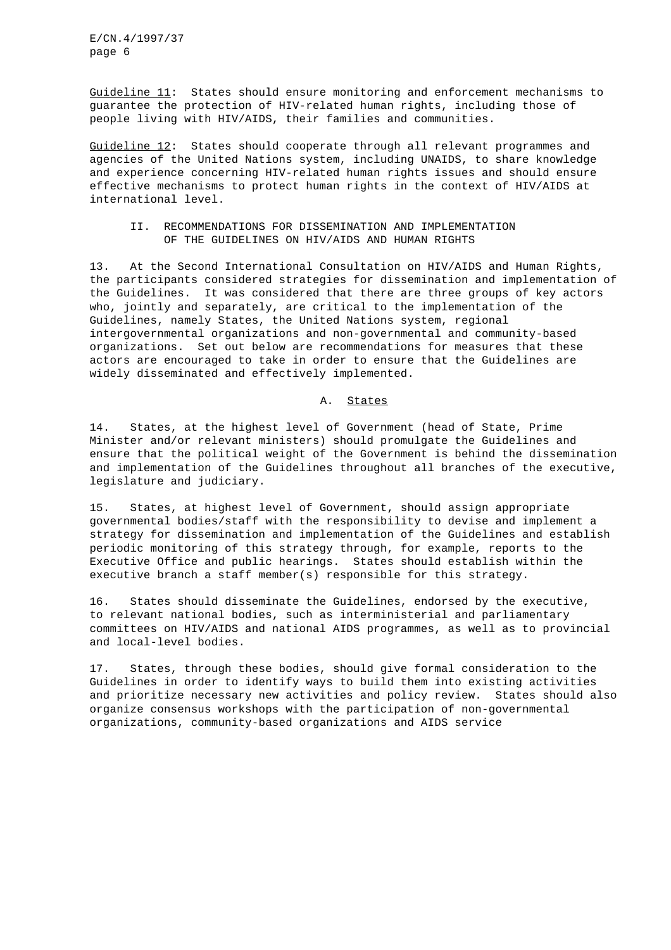Guideline 11: States should ensure monitoring and enforcement mechanisms to guarantee the protection of HIV-related human rights, including those of people living with HIV/AIDS, their families and communities.

Guideline 12: States should cooperate through all relevant programmes and agencies of the United Nations system, including UNAIDS, to share knowledge and experience concerning HIV-related human rights issues and should ensure effective mechanisms to protect human rights in the context of HIV/AIDS at international level.

## II. RECOMMENDATIONS FOR DISSEMINATION AND IMPLEMENTATION OF THE GUIDELINES ON HIV/AIDS AND HUMAN RIGHTS

13. At the Second International Consultation on HIV/AIDS and Human Rights, the participants considered strategies for dissemination and implementation of the Guidelines. It was considered that there are three groups of key actors who, jointly and separately, are critical to the implementation of the Guidelines, namely States, the United Nations system, regional intergovernmental organizations and non-governmental and community-based organizations. Set out below are recommendations for measures that these actors are encouraged to take in order to ensure that the Guidelines are widely disseminated and effectively implemented.

#### A. States

14. States, at the highest level of Government (head of State, Prime Minister and/or relevant ministers) should promulgate the Guidelines and ensure that the political weight of the Government is behind the dissemination and implementation of the Guidelines throughout all branches of the executive, legislature and judiciary.

15. States, at highest level of Government, should assign appropriate governmental bodies/staff with the responsibility to devise and implement a strategy for dissemination and implementation of the Guidelines and establish periodic monitoring of this strategy through, for example, reports to the Executive Office and public hearings. States should establish within the executive branch a staff member(s) responsible for this strategy.

16. States should disseminate the Guidelines, endorsed by the executive, to relevant national bodies, such as interministerial and parliamentary committees on HIV/AIDS and national AIDS programmes, as well as to provincial and local-level bodies.

17. States, through these bodies, should give formal consideration to the Guidelines in order to identify ways to build them into existing activities and prioritize necessary new activities and policy review. States should also organize consensus workshops with the participation of non-governmental organizations, community-based organizations and AIDS service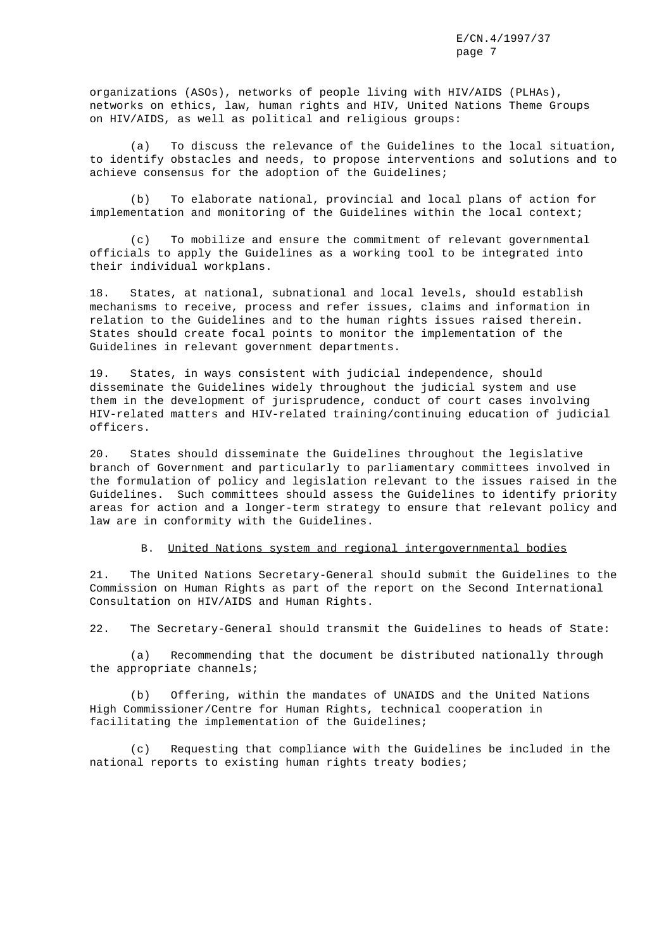organizations (ASOs), networks of people living with HIV/AIDS (PLHAs), networks on ethics, law, human rights and HIV, United Nations Theme Groups on HIV/AIDS, as well as political and religious groups:

(a) To discuss the relevance of the Guidelines to the local situation, to identify obstacles and needs, to propose interventions and solutions and to achieve consensus for the adoption of the Guidelines;

(b) To elaborate national, provincial and local plans of action for implementation and monitoring of the Guidelines within the local context;

(c) To mobilize and ensure the commitment of relevant governmental officials to apply the Guidelines as a working tool to be integrated into their individual workplans.

18. States, at national, subnational and local levels, should establish mechanisms to receive, process and refer issues, claims and information in relation to the Guidelines and to the human rights issues raised therein. States should create focal points to monitor the implementation of the Guidelines in relevant government departments.

19. States, in ways consistent with judicial independence, should disseminate the Guidelines widely throughout the judicial system and use them in the development of jurisprudence, conduct of court cases involving HIV-related matters and HIV-related training/continuing education of judicial officers.

20. States should disseminate the Guidelines throughout the legislative branch of Government and particularly to parliamentary committees involved in the formulation of policy and legislation relevant to the issues raised in the Guidelines. Such committees should assess the Guidelines to identify priority areas for action and a longer-term strategy to ensure that relevant policy and law are in conformity with the Guidelines.

B. United Nations system and regional intergovernmental bodies

21. The United Nations Secretary-General should submit the Guidelines to the Commission on Human Rights as part of the report on the Second International Consultation on HIV/AIDS and Human Rights.

22. The Secretary-General should transmit the Guidelines to heads of State:

(a) Recommending that the document be distributed nationally through the appropriate channels;

(b) Offering, within the mandates of UNAIDS and the United Nations High Commissioner/Centre for Human Rights, technical cooperation in facilitating the implementation of the Guidelines;

(c) Requesting that compliance with the Guidelines be included in the national reports to existing human rights treaty bodies;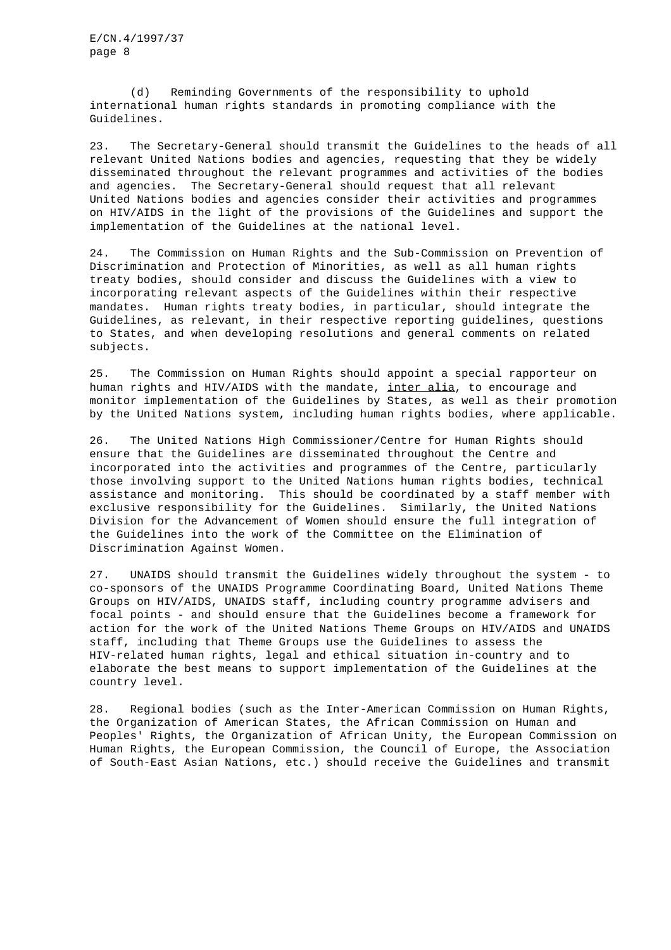(d) Reminding Governments of the responsibility to uphold international human rights standards in promoting compliance with the Guidelines.

23. The Secretary-General should transmit the Guidelines to the heads of all relevant United Nations bodies and agencies, requesting that they be widely disseminated throughout the relevant programmes and activities of the bodies and agencies. The Secretary-General should request that all relevant United Nations bodies and agencies consider their activities and programmes on HIV/AIDS in the light of the provisions of the Guidelines and support the implementation of the Guidelines at the national level.

24. The Commission on Human Rights and the Sub-Commission on Prevention of Discrimination and Protection of Minorities, as well as all human rights treaty bodies, should consider and discuss the Guidelines with a view to incorporating relevant aspects of the Guidelines within their respective mandates. Human rights treaty bodies, in particular, should integrate the Guidelines, as relevant, in their respective reporting guidelines, questions to States, and when developing resolutions and general comments on related subjects.

25. The Commission on Human Rights should appoint a special rapporteur on human rights and HIV/AIDS with the mandate, inter alia, to encourage and monitor implementation of the Guidelines by States, as well as their promotion by the United Nations system, including human rights bodies, where applicable.

26. The United Nations High Commissioner/Centre for Human Rights should ensure that the Guidelines are disseminated throughout the Centre and incorporated into the activities and programmes of the Centre, particularly those involving support to the United Nations human rights bodies, technical assistance and monitoring. This should be coordinated by a staff member with exclusive responsibility for the Guidelines. Similarly, the United Nations Division for the Advancement of Women should ensure the full integration of the Guidelines into the work of the Committee on the Elimination of Discrimination Against Women.

27. UNAIDS should transmit the Guidelines widely throughout the system - to co-sponsors of the UNAIDS Programme Coordinating Board, United Nations Theme Groups on HIV/AIDS, UNAIDS staff, including country programme advisers and focal points - and should ensure that the Guidelines become a framework for action for the work of the United Nations Theme Groups on HIV/AIDS and UNAIDS staff, including that Theme Groups use the Guidelines to assess the HIV-related human rights, legal and ethical situation in-country and to elaborate the best means to support implementation of the Guidelines at the country level.

28. Regional bodies (such as the Inter-American Commission on Human Rights, the Organization of American States, the African Commission on Human and Peoples' Rights, the Organization of African Unity, the European Commission on Human Rights, the European Commission, the Council of Europe, the Association of South-East Asian Nations, etc.) should receive the Guidelines and transmit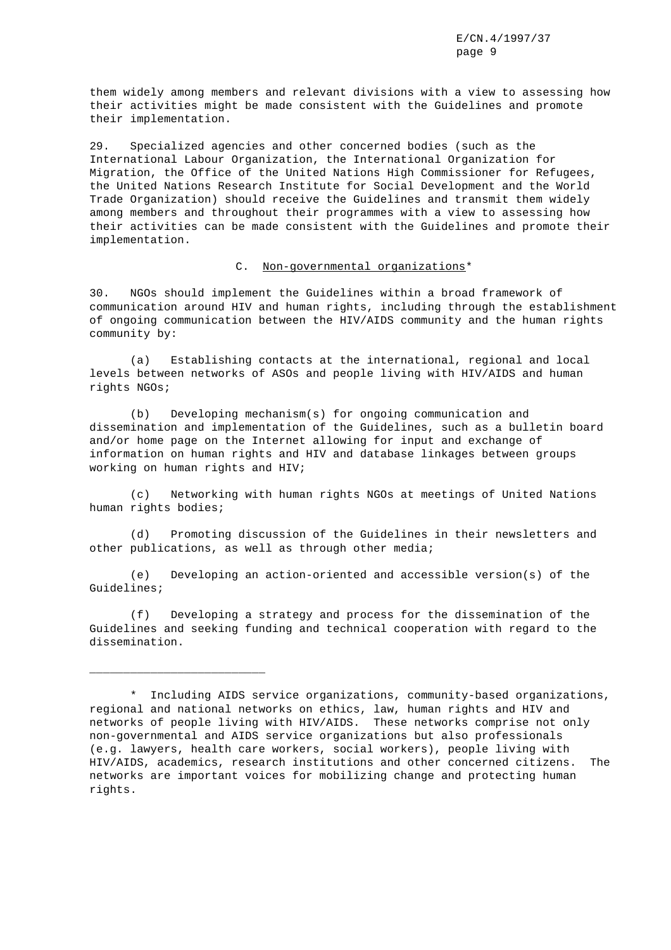them widely among members and relevant divisions with a view to assessing how their activities might be made consistent with the Guidelines and promote their implementation.

29. Specialized agencies and other concerned bodies (such as the International Labour Organization, the International Organization for Migration, the Office of the United Nations High Commissioner for Refugees, the United Nations Research Institute for Social Development and the World Trade Organization) should receive the Guidelines and transmit them widely among members and throughout their programmes with a view to assessing how their activities can be made consistent with the Guidelines and promote their implementation.

## C. Non-governmental organizations\*

30. NGOs should implement the Guidelines within a broad framework of communication around HIV and human rights, including through the establishment of ongoing communication between the HIV/AIDS community and the human rights community by:

(a) Establishing contacts at the international, regional and local levels between networks of ASOs and people living with HIV/AIDS and human rights NGOs;

(b) Developing mechanism(s) for ongoing communication and dissemination and implementation of the Guidelines, such as a bulletin board and/or home page on the Internet allowing for input and exchange of information on human rights and HIV and database linkages between groups working on human rights and HIV;

(c) Networking with human rights NGOs at meetings of United Nations human rights bodies;

(d) Promoting discussion of the Guidelines in their newsletters and other publications, as well as through other media;

(e) Developing an action-oriented and accessible version(s) of the Guidelines;

(f) Developing a strategy and process for the dissemination of the Guidelines and seeking funding and technical cooperation with regard to the dissemination.

\_\_\_\_\_\_\_\_\_\_\_\_\_\_\_\_\_\_\_\_\_\_\_\_\_\_

<sup>\*</sup> Including AIDS service organizations, community-based organizations, regional and national networks on ethics, law, human rights and HIV and networks of people living with HIV/AIDS. These networks comprise not only non-governmental and AIDS service organizations but also professionals (e.g. lawyers, health care workers, social workers), people living with HIV/AIDS, academics, research institutions and other concerned citizens. The networks are important voices for mobilizing change and protecting human rights.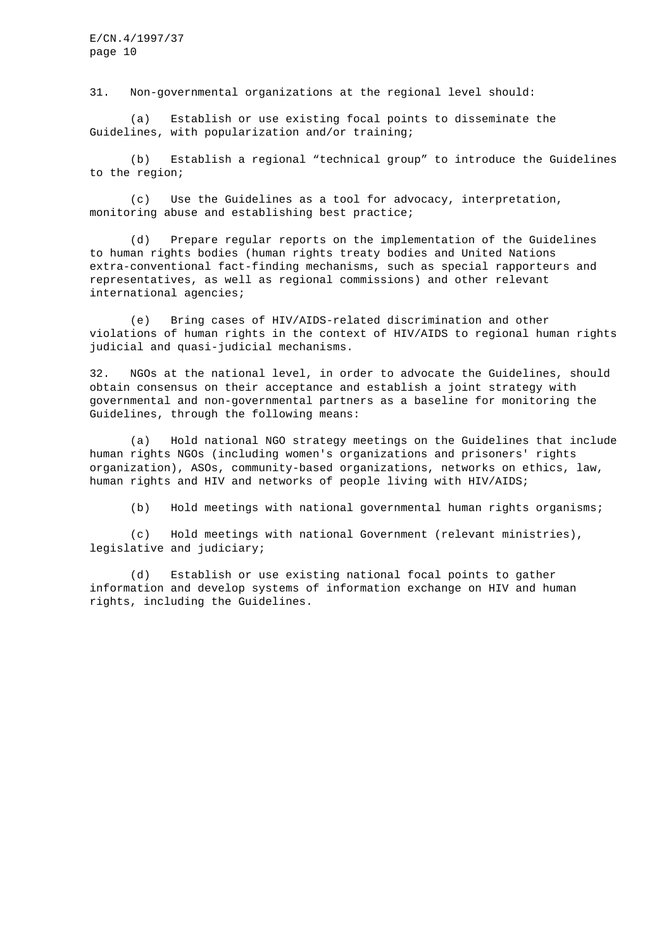31. Non-governmental organizations at the regional level should:

(a) Establish or use existing focal points to disseminate the Guidelines, with popularization and/or training;

(b) Establish a regional "technical group" to introduce the Guidelines to the region;

(c) Use the Guidelines as a tool for advocacy, interpretation, monitoring abuse and establishing best practice;

(d) Prepare regular reports on the implementation of the Guidelines to human rights bodies (human rights treaty bodies and United Nations extra-conventional fact-finding mechanisms, such as special rapporteurs and representatives, as well as regional commissions) and other relevant international agencies;

(e) Bring cases of HIV/AIDS-related discrimination and other violations of human rights in the context of HIV/AIDS to regional human rights judicial and quasi-judicial mechanisms.

32. NGOs at the national level, in order to advocate the Guidelines, should obtain consensus on their acceptance and establish a joint strategy with governmental and non-governmental partners as a baseline for monitoring the Guidelines, through the following means:

(a) Hold national NGO strategy meetings on the Guidelines that include human rights NGOs (including women's organizations and prisoners' rights organization), ASOs, community-based organizations, networks on ethics, law, human rights and HIV and networks of people living with HIV/AIDS;

(b) Hold meetings with national governmental human rights organisms;

(c) Hold meetings with national Government (relevant ministries), legislative and judiciary;

(d) Establish or use existing national focal points to gather information and develop systems of information exchange on HIV and human rights, including the Guidelines.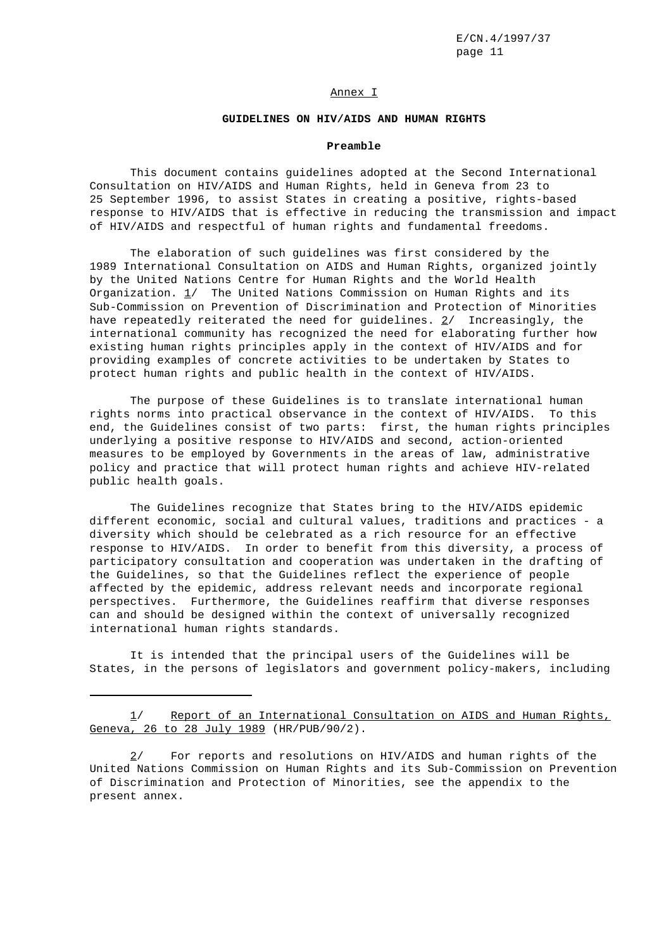## Annex I

## **GUIDELINES ON HIV/AIDS AND HUMAN RIGHTS**

#### **Preamble**

This document contains guidelines adopted at the Second International Consultation on HIV/AIDS and Human Rights, held in Geneva from 23 to 25 September 1996, to assist States in creating a positive, rights-based response to HIV/AIDS that is effective in reducing the transmission and impact of HIV/AIDS and respectful of human rights and fundamental freedoms.

The elaboration of such guidelines was first considered by the 1989 International Consultation on AIDS and Human Rights, organized jointly by the United Nations Centre for Human Rights and the World Health Organization. 1/ The United Nations Commission on Human Rights and its Sub-Commission on Prevention of Discrimination and Protection of Minorities have repeatedly reiterated the need for guidelines.  $2/$  Increasingly, the international community has recognized the need for elaborating further how existing human rights principles apply in the context of HIV/AIDS and for providing examples of concrete activities to be undertaken by States to protect human rights and public health in the context of HIV/AIDS.

The purpose of these Guidelines is to translate international human rights norms into practical observance in the context of HIV/AIDS. To this end, the Guidelines consist of two parts: first, the human rights principles underlying a positive response to HIV/AIDS and second, action-oriented measures to be employed by Governments in the areas of law, administrative policy and practice that will protect human rights and achieve HIV-related public health goals.

The Guidelines recognize that States bring to the HIV/AIDS epidemic different economic, social and cultural values, traditions and practices - a diversity which should be celebrated as a rich resource for an effective response to HIV/AIDS. In order to benefit from this diversity, a process of participatory consultation and cooperation was undertaken in the drafting of the Guidelines, so that the Guidelines reflect the experience of people affected by the epidemic, address relevant needs and incorporate regional perspectives. Furthermore, the Guidelines reaffirm that diverse responses can and should be designed within the context of universally recognized international human rights standards.

It is intended that the principal users of the Guidelines will be States, in the persons of legislators and government policy-makers, including

1/ Report of an International Consultation on AIDS and Human Rights, Geneva, 26 to 28 July 1989 (HR/PUB/90/2).

2/ For reports and resolutions on HIV/AIDS and human rights of the United Nations Commission on Human Rights and its Sub-Commission on Prevention of Discrimination and Protection of Minorities, see the appendix to the present annex.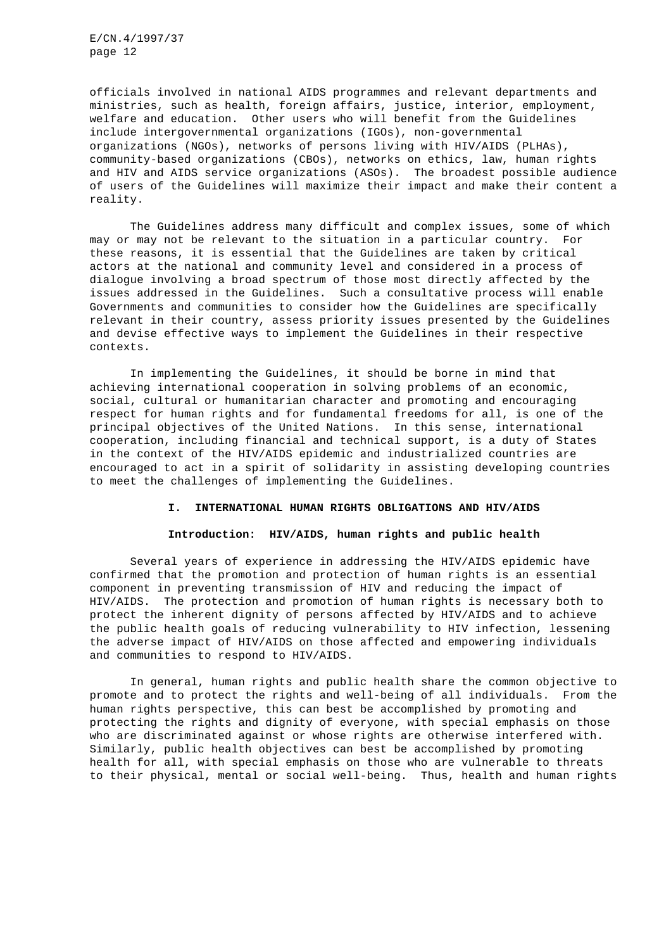officials involved in national AIDS programmes and relevant departments and ministries, such as health, foreign affairs, justice, interior, employment, welfare and education. Other users who will benefit from the Guidelines include intergovernmental organizations (IGOs), non-governmental organizations (NGOs), networks of persons living with HIV/AIDS (PLHAs), community-based organizations (CBOs), networks on ethics, law, human rights and HIV and AIDS service organizations (ASOs). The broadest possible audience of users of the Guidelines will maximize their impact and make their content a reality.

The Guidelines address many difficult and complex issues, some of which may or may not be relevant to the situation in a particular country. For these reasons, it is essential that the Guidelines are taken by critical actors at the national and community level and considered in a process of dialogue involving a broad spectrum of those most directly affected by the issues addressed in the Guidelines. Such a consultative process will enable Governments and communities to consider how the Guidelines are specifically relevant in their country, assess priority issues presented by the Guidelines and devise effective ways to implement the Guidelines in their respective contexts.

In implementing the Guidelines, it should be borne in mind that achieving international cooperation in solving problems of an economic, social, cultural or humanitarian character and promoting and encouraging respect for human rights and for fundamental freedoms for all, is one of the principal objectives of the United Nations. In this sense, international cooperation, including financial and technical support, is a duty of States in the context of the HIV/AIDS epidemic and industrialized countries are encouraged to act in a spirit of solidarity in assisting developing countries to meet the challenges of implementing the Guidelines.

#### **I. INTERNATIONAL HUMAN RIGHTS OBLIGATIONS AND HIV/AIDS**

#### **Introduction: HIV/AIDS, human rights and public health**

Several years of experience in addressing the HIV/AIDS epidemic have confirmed that the promotion and protection of human rights is an essential component in preventing transmission of HIV and reducing the impact of HIV/AIDS. The protection and promotion of human rights is necessary both to protect the inherent dignity of persons affected by HIV/AIDS and to achieve the public health goals of reducing vulnerability to HIV infection, lessening the adverse impact of HIV/AIDS on those affected and empowering individuals and communities to respond to HIV/AIDS.

In general, human rights and public health share the common objective to promote and to protect the rights and well-being of all individuals. From the human rights perspective, this can best be accomplished by promoting and protecting the rights and dignity of everyone, with special emphasis on those who are discriminated against or whose rights are otherwise interfered with. Similarly, public health objectives can best be accomplished by promoting health for all, with special emphasis on those who are vulnerable to threats to their physical, mental or social well-being. Thus, health and human rights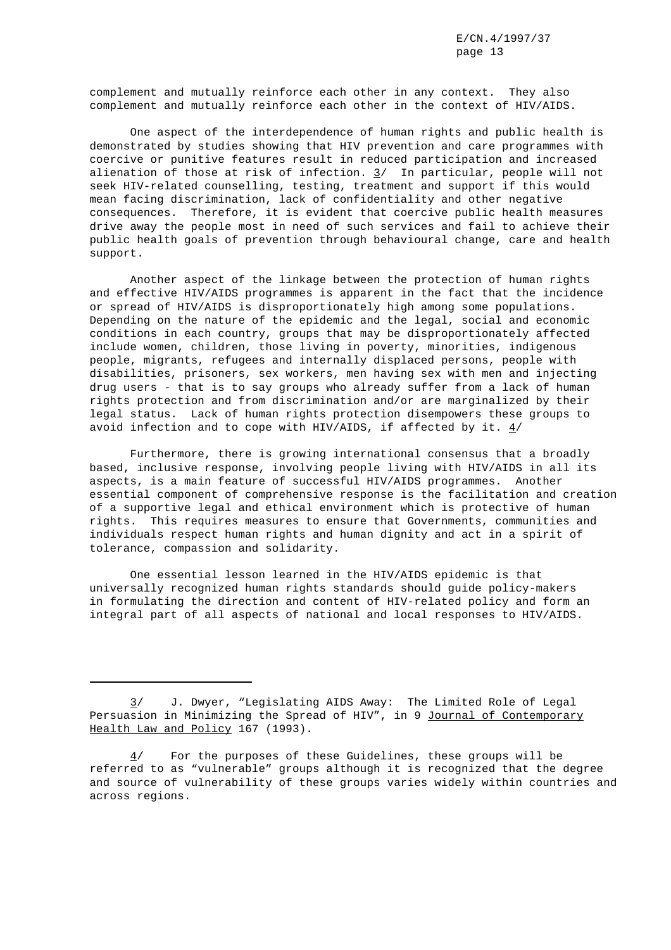complement and mutually reinforce each other in any context. They also complement and mutually reinforce each other in the context of HIV/AIDS.

One aspect of the interdependence of human rights and public health is demonstrated by studies showing that HIV prevention and care programmes with coercive or punitive features result in reduced participation and increased alienation of those at risk of infection.  $3/$  In particular, people will not seek HIV-related counselling, testing, treatment and support if this would mean facing discrimination, lack of confidentiality and other negative consequences. Therefore, it is evident that coercive public health measures drive away the people most in need of such services and fail to achieve their public health goals of prevention through behavioural change, care and health support.

Another aspect of the linkage between the protection of human rights and effective HIV/AIDS programmes is apparent in the fact that the incidence or spread of HIV/AIDS is disproportionately high among some populations. Depending on the nature of the epidemic and the legal, social and economic conditions in each country, groups that may be disproportionately affected include women, children, those living in poverty, minorities, indigenous people, migrants, refugees and internally displaced persons, people with disabilities, prisoners, sex workers, men having sex with men and injecting drug users - that is to say groups who already suffer from a lack of human rights protection and from discrimination and/or are marginalized by their legal status. Lack of human rights protection disempowers these groups to avoid infection and to cope with HIV/AIDS, if affected by it.  $4/$ 

Furthermore, there is growing international consensus that a broadly based, inclusive response, involving people living with HIV/AIDS in all its aspects, is a main feature of successful HIV/AIDS programmes. Another essential component of comprehensive response is the facilitation and creation of a supportive legal and ethical environment which is protective of human rights. This requires measures to ensure that Governments, communities and individuals respect human rights and human dignity and act in a spirit of tolerance, compassion and solidarity.

One essential lesson learned in the HIV/AIDS epidemic is that universally recognized human rights standards should guide policy-makers in formulating the direction and content of HIV-related policy and form an integral part of all aspects of national and local responses to HIV/AIDS.

<sup>3/</sup> J. Dwyer, "Legislating AIDS Away: The Limited Role of Legal Persuasion in Minimizing the Spread of HIV", in 9 Journal of Contemporary Health Law and Policy 167 (1993).

 $4/$  For the purposes of these Guidelines, these groups will be referred to as "vulnerable" groups although it is recognized that the degree and source of vulnerability of these groups varies widely within countries and across regions.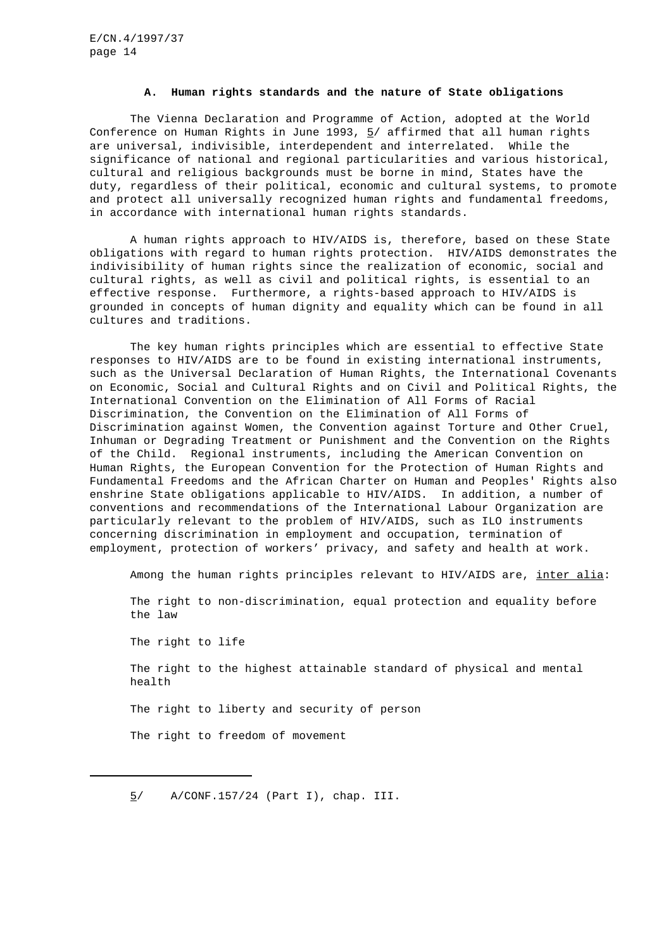#### **A. Human rights standards and the nature of State obligations**

The Vienna Declaration and Programme of Action, adopted at the World Conference on Human Rights in June 1993,  $5/$  affirmed that all human rights are universal, indivisible, interdependent and interrelated. While the significance of national and regional particularities and various historical, cultural and religious backgrounds must be borne in mind, States have the duty, regardless of their political, economic and cultural systems, to promote and protect all universally recognized human rights and fundamental freedoms, in accordance with international human rights standards.

A human rights approach to HIV/AIDS is, therefore, based on these State obligations with regard to human rights protection. HIV/AIDS demonstrates the indivisibility of human rights since the realization of economic, social and cultural rights, as well as civil and political rights, is essential to an effective response. Furthermore, a rights-based approach to HIV/AIDS is grounded in concepts of human dignity and equality which can be found in all cultures and traditions.

The key human rights principles which are essential to effective State responses to HIV/AIDS are to be found in existing international instruments, such as the Universal Declaration of Human Rights, the International Covenants on Economic, Social and Cultural Rights and on Civil and Political Rights, the International Convention on the Elimination of All Forms of Racial Discrimination, the Convention on the Elimination of All Forms of Discrimination against Women, the Convention against Torture and Other Cruel, Inhuman or Degrading Treatment or Punishment and the Convention on the Rights of the Child. Regional instruments, including the American Convention on Human Rights, the European Convention for the Protection of Human Rights and Fundamental Freedoms and the African Charter on Human and Peoples' Rights also enshrine State obligations applicable to HIV/AIDS. In addition, a number of conventions and recommendations of the International Labour Organization are particularly relevant to the problem of HIV/AIDS, such as ILO instruments concerning discrimination in employment and occupation, termination of employment, protection of workers' privacy, and safety and health at work.

Among the human rights principles relevant to HIV/AIDS are, inter alia:

The right to non-discrimination, equal protection and equality before the law

The right to life

The right to the highest attainable standard of physical and mental health

The right to liberty and security of person

The right to freedom of movement

5/ A/CONF.157/24 (Part I), chap. III.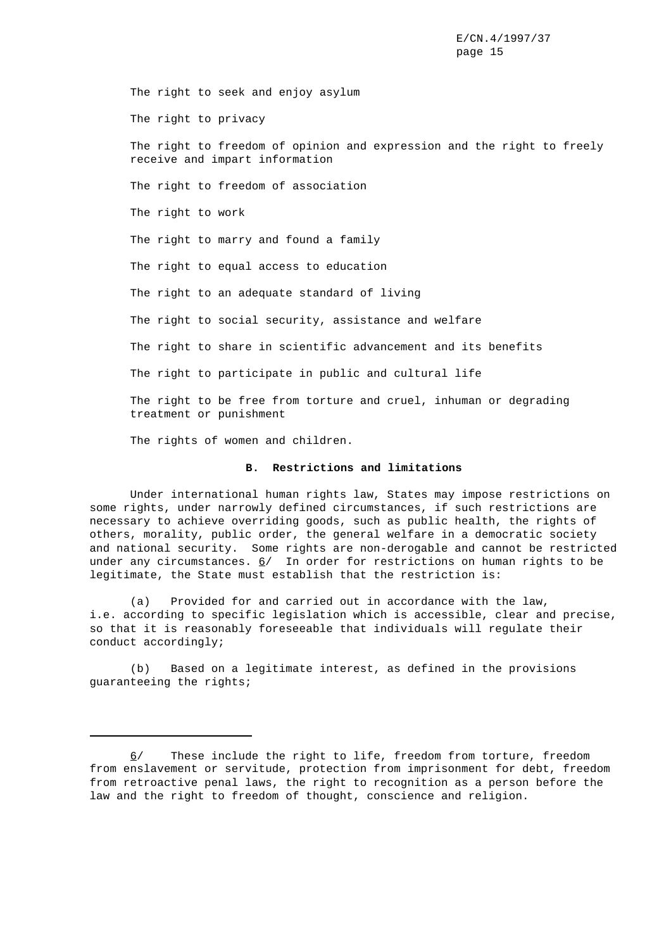The right to seek and enjoy asylum The right to privacy The right to freedom of opinion and expression and the right to freely receive and impart information The right to freedom of association The right to work The right to marry and found a family The right to equal access to education The right to an adequate standard of living The right to social security, assistance and welfare The right to share in scientific advancement and its benefits The right to participate in public and cultural life The right to be free from torture and cruel, inhuman or degrading treatment or punishment The rights of women and children.

# **B. Restrictions and limitations**

Under international human rights law, States may impose restrictions on some rights, under narrowly defined circumstances, if such restrictions are necessary to achieve overriding goods, such as public health, the rights of others, morality, public order, the general welfare in a democratic society and national security. Some rights are non-derogable and cannot be restricted under any circumstances.  $6/$  In order for restrictions on human rights to be legitimate, the State must establish that the restriction is:

(a) Provided for and carried out in accordance with the law, i.e. according to specific legislation which is accessible, clear and precise, so that it is reasonably foreseeable that individuals will regulate their conduct accordingly;

(b) Based on a legitimate interest, as defined in the provisions guaranteeing the rights;

<sup>6/</sup> These include the right to life, freedom from torture, freedom from enslavement or servitude, protection from imprisonment for debt, freedom from retroactive penal laws, the right to recognition as a person before the law and the right to freedom of thought, conscience and religion.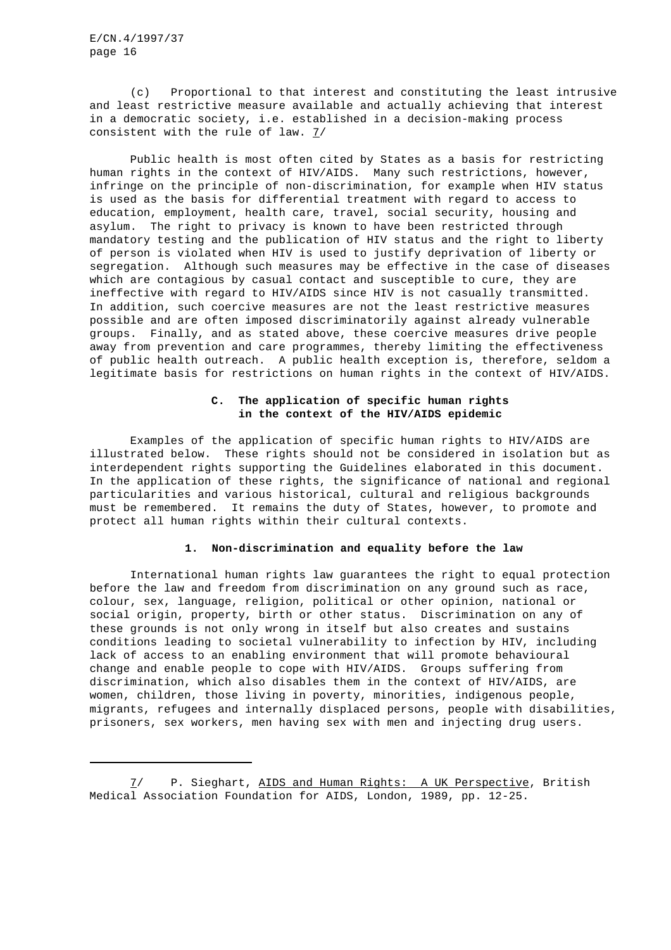(c) Proportional to that interest and constituting the least intrusive and least restrictive measure available and actually achieving that interest in a democratic society, i.e. established in a decision-making process consistent with the rule of law. 7/

Public health is most often cited by States as a basis for restricting human rights in the context of HIV/AIDS. Many such restrictions, however, infringe on the principle of non-discrimination, for example when HIV status is used as the basis for differential treatment with regard to access to education, employment, health care, travel, social security, housing and asylum. The right to privacy is known to have been restricted through mandatory testing and the publication of HIV status and the right to liberty of person is violated when HIV is used to justify deprivation of liberty or segregation. Although such measures may be effective in the case of diseases which are contagious by casual contact and susceptible to cure, they are ineffective with regard to HIV/AIDS since HIV is not casually transmitted. In addition, such coercive measures are not the least restrictive measures possible and are often imposed discriminatorily against already vulnerable groups. Finally, and as stated above, these coercive measures drive people away from prevention and care programmes, thereby limiting the effectiveness of public health outreach. A public health exception is, therefore, seldom a legitimate basis for restrictions on human rights in the context of HIV/AIDS.

## **C. The application of specific human rights in the context of the HIV/AIDS epidemic**

Examples of the application of specific human rights to HIV/AIDS are illustrated below. These rights should not be considered in isolation but as interdependent rights supporting the Guidelines elaborated in this document. In the application of these rights, the significance of national and regional particularities and various historical, cultural and religious backgrounds must be remembered. It remains the duty of States, however, to promote and protect all human rights within their cultural contexts.

#### **1. Non-discrimination and equality before the law**

International human rights law guarantees the right to equal protection before the law and freedom from discrimination on any ground such as race, colour, sex, language, religion, political or other opinion, national or social origin, property, birth or other status. Discrimination on any of these grounds is not only wrong in itself but also creates and sustains conditions leading to societal vulnerability to infection by HIV, including lack of access to an enabling environment that will promote behavioural change and enable people to cope with HIV/AIDS. Groups suffering from discrimination, which also disables them in the context of HIV/AIDS, are women, children, those living in poverty, minorities, indigenous people, migrants, refugees and internally displaced persons, people with disabilities, prisoners, sex workers, men having sex with men and injecting drug users.

<sup>7/</sup> P. Sieghart, AIDS and Human Rights: A UK Perspective, British Medical Association Foundation for AIDS, London, 1989, pp. 12-25.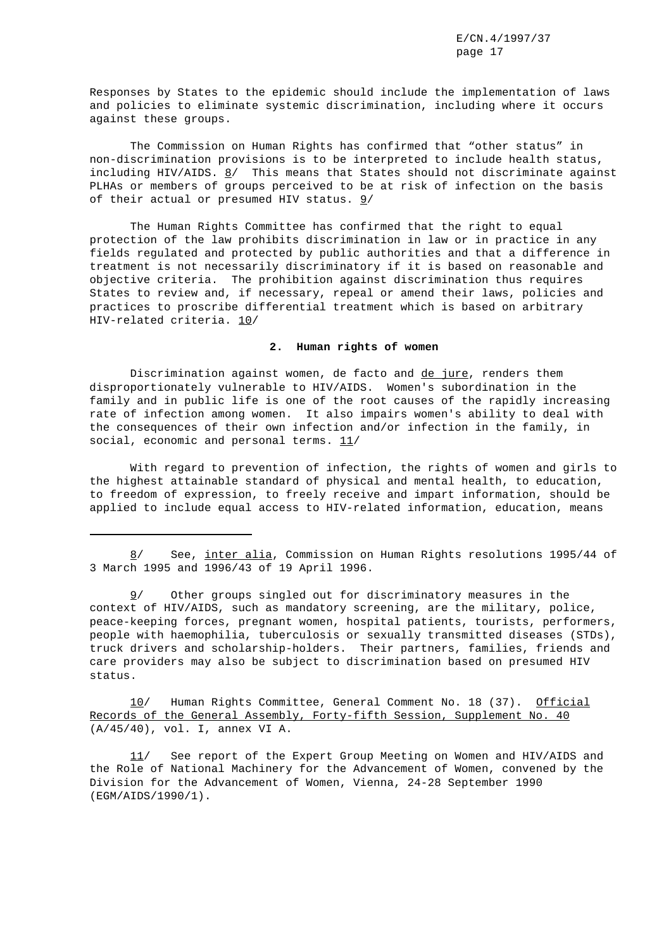Responses by States to the epidemic should include the implementation of laws and policies to eliminate systemic discrimination, including where it occurs against these groups.

The Commission on Human Rights has confirmed that "other status" in non-discrimination provisions is to be interpreted to include health status, including HIV/AIDS. 8/ This means that States should not discriminate against PLHAs or members of groups perceived to be at risk of infection on the basis of their actual or presumed HIV status.  $9/$ 

The Human Rights Committee has confirmed that the right to equal protection of the law prohibits discrimination in law or in practice in any fields regulated and protected by public authorities and that a difference in treatment is not necessarily discriminatory if it is based on reasonable and objective criteria. The prohibition against discrimination thus requires States to review and, if necessary, repeal or amend their laws, policies and practices to proscribe differential treatment which is based on arbitrary HIV-related criteria. 10/

#### **2. Human rights of women**

Discrimination against women, de facto and de jure, renders them disproportionately vulnerable to HIV/AIDS. Women's subordination in the family and in public life is one of the root causes of the rapidly increasing rate of infection among women. It also impairs women's ability to deal with the consequences of their own infection and/or infection in the family, in social, economic and personal terms.  $11/$ 

With regard to prevention of infection, the rights of women and girls to the highest attainable standard of physical and mental health, to education, to freedom of expression, to freely receive and impart information, should be applied to include equal access to HIV-related information, education, means

8/ See, inter alia, Commission on Human Rights resolutions 1995/44 of 3 March 1995 and 1996/43 of 19 April 1996.

9/ Other groups singled out for discriminatory measures in the context of HIV/AIDS, such as mandatory screening, are the military, police, peace-keeping forces, pregnant women, hospital patients, tourists, performers, people with haemophilia, tuberculosis or sexually transmitted diseases (STDs), truck drivers and scholarship-holders. Their partners, families, friends and care providers may also be subject to discrimination based on presumed HIV status.

10/ Human Rights Committee, General Comment No. 18 (37). Official Records of the General Assembly, Forty-fifth Session, Supplement No. 40 (A/45/40), vol. I, annex VI A.

11/ See report of the Expert Group Meeting on Women and HIV/AIDS and the Role of National Machinery for the Advancement of Women, convened by the Division for the Advancement of Women, Vienna, 24-28 September 1990 (EGM/AIDS/1990/1).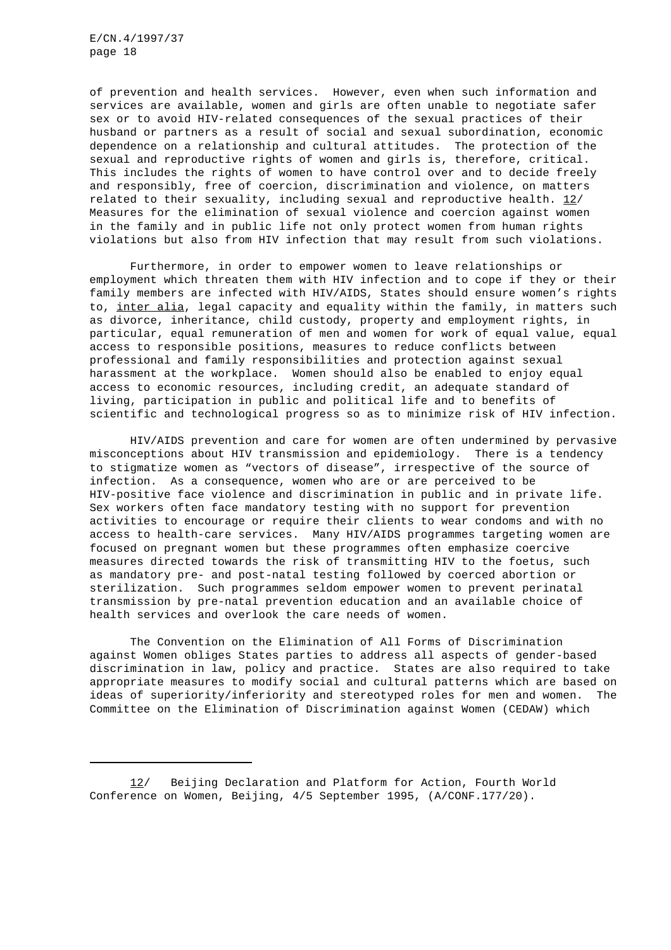of prevention and health services. However, even when such information and services are available, women and girls are often unable to negotiate safer sex or to avoid HIV-related consequences of the sexual practices of their husband or partners as a result of social and sexual subordination, economic dependence on a relationship and cultural attitudes. The protection of the sexual and reproductive rights of women and girls is, therefore, critical. This includes the rights of women to have control over and to decide freely and responsibly, free of coercion, discrimination and violence, on matters related to their sexuality, including sexual and reproductive health. 12/ Measures for the elimination of sexual violence and coercion against women in the family and in public life not only protect women from human rights violations but also from HIV infection that may result from such violations.

Furthermore, in order to empower women to leave relationships or employment which threaten them with HIV infection and to cope if they or their family members are infected with HIV/AIDS, States should ensure women's rights to, inter alia, legal capacity and equality within the family, in matters such as divorce, inheritance, child custody, property and employment rights, in particular, equal remuneration of men and women for work of equal value, equal access to responsible positions, measures to reduce conflicts between professional and family responsibilities and protection against sexual harassment at the workplace. Women should also be enabled to enjoy equal access to economic resources, including credit, an adequate standard of living, participation in public and political life and to benefits of scientific and technological progress so as to minimize risk of HIV infection.

HIV/AIDS prevention and care for women are often undermined by pervasive misconceptions about HIV transmission and epidemiology. There is a tendency to stigmatize women as "vectors of disease", irrespective of the source of infection. As a consequence, women who are or are perceived to be HIV-positive face violence and discrimination in public and in private life. Sex workers often face mandatory testing with no support for prevention activities to encourage or require their clients to wear condoms and with no access to health-care services. Many HIV/AIDS programmes targeting women are focused on pregnant women but these programmes often emphasize coercive measures directed towards the risk of transmitting HIV to the foetus, such as mandatory pre- and post-natal testing followed by coerced abortion or sterilization. Such programmes seldom empower women to prevent perinatal transmission by pre-natal prevention education and an available choice of health services and overlook the care needs of women.

The Convention on the Elimination of All Forms of Discrimination against Women obliges States parties to address all aspects of gender-based discrimination in law, policy and practice. States are also required to take appropriate measures to modify social and cultural patterns which are based on ideas of superiority/inferiority and stereotyped roles for men and women. The Committee on the Elimination of Discrimination against Women (CEDAW) which

<sup>12/</sup> Beijing Declaration and Platform for Action, Fourth World Conference on Women, Beijing, 4/5 September 1995, (A/CONF.177/20).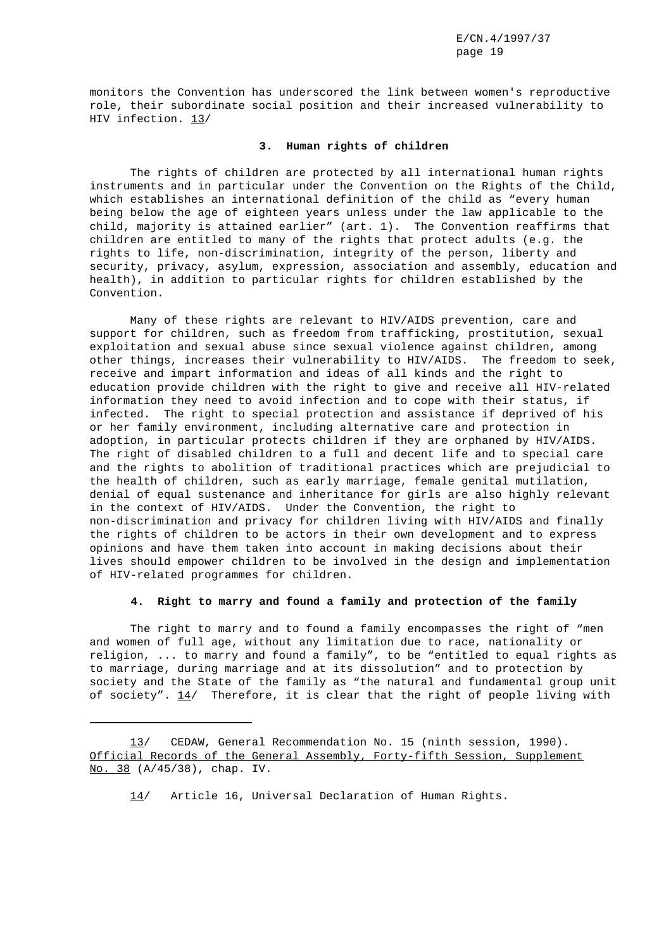monitors the Convention has underscored the link between women's reproductive role, their subordinate social position and their increased vulnerability to HIV infection. 13/

### **3. Human rights of children**

The rights of children are protected by all international human rights instruments and in particular under the Convention on the Rights of the Child, which establishes an international definition of the child as "every human being below the age of eighteen years unless under the law applicable to the child, majority is attained earlier" (art. 1). The Convention reaffirms that children are entitled to many of the rights that protect adults (e.g. the rights to life, non-discrimination, integrity of the person, liberty and security, privacy, asylum, expression, association and assembly, education and health), in addition to particular rights for children established by the Convention.

Many of these rights are relevant to HIV/AIDS prevention, care and support for children, such as freedom from trafficking, prostitution, sexual exploitation and sexual abuse since sexual violence against children, among other things, increases their vulnerability to HIV/AIDS. The freedom to seek, receive and impart information and ideas of all kinds and the right to education provide children with the right to give and receive all HIV-related information they need to avoid infection and to cope with their status, if infected. The right to special protection and assistance if deprived of his or her family environment, including alternative care and protection in adoption, in particular protects children if they are orphaned by HIV/AIDS. The right of disabled children to a full and decent life and to special care and the rights to abolition of traditional practices which are prejudicial to the health of children, such as early marriage, female genital mutilation, denial of equal sustenance and inheritance for girls are also highly relevant in the context of HIV/AIDS. Under the Convention, the right to non-discrimination and privacy for children living with HIV/AIDS and finally the rights of children to be actors in their own development and to express opinions and have them taken into account in making decisions about their lives should empower children to be involved in the design and implementation of HIV-related programmes for children.

## **4. Right to marry and found a family and protection of the family**

The right to marry and to found a family encompasses the right of "men and women of full age, without any limitation due to race, nationality or religion, ... to marry and found a family", to be "entitled to equal rights as to marriage, during marriage and at its dissolution" and to protection by society and the State of the family as "the natural and fundamental group unit of society".  $14/$  Therefore, it is clear that the right of people living with

14/ Article 16, Universal Declaration of Human Rights.

<sup>13/</sup> CEDAW, General Recommendation No. 15 (ninth session, 1990). Official Records of the General Assembly, Forty-fifth Session, Supplement No. 38 (A/45/38), chap. IV.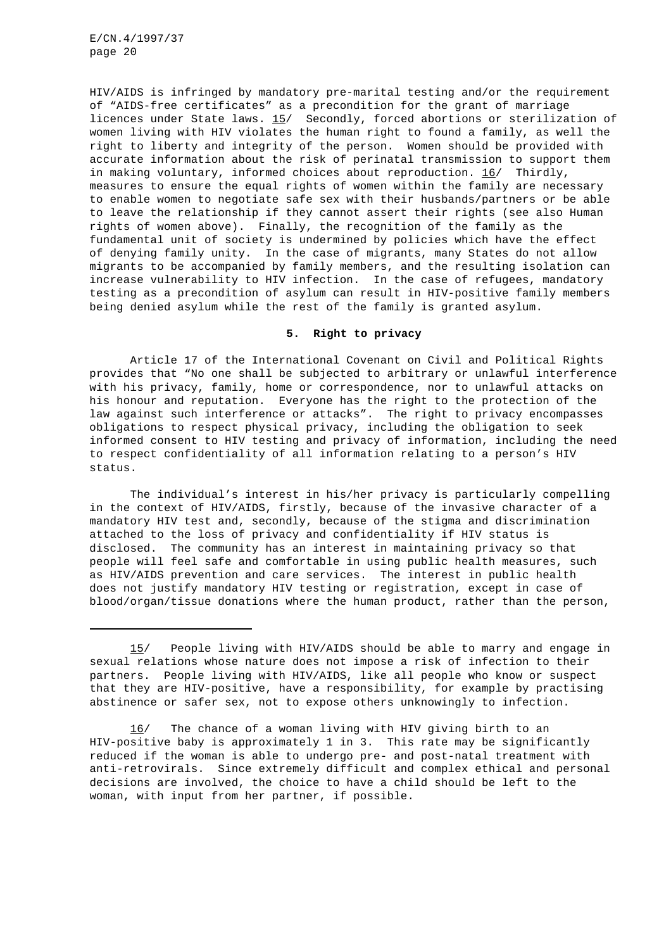HIV/AIDS is infringed by mandatory pre-marital testing and/or the requirement of "AIDS-free certificates" as a precondition for the grant of marriage licences under State laws. 15/ Secondly, forced abortions or sterilization of women living with HIV violates the human right to found a family, as well the right to liberty and integrity of the person. Women should be provided with accurate information about the risk of perinatal transmission to support them in making voluntary, informed choices about reproduction.  $16/$  Thirdly, measures to ensure the equal rights of women within the family are necessary to enable women to negotiate safe sex with their husbands/partners or be able to leave the relationship if they cannot assert their rights (see also Human rights of women above). Finally, the recognition of the family as the fundamental unit of society is undermined by policies which have the effect of denying family unity. In the case of migrants, many States do not allow migrants to be accompanied by family members, and the resulting isolation can increase vulnerability to HIV infection. In the case of refugees, mandatory testing as a precondition of asylum can result in HIV-positive family members being denied asylum while the rest of the family is granted asylum.

#### **5. Right to privacy**

Article 17 of the International Covenant on Civil and Political Rights provides that "No one shall be subjected to arbitrary or unlawful interference with his privacy, family, home or correspondence, nor to unlawful attacks on his honour and reputation. Everyone has the right to the protection of the law against such interference or attacks". The right to privacy encompasses obligations to respect physical privacy, including the obligation to seek informed consent to HIV testing and privacy of information, including the need to respect confidentiality of all information relating to a person's HIV status.

The individual's interest in his/her privacy is particularly compelling in the context of HIV/AIDS, firstly, because of the invasive character of a mandatory HIV test and, secondly, because of the stigma and discrimination attached to the loss of privacy and confidentiality if HIV status is disclosed. The community has an interest in maintaining privacy so that people will feel safe and comfortable in using public health measures, such as HIV/AIDS prevention and care services. The interest in public health does not justify mandatory HIV testing or registration, except in case of blood/organ/tissue donations where the human product, rather than the person,

<sup>15/</sup> People living with HIV/AIDS should be able to marry and engage in sexual relations whose nature does not impose a risk of infection to their partners. People living with HIV/AIDS, like all people who know or suspect that they are HIV-positive, have a responsibility, for example by practising abstinence or safer sex, not to expose others unknowingly to infection.

<sup>16/</sup> The chance of a woman living with HIV giving birth to an HIV-positive baby is approximately 1 in 3. This rate may be significantly reduced if the woman is able to undergo pre- and post-natal treatment with anti-retrovirals. Since extremely difficult and complex ethical and personal decisions are involved, the choice to have a child should be left to the woman, with input from her partner, if possible.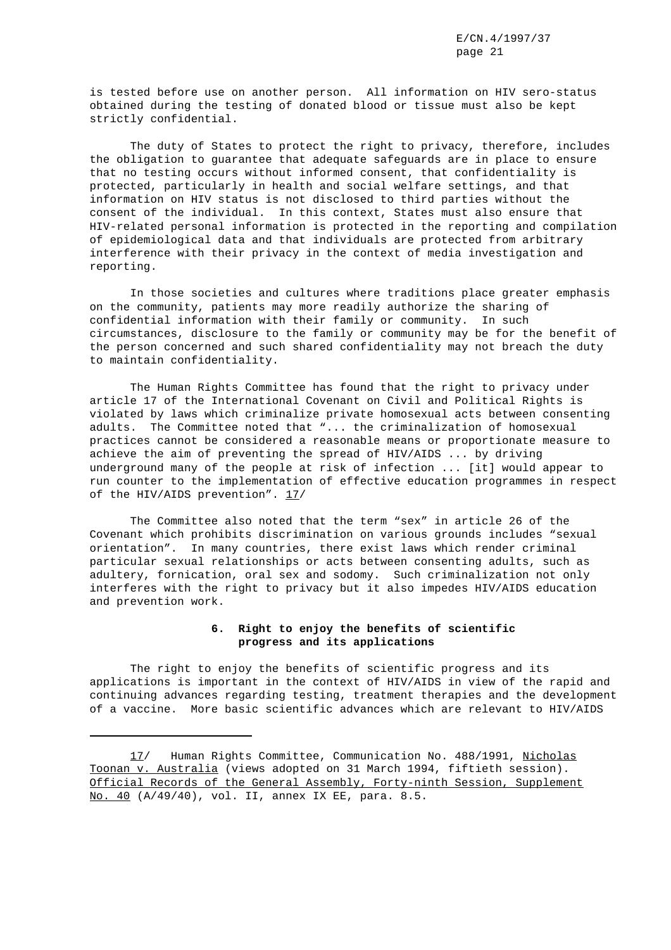is tested before use on another person. All information on HIV sero-status obtained during the testing of donated blood or tissue must also be kept strictly confidential.

The duty of States to protect the right to privacy, therefore, includes the obligation to guarantee that adequate safeguards are in place to ensure that no testing occurs without informed consent, that confidentiality is protected, particularly in health and social welfare settings, and that information on HIV status is not disclosed to third parties without the consent of the individual. In this context, States must also ensure that HIV-related personal information is protected in the reporting and compilation of epidemiological data and that individuals are protected from arbitrary interference with their privacy in the context of media investigation and reporting.

In those societies and cultures where traditions place greater emphasis on the community, patients may more readily authorize the sharing of confidential information with their family or community. In such circumstances, disclosure to the family or community may be for the benefit of the person concerned and such shared confidentiality may not breach the duty to maintain confidentiality.

The Human Rights Committee has found that the right to privacy under article 17 of the International Covenant on Civil and Political Rights is violated by laws which criminalize private homosexual acts between consenting adults. The Committee noted that "... the criminalization of homosexual practices cannot be considered a reasonable means or proportionate measure to achieve the aim of preventing the spread of HIV/AIDS ... by driving underground many of the people at risk of infection ... [it] would appear to run counter to the implementation of effective education programmes in respect of the HIV/AIDS prevention". 17/

The Committee also noted that the term "sex" in article 26 of the Covenant which prohibits discrimination on various grounds includes "sexual orientation". In many countries, there exist laws which render criminal particular sexual relationships or acts between consenting adults, such as adultery, fornication, oral sex and sodomy. Such criminalization not only interferes with the right to privacy but it also impedes HIV/AIDS education and prevention work.

## **6. Right to enjoy the benefits of scientific progress and its applications**

The right to enjoy the benefits of scientific progress and its applications is important in the context of HIV/AIDS in view of the rapid and continuing advances regarding testing, treatment therapies and the development of a vaccine. More basic scientific advances which are relevant to HIV/AIDS

<sup>17/</sup> Human Rights Committee, Communication No. 488/1991, Nicholas Toonan v. Australia (views adopted on 31 March 1994, fiftieth session). Official Records of the General Assembly, Forty-ninth Session, Supplement No. 40 (A/49/40), vol. II, annex IX EE, para. 8.5.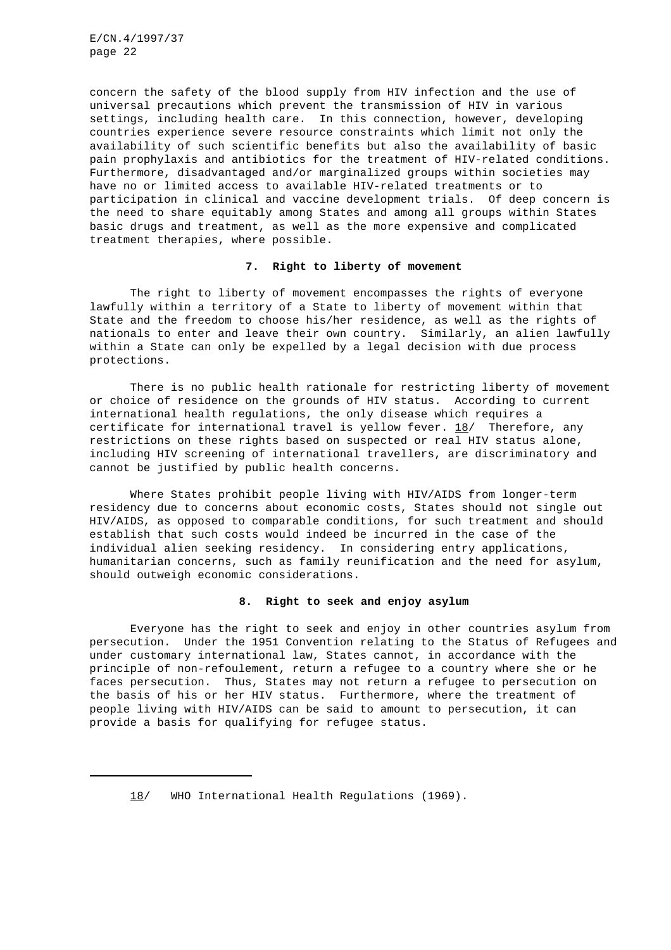concern the safety of the blood supply from HIV infection and the use of universal precautions which prevent the transmission of HIV in various settings, including health care. In this connection, however, developing countries experience severe resource constraints which limit not only the availability of such scientific benefits but also the availability of basic pain prophylaxis and antibiotics for the treatment of HIV-related conditions. Furthermore, disadvantaged and/or marginalized groups within societies may have no or limited access to available HIV-related treatments or to participation in clinical and vaccine development trials. Of deep concern is the need to share equitably among States and among all groups within States basic drugs and treatment, as well as the more expensive and complicated treatment therapies, where possible.

#### **7. Right to liberty of movement**

The right to liberty of movement encompasses the rights of everyone lawfully within a territory of a State to liberty of movement within that State and the freedom to choose his/her residence, as well as the rights of nationals to enter and leave their own country. Similarly, an alien lawfully within a State can only be expelled by a legal decision with due process protections.

There is no public health rationale for restricting liberty of movement or choice of residence on the grounds of HIV status. According to current international health regulations, the only disease which requires a certificate for international travel is yellow fever. 18/ Therefore, any restrictions on these rights based on suspected or real HIV status alone, including HIV screening of international travellers, are discriminatory and cannot be justified by public health concerns.

Where States prohibit people living with HIV/AIDS from longer-term residency due to concerns about economic costs, States should not single out HIV/AIDS, as opposed to comparable conditions, for such treatment and should establish that such costs would indeed be incurred in the case of the individual alien seeking residency. In considering entry applications, humanitarian concerns, such as family reunification and the need for asylum, should outweigh economic considerations.

### **8. Right to seek and enjoy asylum**

Everyone has the right to seek and enjoy in other countries asylum from persecution. Under the 1951 Convention relating to the Status of Refugees and under customary international law, States cannot, in accordance with the principle of non-refoulement, return a refugee to a country where she or he faces persecution. Thus, States may not return a refugee to persecution on the basis of his or her HIV status. Furthermore, where the treatment of people living with HIV/AIDS can be said to amount to persecution, it can provide a basis for qualifying for refugee status.

18/ WHO International Health Regulations (1969).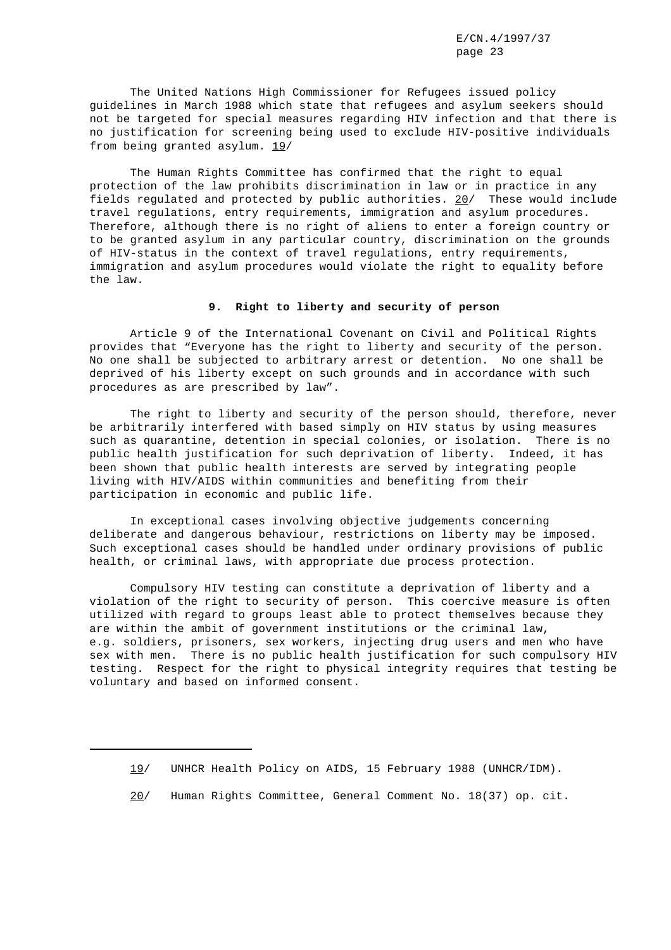The United Nations High Commissioner for Refugees issued policy guidelines in March 1988 which state that refugees and asylum seekers should not be targeted for special measures regarding HIV infection and that there is no justification for screening being used to exclude HIV-positive individuals from being granted asylum. 19/

The Human Rights Committee has confirmed that the right to equal protection of the law prohibits discrimination in law or in practice in any fields regulated and protected by public authorities. 20/ These would include travel regulations, entry requirements, immigration and asylum procedures. Therefore, although there is no right of aliens to enter a foreign country or to be granted asylum in any particular country, discrimination on the grounds of HIV-status in the context of travel regulations, entry requirements, immigration and asylum procedures would violate the right to equality before the law.

## **9. Right to liberty and security of person**

Article 9 of the International Covenant on Civil and Political Rights provides that "Everyone has the right to liberty and security of the person. No one shall be subjected to arbitrary arrest or detention. No one shall be deprived of his liberty except on such grounds and in accordance with such procedures as are prescribed by law".

The right to liberty and security of the person should, therefore, never be arbitrarily interfered with based simply on HIV status by using measures such as quarantine, detention in special colonies, or isolation. There is no public health justification for such deprivation of liberty. Indeed, it has been shown that public health interests are served by integrating people living with HIV/AIDS within communities and benefiting from their participation in economic and public life.

In exceptional cases involving objective judgements concerning deliberate and dangerous behaviour, restrictions on liberty may be imposed. Such exceptional cases should be handled under ordinary provisions of public health, or criminal laws, with appropriate due process protection.

Compulsory HIV testing can constitute a deprivation of liberty and a violation of the right to security of person. This coercive measure is often utilized with regard to groups least able to protect themselves because they are within the ambit of government institutions or the criminal law, e.g. soldiers, prisoners, sex workers, injecting drug users and men who have sex with men. There is no public health justification for such compulsory HIV testing. Respect for the right to physical integrity requires that testing be voluntary and based on informed consent.

20/ Human Rights Committee, General Comment No. 18(37) op. cit.

<sup>19/</sup> UNHCR Health Policy on AIDS, 15 February 1988 (UNHCR/IDM).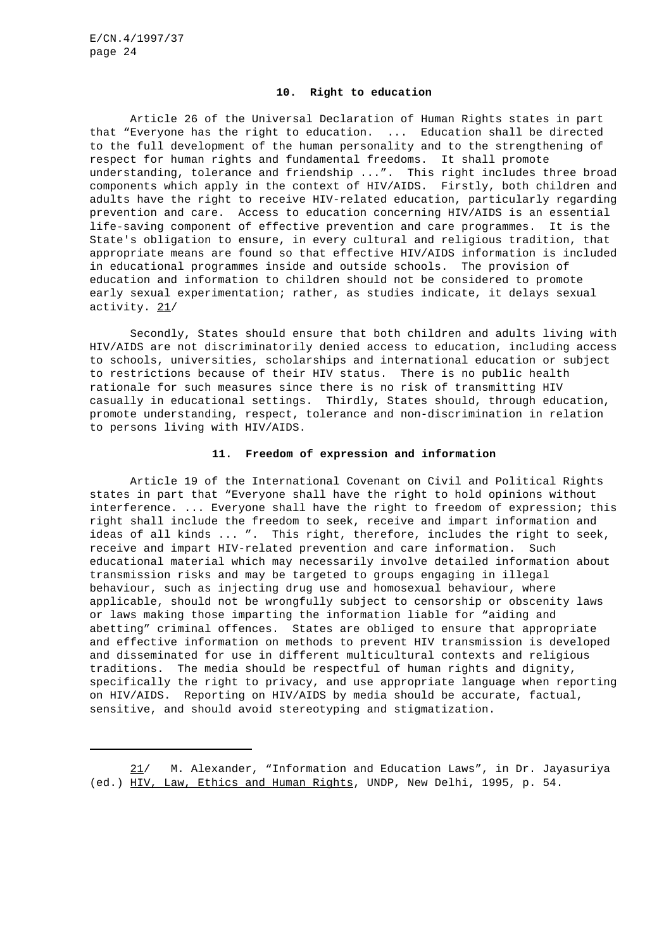### **10. Right to education**

Article 26 of the Universal Declaration of Human Rights states in part that "Everyone has the right to education. ... Education shall be directed to the full development of the human personality and to the strengthening of respect for human rights and fundamental freedoms. It shall promote understanding, tolerance and friendship ...". This right includes three broad components which apply in the context of HIV/AIDS. Firstly, both children and adults have the right to receive HIV-related education, particularly regarding prevention and care. Access to education concerning HIV/AIDS is an essential life-saving component of effective prevention and care programmes. It is the State's obligation to ensure, in every cultural and religious tradition, that appropriate means are found so that effective HIV/AIDS information is included in educational programmes inside and outside schools. The provision of education and information to children should not be considered to promote early sexual experimentation; rather, as studies indicate, it delays sexual activity. 21/

Secondly, States should ensure that both children and adults living with HIV/AIDS are not discriminatorily denied access to education, including access to schools, universities, scholarships and international education or subject to restrictions because of their HIV status. There is no public health rationale for such measures since there is no risk of transmitting HIV casually in educational settings. Thirdly, States should, through education, promote understanding, respect, tolerance and non-discrimination in relation to persons living with HIV/AIDS.

#### **11. Freedom of expression and information**

Article 19 of the International Covenant on Civil and Political Rights states in part that "Everyone shall have the right to hold opinions without interference. ... Everyone shall have the right to freedom of expression; this right shall include the freedom to seek, receive and impart information and ideas of all kinds ... ". This right, therefore, includes the right to seek, receive and impart HIV-related prevention and care information. Such educational material which may necessarily involve detailed information about transmission risks and may be targeted to groups engaging in illegal behaviour, such as injecting drug use and homosexual behaviour, where applicable, should not be wrongfully subject to censorship or obscenity laws or laws making those imparting the information liable for "aiding and abetting" criminal offences. States are obliged to ensure that appropriate and effective information on methods to prevent HIV transmission is developed and disseminated for use in different multicultural contexts and religious traditions. The media should be respectful of human rights and dignity, specifically the right to privacy, and use appropriate language when reporting on HIV/AIDS. Reporting on HIV/AIDS by media should be accurate, factual, sensitive, and should avoid stereotyping and stigmatization.

<sup>21/</sup> M. Alexander, "Information and Education Laws", in Dr. Jayasuriya (ed.) HIV, Law, Ethics and Human Rights, UNDP, New Delhi, 1995, p. 54.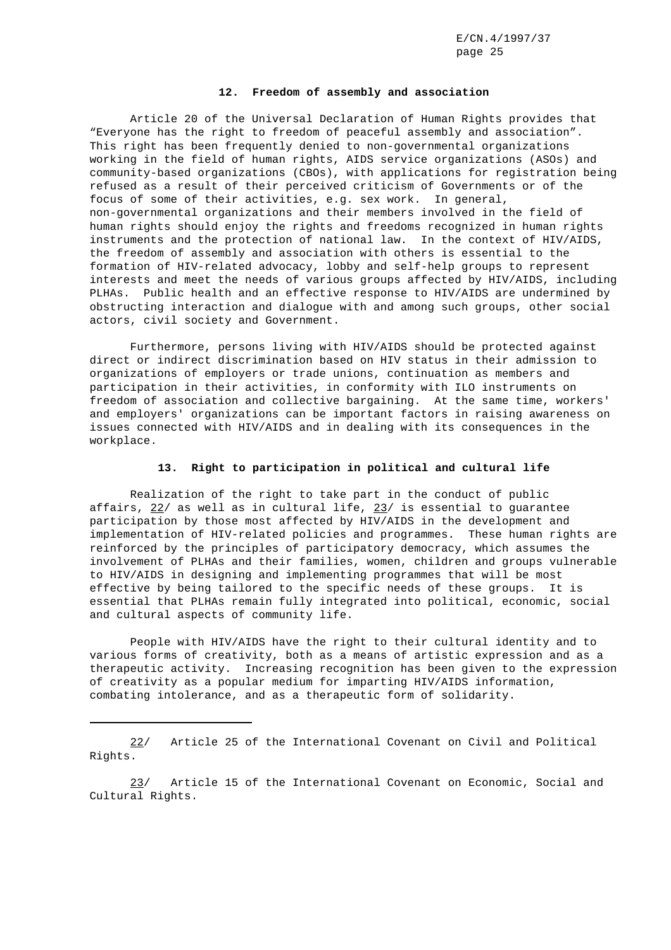#### **12. Freedom of assembly and association**

Article 20 of the Universal Declaration of Human Rights provides that "Everyone has the right to freedom of peaceful assembly and association". This right has been frequently denied to non-governmental organizations working in the field of human rights, AIDS service organizations (ASOs) and community-based organizations (CBOs), with applications for registration being refused as a result of their perceived criticism of Governments or of the focus of some of their activities, e.g. sex work. In general, non-governmental organizations and their members involved in the field of human rights should enjoy the rights and freedoms recognized in human rights instruments and the protection of national law. In the context of HIV/AIDS, the freedom of assembly and association with others is essential to the formation of HIV-related advocacy, lobby and self-help groups to represent interests and meet the needs of various groups affected by HIV/AIDS, including PLHAs. Public health and an effective response to HIV/AIDS are undermined by obstructing interaction and dialogue with and among such groups, other social actors, civil society and Government.

Furthermore, persons living with HIV/AIDS should be protected against direct or indirect discrimination based on HIV status in their admission to organizations of employers or trade unions, continuation as members and participation in their activities, in conformity with ILO instruments on freedom of association and collective bargaining. At the same time, workers' and employers' organizations can be important factors in raising awareness on issues connected with HIV/AIDS and in dealing with its consequences in the workplace.

#### **13. Right to participation in political and cultural life**

Realization of the right to take part in the conduct of public affairs,  $22/$  as well as in cultural life,  $23/$  is essential to guarantee participation by those most affected by HIV/AIDS in the development and implementation of HIV-related policies and programmes. These human rights are reinforced by the principles of participatory democracy, which assumes the involvement of PLHAs and their families, women, children and groups vulnerable to HIV/AIDS in designing and implementing programmes that will be most effective by being tailored to the specific needs of these groups. It is essential that PLHAs remain fully integrated into political, economic, social and cultural aspects of community life.

People with HIV/AIDS have the right to their cultural identity and to various forms of creativity, both as a means of artistic expression and as a therapeutic activity. Increasing recognition has been given to the expression of creativity as a popular medium for imparting HIV/AIDS information, combating intolerance, and as a therapeutic form of solidarity.

22/ Article 25 of the International Covenant on Civil and Political Rights.

23/ Article 15 of the International Covenant on Economic, Social and Cultural Rights.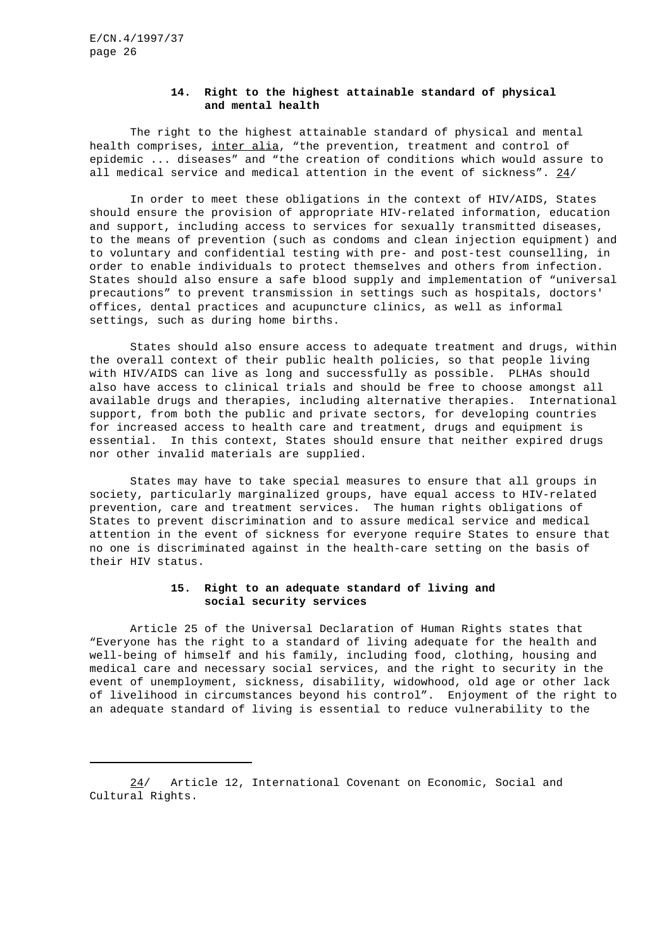## **14. Right to the highest attainable standard of physical and mental health**

The right to the highest attainable standard of physical and mental health comprises, inter alia, "the prevention, treatment and control of epidemic ... diseases" and "the creation of conditions which would assure to all medical service and medical attention in the event of sickness". 24/

In order to meet these obligations in the context of HIV/AIDS, States should ensure the provision of appropriate HIV-related information, education and support, including access to services for sexually transmitted diseases, to the means of prevention (such as condoms and clean injection equipment) and to voluntary and confidential testing with pre- and post-test counselling, in order to enable individuals to protect themselves and others from infection. States should also ensure a safe blood supply and implementation of "universal precautions" to prevent transmission in settings such as hospitals, doctors' offices, dental practices and acupuncture clinics, as well as informal settings, such as during home births.

States should also ensure access to adequate treatment and drugs, within the overall context of their public health policies, so that people living with HIV/AIDS can live as long and successfully as possible. PLHAs should also have access to clinical trials and should be free to choose amongst all available drugs and therapies, including alternative therapies. International support, from both the public and private sectors, for developing countries for increased access to health care and treatment, drugs and equipment is essential. In this context, States should ensure that neither expired drugs nor other invalid materials are supplied.

States may have to take special measures to ensure that all groups in society, particularly marginalized groups, have equal access to HIV-related prevention, care and treatment services. The human rights obligations of States to prevent discrimination and to assure medical service and medical attention in the event of sickness for everyone require States to ensure that no one is discriminated against in the health-care setting on the basis of their HIV status.

## **15. Right to an adequate standard of living and social security services**

Article 25 of the Universal Declaration of Human Rights states that "Everyone has the right to a standard of living adequate for the health and well-being of himself and his family, including food, clothing, housing and medical care and necessary social services, and the right to security in the event of unemployment, sickness, disability, widowhood, old age or other lack of livelihood in circumstances beyond his control". Enjoyment of the right to an adequate standard of living is essential to reduce vulnerability to the

<sup>24/</sup> Article 12, International Covenant on Economic, Social and Cultural Rights.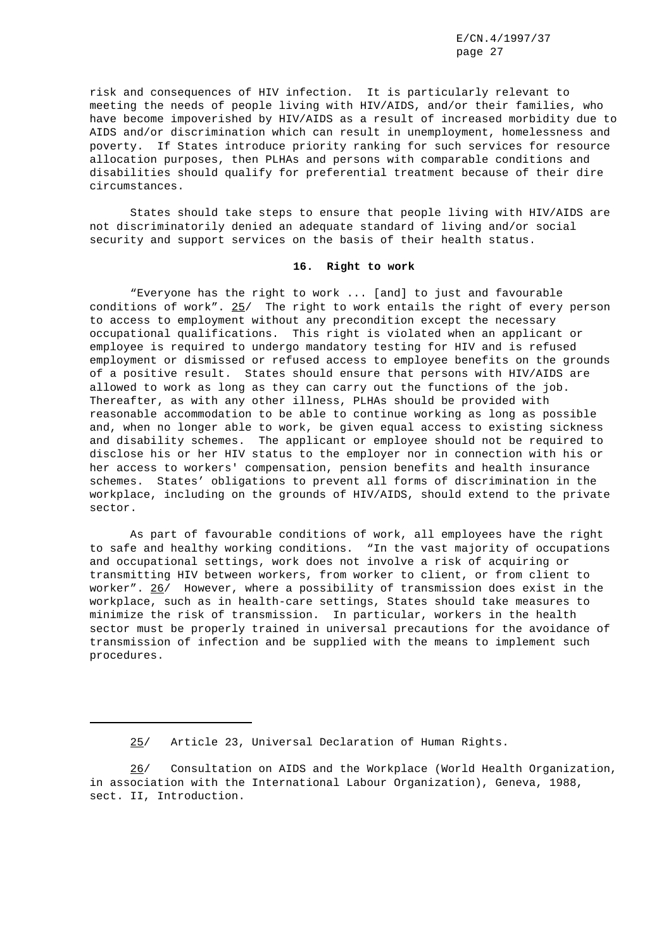risk and consequences of HIV infection. It is particularly relevant to meeting the needs of people living with HIV/AIDS, and/or their families, who have become impoverished by HIV/AIDS as a result of increased morbidity due to AIDS and/or discrimination which can result in unemployment, homelessness and poverty. If States introduce priority ranking for such services for resource allocation purposes, then PLHAs and persons with comparable conditions and disabilities should qualify for preferential treatment because of their dire circumstances.

States should take steps to ensure that people living with HIV/AIDS are not discriminatorily denied an adequate standard of living and/or social security and support services on the basis of their health status.

#### **16. Right to work**

"Everyone has the right to work ... [and] to just and favourable conditions of work". 25/ The right to work entails the right of every person to access to employment without any precondition except the necessary occupational qualifications. This right is violated when an applicant or employee is required to undergo mandatory testing for HIV and is refused employment or dismissed or refused access to employee benefits on the grounds of a positive result. States should ensure that persons with HIV/AIDS are allowed to work as long as they can carry out the functions of the job. Thereafter, as with any other illness, PLHAs should be provided with reasonable accommodation to be able to continue working as long as possible and, when no longer able to work, be given equal access to existing sickness and disability schemes. The applicant or employee should not be required to disclose his or her HIV status to the employer nor in connection with his or her access to workers' compensation, pension benefits and health insurance schemes. States' obligations to prevent all forms of discrimination in the workplace, including on the grounds of HIV/AIDS, should extend to the private sector.

As part of favourable conditions of work, all employees have the right to safe and healthy working conditions. "In the vast majority of occupations and occupational settings, work does not involve a risk of acquiring or transmitting HIV between workers, from worker to client, or from client to worker". 26/ However, where a possibility of transmission does exist in the workplace, such as in health-care settings, States should take measures to minimize the risk of transmission. In particular, workers in the health sector must be properly trained in universal precautions for the avoidance of transmission of infection and be supplied with the means to implement such procedures.

<sup>25/</sup> Article 23, Universal Declaration of Human Rights.

<sup>26/</sup> Consultation on AIDS and the Workplace (World Health Organization, in association with the International Labour Organization), Geneva, 1988, sect. II, Introduction.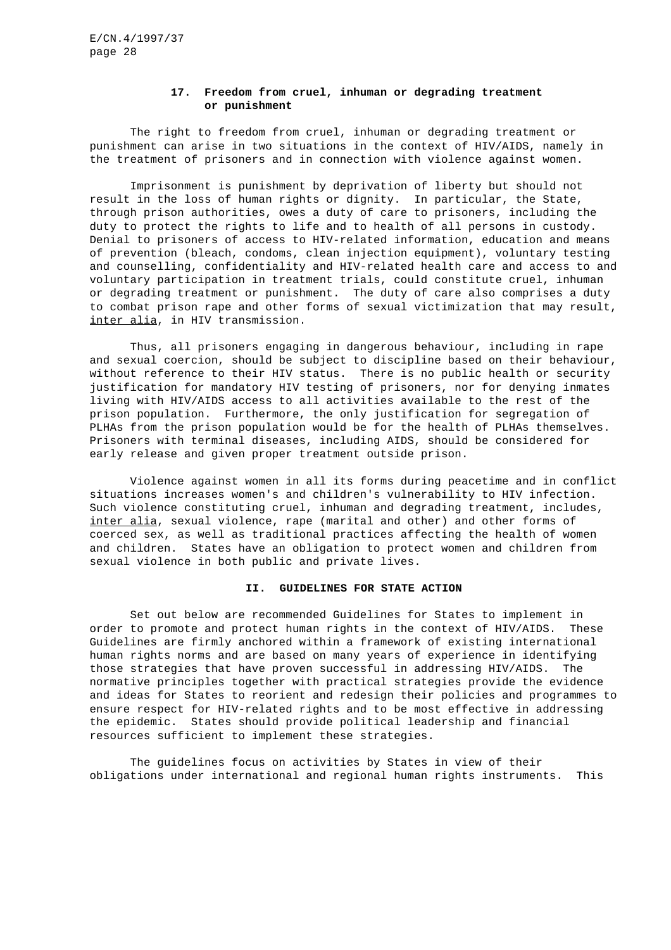## **17. Freedom from cruel, inhuman or degrading treatment or punishment**

The right to freedom from cruel, inhuman or degrading treatment or punishment can arise in two situations in the context of HIV/AIDS, namely in the treatment of prisoners and in connection with violence against women.

Imprisonment is punishment by deprivation of liberty but should not result in the loss of human rights or dignity. In particular, the State, through prison authorities, owes a duty of care to prisoners, including the duty to protect the rights to life and to health of all persons in custody. Denial to prisoners of access to HIV-related information, education and means of prevention (bleach, condoms, clean injection equipment), voluntary testing and counselling, confidentiality and HIV-related health care and access to and voluntary participation in treatment trials, could constitute cruel, inhuman or degrading treatment or punishment. The duty of care also comprises a duty to combat prison rape and other forms of sexual victimization that may result, inter alia, in HIV transmission.

Thus, all prisoners engaging in dangerous behaviour, including in rape and sexual coercion, should be subject to discipline based on their behaviour, without reference to their HIV status. There is no public health or security justification for mandatory HIV testing of prisoners, nor for denying inmates living with HIV/AIDS access to all activities available to the rest of the prison population. Furthermore, the only justification for segregation of PLHAs from the prison population would be for the health of PLHAs themselves. Prisoners with terminal diseases, including AIDS, should be considered for early release and given proper treatment outside prison.

Violence against women in all its forms during peacetime and in conflict situations increases women's and children's vulnerability to HIV infection. Such violence constituting cruel, inhuman and degrading treatment, includes, inter alia, sexual violence, rape (marital and other) and other forms of coerced sex, as well as traditional practices affecting the health of women and children. States have an obligation to protect women and children from sexual violence in both public and private lives.

#### **II. GUIDELINES FOR STATE ACTION**

Set out below are recommended Guidelines for States to implement in order to promote and protect human rights in the context of HIV/AIDS. These Guidelines are firmly anchored within a framework of existing international human rights norms and are based on many years of experience in identifying those strategies that have proven successful in addressing HIV/AIDS. The normative principles together with practical strategies provide the evidence and ideas for States to reorient and redesign their policies and programmes to ensure respect for HIV-related rights and to be most effective in addressing the epidemic. States should provide political leadership and financial resources sufficient to implement these strategies.

The guidelines focus on activities by States in view of their obligations under international and regional human rights instruments. This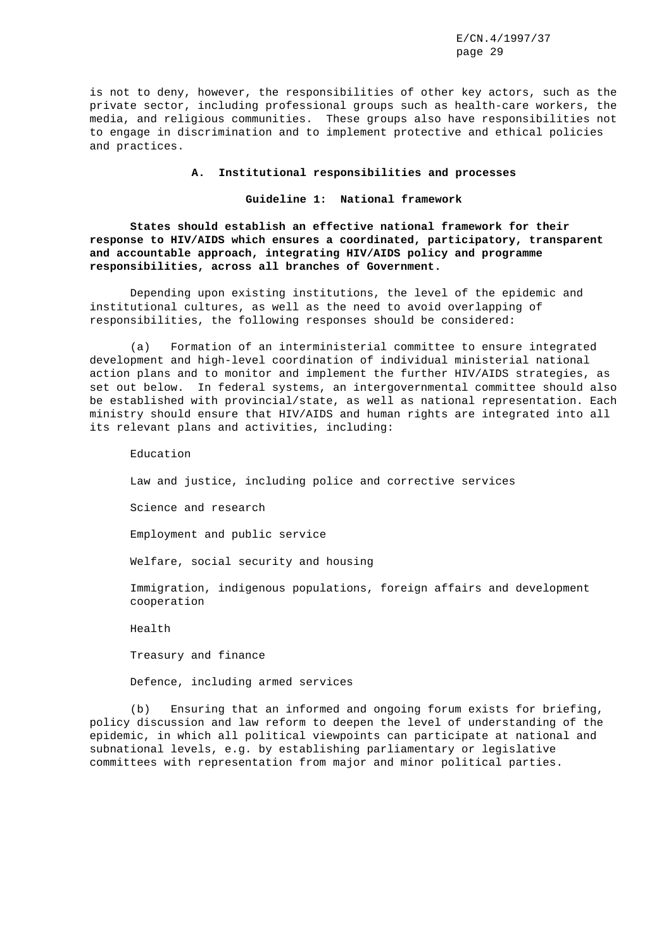is not to deny, however, the responsibilities of other key actors, such as the private sector, including professional groups such as health-care workers, the media, and religious communities. These groups also have responsibilities not to engage in discrimination and to implement protective and ethical policies and practices.

#### **A. Institutional responsibilities and processes**

**Guideline 1: National framework**

**States should establish an effective national framework for their response to HIV/AIDS which ensures a coordinated, participatory, transparent and accountable approach, integrating HIV/AIDS policy and programme responsibilities, across all branches of Government.**

Depending upon existing institutions, the level of the epidemic and institutional cultures, as well as the need to avoid overlapping of responsibilities, the following responses should be considered:

(a) Formation of an interministerial committee to ensure integrated development and high-level coordination of individual ministerial national action plans and to monitor and implement the further HIV/AIDS strategies, as set out below. In federal systems, an intergovernmental committee should also be established with provincial/state, as well as national representation. Each ministry should ensure that HIV/AIDS and human rights are integrated into all its relevant plans and activities, including:

Education

Law and justice, including police and corrective services

Science and research

Employment and public service

Welfare, social security and housing

Immigration, indigenous populations, foreign affairs and development cooperation

Health

Treasury and finance

Defence, including armed services

(b) Ensuring that an informed and ongoing forum exists for briefing, policy discussion and law reform to deepen the level of understanding of the epidemic, in which all political viewpoints can participate at national and subnational levels, e.g. by establishing parliamentary or legislative committees with representation from major and minor political parties.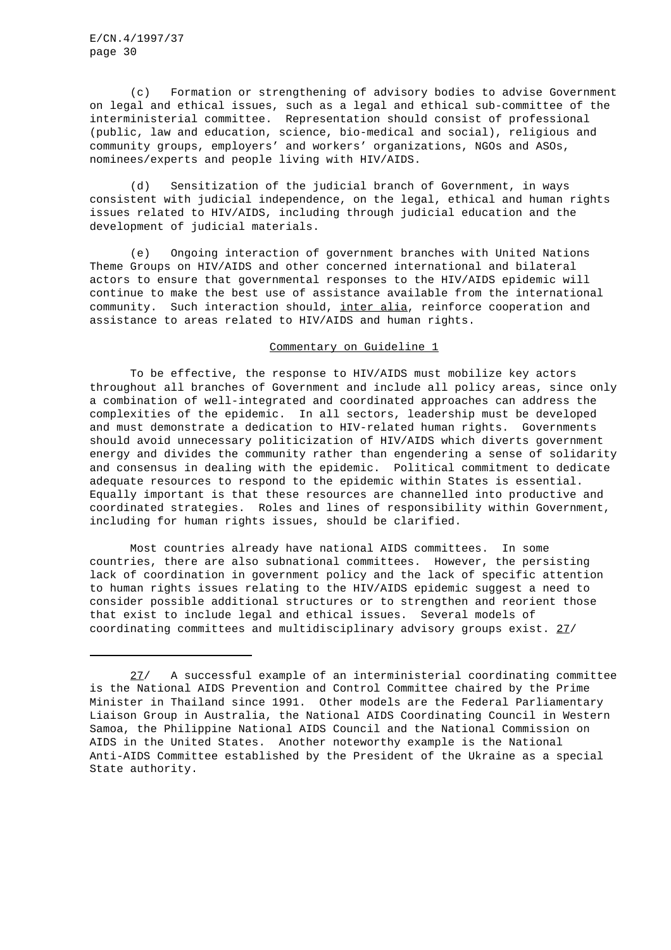(c) Formation or strengthening of advisory bodies to advise Government on legal and ethical issues, such as a legal and ethical sub-committee of the interministerial committee. Representation should consist of professional (public, law and education, science, bio-medical and social), religious and community groups, employers' and workers' organizations, NGOs and ASOs, nominees/experts and people living with HIV/AIDS.

(d) Sensitization of the judicial branch of Government, in ways consistent with judicial independence, on the legal, ethical and human rights issues related to HIV/AIDS, including through judicial education and the development of judicial materials.

(e) Ongoing interaction of government branches with United Nations Theme Groups on HIV/AIDS and other concerned international and bilateral actors to ensure that governmental responses to the HIV/AIDS epidemic will continue to make the best use of assistance available from the international community. Such interaction should, inter alia, reinforce cooperation and assistance to areas related to HIV/AIDS and human rights.

#### Commentary on Guideline 1

To be effective, the response to HIV/AIDS must mobilize key actors throughout all branches of Government and include all policy areas, since only a combination of well-integrated and coordinated approaches can address the complexities of the epidemic. In all sectors, leadership must be developed and must demonstrate a dedication to HIV-related human rights. Governments should avoid unnecessary politicization of HIV/AIDS which diverts government energy and divides the community rather than engendering a sense of solidarity and consensus in dealing with the epidemic. Political commitment to dedicate adequate resources to respond to the epidemic within States is essential. Equally important is that these resources are channelled into productive and coordinated strategies. Roles and lines of responsibility within Government, including for human rights issues, should be clarified.

Most countries already have national AIDS committees. In some countries, there are also subnational committees. However, the persisting lack of coordination in government policy and the lack of specific attention to human rights issues relating to the HIV/AIDS epidemic suggest a need to consider possible additional structures or to strengthen and reorient those that exist to include legal and ethical issues. Several models of coordinating committees and multidisciplinary advisory groups exist. 27/

<sup>27/</sup> A successful example of an interministerial coordinating committee is the National AIDS Prevention and Control Committee chaired by the Prime Minister in Thailand since 1991. Other models are the Federal Parliamentary Liaison Group in Australia, the National AIDS Coordinating Council in Western Samoa, the Philippine National AIDS Council and the National Commission on AIDS in the United States. Another noteworthy example is the National Anti-AIDS Committee established by the President of the Ukraine as a special State authority.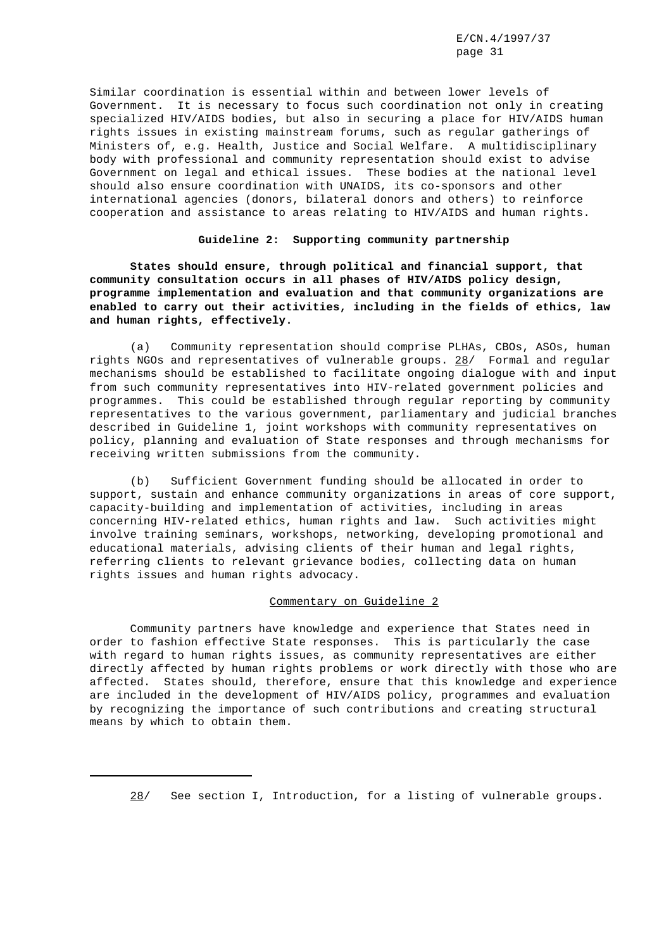Similar coordination is essential within and between lower levels of Government. It is necessary to focus such coordination not only in creating specialized HIV/AIDS bodies, but also in securing a place for HIV/AIDS human rights issues in existing mainstream forums, such as regular gatherings of Ministers of, e.g. Health, Justice and Social Welfare. A multidisciplinary body with professional and community representation should exist to advise Government on legal and ethical issues. These bodies at the national level should also ensure coordination with UNAIDS, its co-sponsors and other international agencies (donors, bilateral donors and others) to reinforce cooperation and assistance to areas relating to HIV/AIDS and human rights.

### **Guideline 2: Supporting community partnership**

**States should ensure, through political and financial support, that community consultation occurs in all phases of HIV/AIDS policy design, programme implementation and evaluation and that community organizations are enabled to carry out their activities, including in the fields of ethics, law and human rights, effectively.**

(a) Community representation should comprise PLHAs, CBOs, ASOs, human rights NGOs and representatives of vulnerable groups. 28/ Formal and regular mechanisms should be established to facilitate ongoing dialogue with and input from such community representatives into HIV-related government policies and programmes. This could be established through regular reporting by community representatives to the various government, parliamentary and judicial branches described in Guideline 1, joint workshops with community representatives on policy, planning and evaluation of State responses and through mechanisms for receiving written submissions from the community.

(b) Sufficient Government funding should be allocated in order to support, sustain and enhance community organizations in areas of core support, capacity-building and implementation of activities, including in areas concerning HIV-related ethics, human rights and law. Such activities might involve training seminars, workshops, networking, developing promotional and educational materials, advising clients of their human and legal rights, referring clients to relevant grievance bodies, collecting data on human rights issues and human rights advocacy.

## Commentary on Guideline 2

Community partners have knowledge and experience that States need in order to fashion effective State responses. This is particularly the case with regard to human rights issues, as community representatives are either directly affected by human rights problems or work directly with those who are affected. States should, therefore, ensure that this knowledge and experience are included in the development of HIV/AIDS policy, programmes and evaluation by recognizing the importance of such contributions and creating structural means by which to obtain them.

28/ See section I, Introduction, for a listing of vulnerable groups.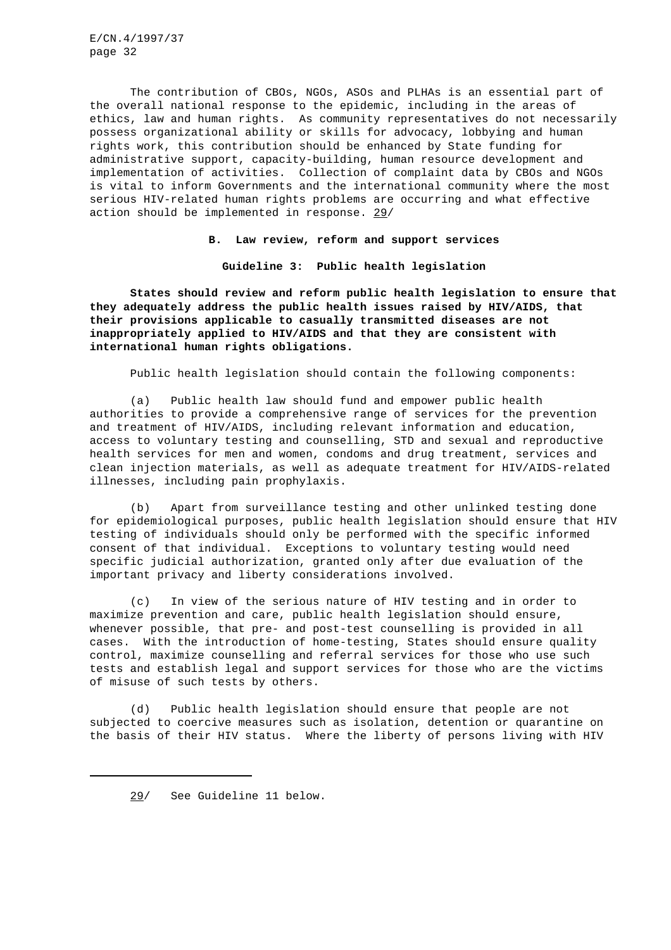The contribution of CBOs, NGOs, ASOs and PLHAs is an essential part of the overall national response to the epidemic, including in the areas of ethics, law and human rights. As community representatives do not necessarily possess organizational ability or skills for advocacy, lobbying and human rights work, this contribution should be enhanced by State funding for administrative support, capacity-building, human resource development and implementation of activities. Collection of complaint data by CBOs and NGOs is vital to inform Governments and the international community where the most serious HIV-related human rights problems are occurring and what effective action should be implemented in response. 29/

## **B. Law review, reform and support services**

**Guideline 3: Public health legislation**

**States should review and reform public health legislation to ensure that they adequately address the public health issues raised by HIV/AIDS, that their provisions applicable to casually transmitted diseases are not inappropriately applied to HIV/AIDS and that they are consistent with international human rights obligations.**

Public health legislation should contain the following components:

(a) Public health law should fund and empower public health authorities to provide a comprehensive range of services for the prevention and treatment of HIV/AIDS, including relevant information and education, access to voluntary testing and counselling, STD and sexual and reproductive health services for men and women, condoms and drug treatment, services and clean injection materials, as well as adequate treatment for HIV/AIDS-related illnesses, including pain prophylaxis.

(b) Apart from surveillance testing and other unlinked testing done for epidemiological purposes, public health legislation should ensure that HIV testing of individuals should only be performed with the specific informed consent of that individual. Exceptions to voluntary testing would need specific judicial authorization, granted only after due evaluation of the important privacy and liberty considerations involved.

(c) In view of the serious nature of HIV testing and in order to maximize prevention and care, public health legislation should ensure, whenever possible, that pre- and post-test counselling is provided in all cases. With the introduction of home-testing, States should ensure quality control, maximize counselling and referral services for those who use such tests and establish legal and support services for those who are the victims of misuse of such tests by others.

(d) Public health legislation should ensure that people are not subjected to coercive measures such as isolation, detention or quarantine on the basis of their HIV status. Where the liberty of persons living with HIV

<sup>29/</sup> See Guideline 11 below.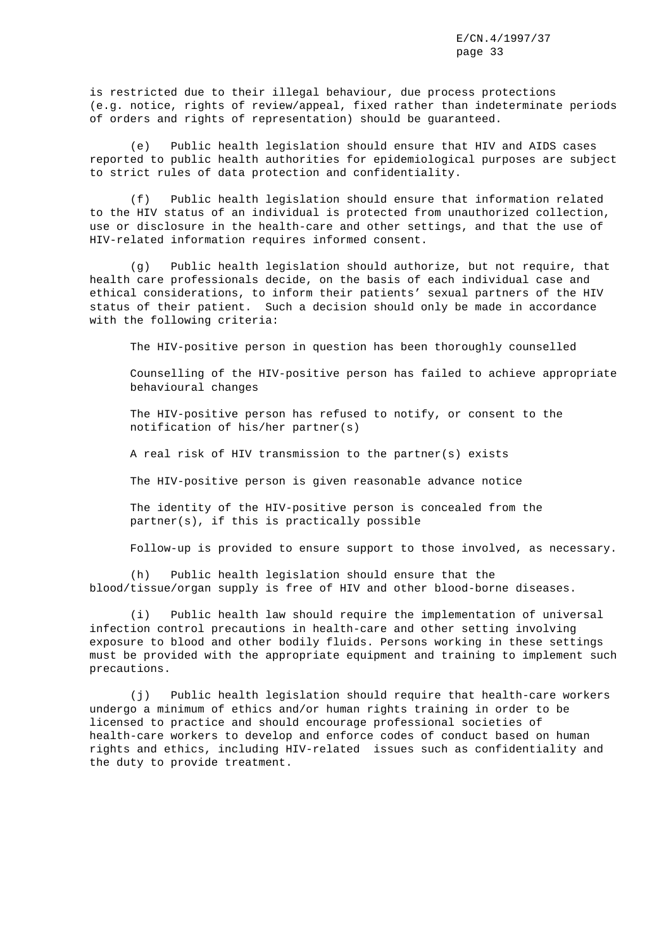is restricted due to their illegal behaviour, due process protections (e.g. notice, rights of review/appeal, fixed rather than indeterminate periods of orders and rights of representation) should be guaranteed.

(e) Public health legislation should ensure that HIV and AIDS cases reported to public health authorities for epidemiological purposes are subject to strict rules of data protection and confidentiality.

(f) Public health legislation should ensure that information related to the HIV status of an individual is protected from unauthorized collection, use or disclosure in the health-care and other settings, and that the use of HIV-related information requires informed consent.

(g) Public health legislation should authorize, but not require, that health care professionals decide, on the basis of each individual case and ethical considerations, to inform their patients' sexual partners of the HIV status of their patient. Such a decision should only be made in accordance with the following criteria:

The HIV-positive person in question has been thoroughly counselled

Counselling of the HIV-positive person has failed to achieve appropriate behavioural changes

The HIV-positive person has refused to notify, or consent to the notification of his/her partner(s)

A real risk of HIV transmission to the partner(s) exists

The HIV-positive person is given reasonable advance notice

The identity of the HIV-positive person is concealed from the partner(s), if this is practically possible

Follow-up is provided to ensure support to those involved, as necessary.

(h) Public health legislation should ensure that the blood/tissue/organ supply is free of HIV and other blood-borne diseases.

(i) Public health law should require the implementation of universal infection control precautions in health-care and other setting involving exposure to blood and other bodily fluids. Persons working in these settings must be provided with the appropriate equipment and training to implement such precautions.

(j) Public health legislation should require that health-care workers undergo a minimum of ethics and/or human rights training in order to be licensed to practice and should encourage professional societies of health-care workers to develop and enforce codes of conduct based on human rights and ethics, including HIV-related issues such as confidentiality and the duty to provide treatment.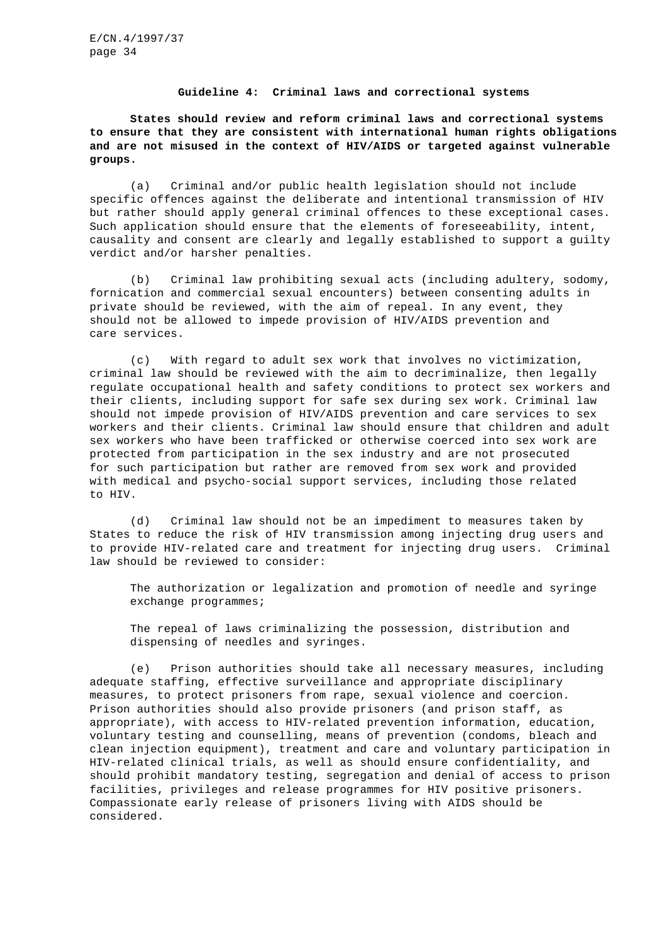#### **Guideline 4: Criminal laws and correctional systems**

**States should review and reform criminal laws and correctional systems to ensure that they are consistent with international human rights obligations and are not misused in the context of HIV/AIDS or targeted against vulnerable groups.**

(a) Criminal and/or public health legislation should not include specific offences against the deliberate and intentional transmission of HIV but rather should apply general criminal offences to these exceptional cases. Such application should ensure that the elements of foreseeability, intent, causality and consent are clearly and legally established to support a guilty verdict and/or harsher penalties.

(b) Criminal law prohibiting sexual acts (including adultery, sodomy, fornication and commercial sexual encounters) between consenting adults in private should be reviewed, with the aim of repeal. In any event, they should not be allowed to impede provision of HIV/AIDS prevention and care services.

(c) With regard to adult sex work that involves no victimization, criminal law should be reviewed with the aim to decriminalize, then legally regulate occupational health and safety conditions to protect sex workers and their clients, including support for safe sex during sex work. Criminal law should not impede provision of HIV/AIDS prevention and care services to sex workers and their clients. Criminal law should ensure that children and adult sex workers who have been trafficked or otherwise coerced into sex work are protected from participation in the sex industry and are not prosecuted for such participation but rather are removed from sex work and provided with medical and psycho-social support services, including those related to HIV.

(d) Criminal law should not be an impediment to measures taken by States to reduce the risk of HIV transmission among injecting drug users and to provide HIV-related care and treatment for injecting drug users. Criminal law should be reviewed to consider:

The authorization or legalization and promotion of needle and syringe exchange programmes;

The repeal of laws criminalizing the possession, distribution and dispensing of needles and syringes.

(e) Prison authorities should take all necessary measures, including adequate staffing, effective surveillance and appropriate disciplinary measures, to protect prisoners from rape, sexual violence and coercion. Prison authorities should also provide prisoners (and prison staff, as appropriate), with access to HIV-related prevention information, education, voluntary testing and counselling, means of prevention (condoms, bleach and clean injection equipment), treatment and care and voluntary participation in HIV-related clinical trials, as well as should ensure confidentiality, and should prohibit mandatory testing, segregation and denial of access to prison facilities, privileges and release programmes for HIV positive prisoners. Compassionate early release of prisoners living with AIDS should be considered.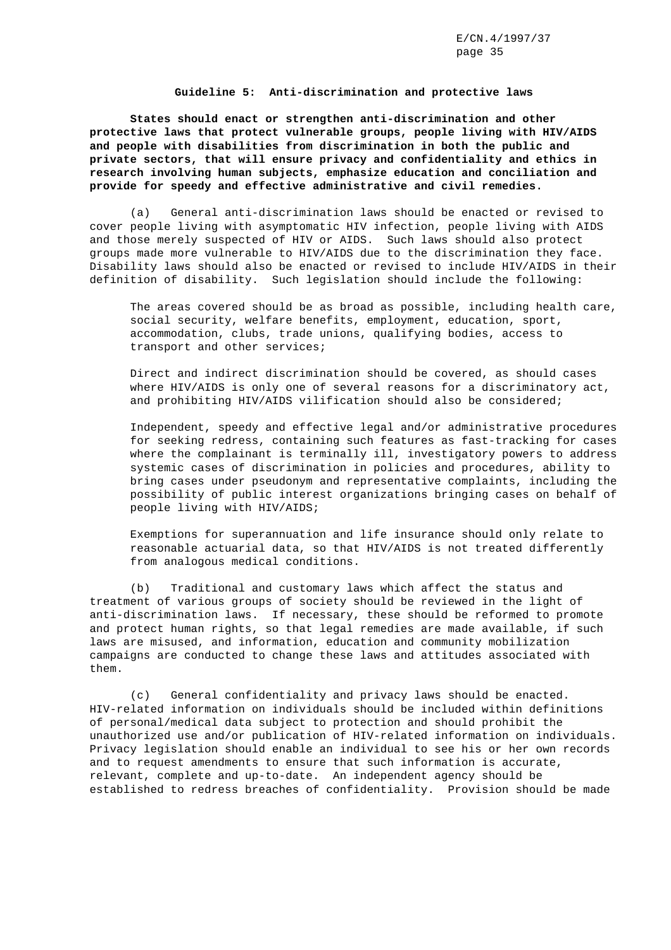#### **Guideline 5: Anti-discrimination and protective laws**

**States should enact or strengthen anti-discrimination and other protective laws that protect vulnerable groups, people living with HIV/AIDS and people with disabilities from discrimination in both the public and private sectors, that will ensure privacy and confidentiality and ethics in research involving human subjects, emphasize education and conciliation and provide for speedy and effective administrative and civil remedies.**

(a) General anti-discrimination laws should be enacted or revised to cover people living with asymptomatic HIV infection, people living with AIDS and those merely suspected of HIV or AIDS. Such laws should also protect groups made more vulnerable to HIV/AIDS due to the discrimination they face. Disability laws should also be enacted or revised to include HIV/AIDS in their definition of disability. Such legislation should include the following:

The areas covered should be as broad as possible, including health care, social security, welfare benefits, employment, education, sport, accommodation, clubs, trade unions, qualifying bodies, access to transport and other services;

Direct and indirect discrimination should be covered, as should cases where HIV/AIDS is only one of several reasons for a discriminatory act, and prohibiting HIV/AIDS vilification should also be considered;

Independent, speedy and effective legal and/or administrative procedures for seeking redress, containing such features as fast-tracking for cases where the complainant is terminally ill, investigatory powers to address systemic cases of discrimination in policies and procedures, ability to bring cases under pseudonym and representative complaints, including the possibility of public interest organizations bringing cases on behalf of people living with HIV/AIDS;

Exemptions for superannuation and life insurance should only relate to reasonable actuarial data, so that HIV/AIDS is not treated differently from analogous medical conditions.

(b) Traditional and customary laws which affect the status and treatment of various groups of society should be reviewed in the light of anti-discrimination laws. If necessary, these should be reformed to promote and protect human rights, so that legal remedies are made available, if such laws are misused, and information, education and community mobilization campaigns are conducted to change these laws and attitudes associated with them.

(c) General confidentiality and privacy laws should be enacted. HIV-related information on individuals should be included within definitions of personal/medical data subject to protection and should prohibit the unauthorized use and/or publication of HIV-related information on individuals. Privacy legislation should enable an individual to see his or her own records and to request amendments to ensure that such information is accurate, relevant, complete and up-to-date. An independent agency should be established to redress breaches of confidentiality. Provision should be made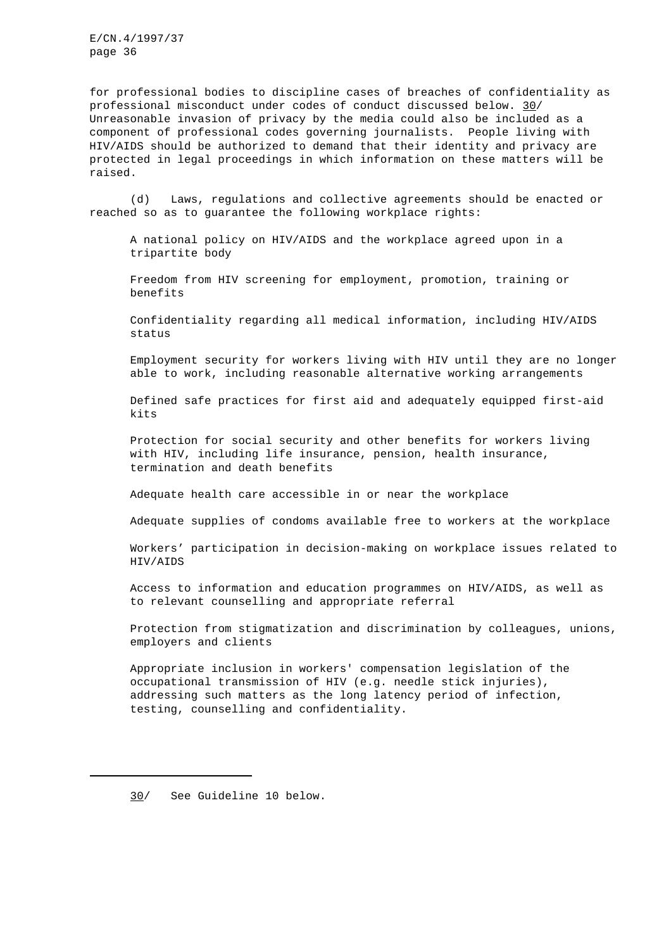for professional bodies to discipline cases of breaches of confidentiality as professional misconduct under codes of conduct discussed below. 30/ Unreasonable invasion of privacy by the media could also be included as a component of professional codes governing journalists. People living with HIV/AIDS should be authorized to demand that their identity and privacy are protected in legal proceedings in which information on these matters will be raised.

(d) Laws, regulations and collective agreements should be enacted or reached so as to guarantee the following workplace rights:

A national policy on HIV/AIDS and the workplace agreed upon in a tripartite body

Freedom from HIV screening for employment, promotion, training or benefits

Confidentiality regarding all medical information, including HIV/AIDS status

Employment security for workers living with HIV until they are no longer able to work, including reasonable alternative working arrangements

Defined safe practices for first aid and adequately equipped first-aid kits

Protection for social security and other benefits for workers living with HIV, including life insurance, pension, health insurance, termination and death benefits

Adequate health care accessible in or near the workplace

Adequate supplies of condoms available free to workers at the workplace

Workers' participation in decision-making on workplace issues related to HIV/AIDS

Access to information and education programmes on HIV/AIDS, as well as to relevant counselling and appropriate referral

Protection from stigmatization and discrimination by colleagues, unions, employers and clients

Appropriate inclusion in workers' compensation legislation of the occupational transmission of HIV (e.g. needle stick injuries), addressing such matters as the long latency period of infection, testing, counselling and confidentiality.

<sup>30/</sup> See Guideline 10 below.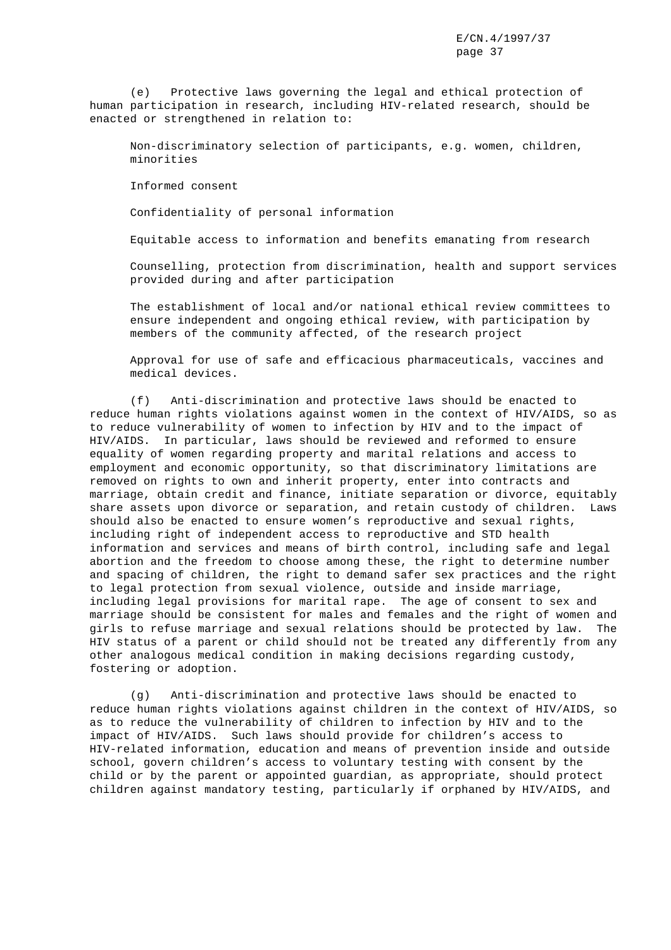(e) Protective laws governing the legal and ethical protection of human participation in research, including HIV-related research, should be enacted or strengthened in relation to:

Non-discriminatory selection of participants, e.g. women, children, minorities

Informed consent

Confidentiality of personal information

Equitable access to information and benefits emanating from research

Counselling, protection from discrimination, health and support services provided during and after participation

The establishment of local and/or national ethical review committees to ensure independent and ongoing ethical review, with participation by members of the community affected, of the research project

Approval for use of safe and efficacious pharmaceuticals, vaccines and medical devices.

(f) Anti-discrimination and protective laws should be enacted to reduce human rights violations against women in the context of HIV/AIDS, so as to reduce vulnerability of women to infection by HIV and to the impact of HIV/AIDS. In particular, laws should be reviewed and reformed to ensure equality of women regarding property and marital relations and access to employment and economic opportunity, so that discriminatory limitations are removed on rights to own and inherit property, enter into contracts and marriage, obtain credit and finance, initiate separation or divorce, equitably share assets upon divorce or separation, and retain custody of children. Laws should also be enacted to ensure women's reproductive and sexual rights, including right of independent access to reproductive and STD health information and services and means of birth control, including safe and legal abortion and the freedom to choose among these, the right to determine number and spacing of children, the right to demand safer sex practices and the right to legal protection from sexual violence, outside and inside marriage, including legal provisions for marital rape. The age of consent to sex and marriage should be consistent for males and females and the right of women and girls to refuse marriage and sexual relations should be protected by law. The HIV status of a parent or child should not be treated any differently from any other analogous medical condition in making decisions regarding custody, fostering or adoption.

(g) Anti-discrimination and protective laws should be enacted to reduce human rights violations against children in the context of HIV/AIDS, so as to reduce the vulnerability of children to infection by HIV and to the impact of HIV/AIDS. Such laws should provide for children's access to HIV-related information, education and means of prevention inside and outside school, govern children's access to voluntary testing with consent by the child or by the parent or appointed guardian, as appropriate, should protect children against mandatory testing, particularly if orphaned by HIV/AIDS, and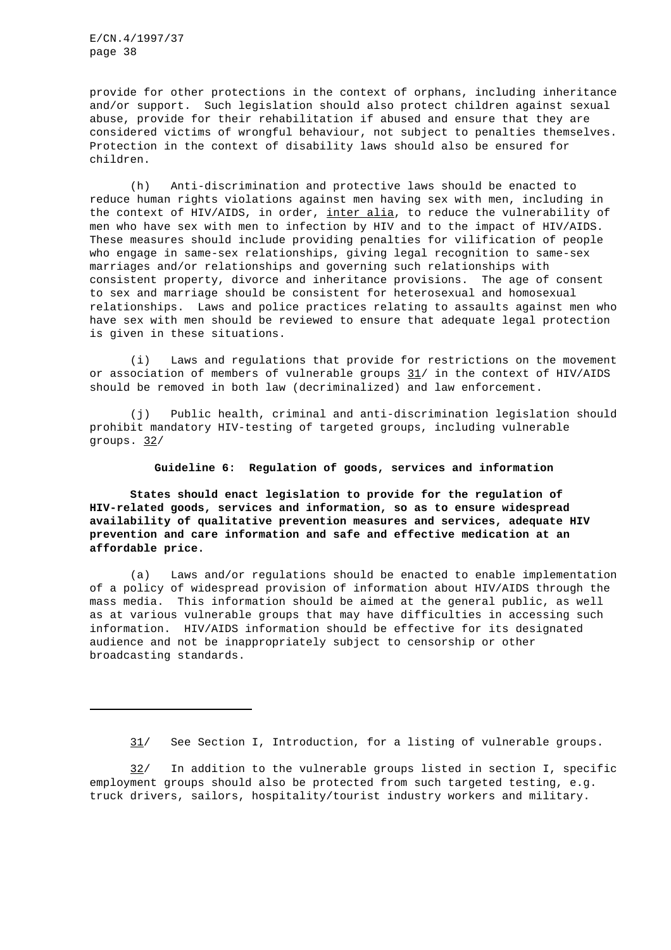provide for other protections in the context of orphans, including inheritance and/or support. Such legislation should also protect children against sexual abuse, provide for their rehabilitation if abused and ensure that they are considered victims of wrongful behaviour, not subject to penalties themselves. Protection in the context of disability laws should also be ensured for children.

(h) Anti-discrimination and protective laws should be enacted to reduce human rights violations against men having sex with men, including in the context of HIV/AIDS, in order, inter alia, to reduce the vulnerability of men who have sex with men to infection by HIV and to the impact of HIV/AIDS. These measures should include providing penalties for vilification of people who engage in same-sex relationships, giving legal recognition to same-sex marriages and/or relationships and governing such relationships with consistent property, divorce and inheritance provisions. The age of consent to sex and marriage should be consistent for heterosexual and homosexual relationships. Laws and police practices relating to assaults against men who have sex with men should be reviewed to ensure that adequate legal protection is given in these situations.

(i) Laws and regulations that provide for restrictions on the movement or association of members of vulnerable groups 31/ in the context of HIV/AIDS should be removed in both law (decriminalized) and law enforcement.

(j) Public health, criminal and anti-discrimination legislation should prohibit mandatory HIV-testing of targeted groups, including vulnerable groups. 32/

#### **Guideline 6: Regulation of goods, services and information**

**States should enact legislation to provide for the regulation of HIV-related goods, services and information, so as to ensure widespread availability of qualitative prevention measures and services, adequate HIV prevention and care information and safe and effective medication at an affordable price.**

(a) Laws and/or regulations should be enacted to enable implementation of a policy of widespread provision of information about HIV/AIDS through the mass media. This information should be aimed at the general public, as well as at various vulnerable groups that may have difficulties in accessing such information. HIV/AIDS information should be effective for its designated audience and not be inappropriately subject to censorship or other broadcasting standards.

31/ See Section I, Introduction, for a listing of vulnerable groups.

32/ In addition to the vulnerable groups listed in section I, specific employment groups should also be protected from such targeted testing, e.g. truck drivers, sailors, hospitality/tourist industry workers and military.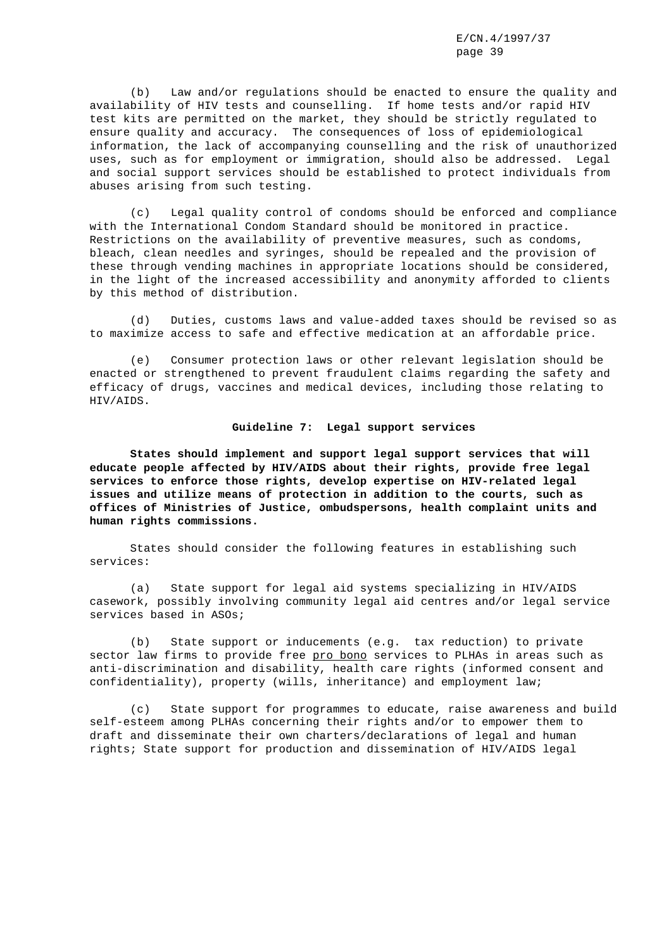(b) Law and/or regulations should be enacted to ensure the quality and availability of HIV tests and counselling. If home tests and/or rapid HIV test kits are permitted on the market, they should be strictly regulated to ensure quality and accuracy. The consequences of loss of epidemiological information, the lack of accompanying counselling and the risk of unauthorized uses, such as for employment or immigration, should also be addressed. Legal and social support services should be established to protect individuals from abuses arising from such testing.

(c) Legal quality control of condoms should be enforced and compliance with the International Condom Standard should be monitored in practice. Restrictions on the availability of preventive measures, such as condoms, bleach, clean needles and syringes, should be repealed and the provision of these through vending machines in appropriate locations should be considered, in the light of the increased accessibility and anonymity afforded to clients by this method of distribution.

(d) Duties, customs laws and value-added taxes should be revised so as to maximize access to safe and effective medication at an affordable price.

(e) Consumer protection laws or other relevant legislation should be enacted or strengthened to prevent fraudulent claims regarding the safety and efficacy of drugs, vaccines and medical devices, including those relating to HIV/AIDS.

### **Guideline 7: Legal support services**

**States should implement and support legal support services that will educate people affected by HIV/AIDS about their rights, provide free legal services to enforce those rights, develop expertise on HIV-related legal issues and utilize means of protection in addition to the courts, such as offices of Ministries of Justice, ombudspersons, health complaint units and human rights commissions.**

States should consider the following features in establishing such services:

(a) State support for legal aid systems specializing in HIV/AIDS casework, possibly involving community legal aid centres and/or legal service services based in ASOs;

(b) State support or inducements (e.g. tax reduction) to private sector law firms to provide free pro bono services to PLHAs in areas such as anti-discrimination and disability, health care rights (informed consent and confidentiality), property (wills, inheritance) and employment law;

(c) State support for programmes to educate, raise awareness and build self-esteem among PLHAs concerning their rights and/or to empower them to draft and disseminate their own charters/declarations of legal and human rights; State support for production and dissemination of HIV/AIDS legal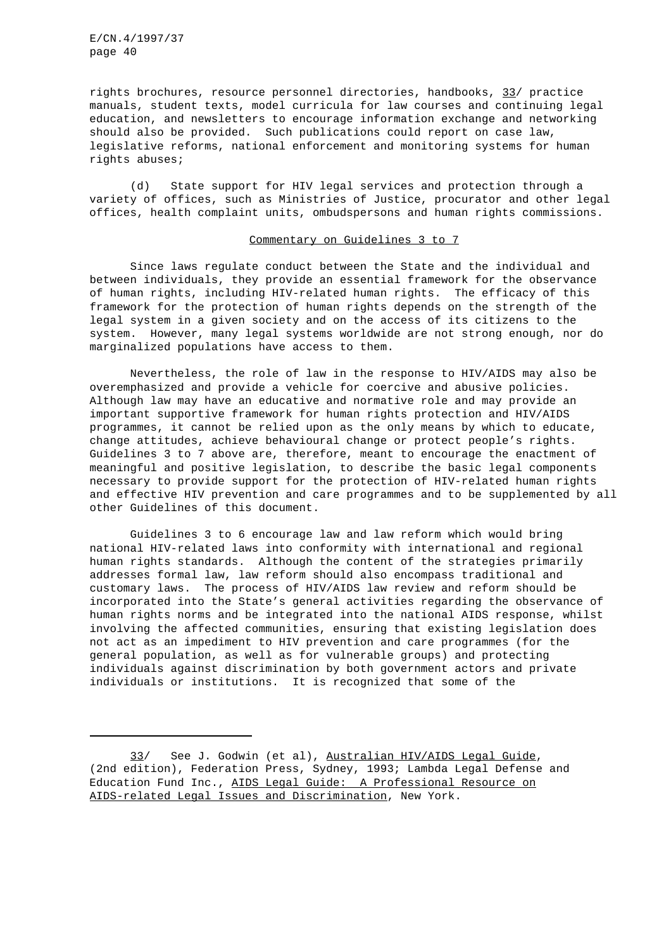rights brochures, resource personnel directories, handbooks, 33/ practice manuals, student texts, model curricula for law courses and continuing legal education, and newsletters to encourage information exchange and networking should also be provided. Such publications could report on case law, legislative reforms, national enforcement and monitoring systems for human rights abuses;

(d) State support for HIV legal services and protection through a variety of offices, such as Ministries of Justice, procurator and other legal offices, health complaint units, ombudspersons and human rights commissions.

#### Commentary on Guidelines 3 to 7

Since laws regulate conduct between the State and the individual and between individuals, they provide an essential framework for the observance of human rights, including HIV-related human rights. The efficacy of this framework for the protection of human rights depends on the strength of the legal system in a given society and on the access of its citizens to the system. However, many legal systems worldwide are not strong enough, nor do marginalized populations have access to them.

Nevertheless, the role of law in the response to HIV/AIDS may also be overemphasized and provide a vehicle for coercive and abusive policies. Although law may have an educative and normative role and may provide an important supportive framework for human rights protection and HIV/AIDS programmes, it cannot be relied upon as the only means by which to educate, change attitudes, achieve behavioural change or protect people's rights. Guidelines 3 to 7 above are, therefore, meant to encourage the enactment of meaningful and positive legislation, to describe the basic legal components necessary to provide support for the protection of HIV-related human rights and effective HIV prevention and care programmes and to be supplemented by all other Guidelines of this document.

Guidelines 3 to 6 encourage law and law reform which would bring national HIV-related laws into conformity with international and regional human rights standards. Although the content of the strategies primarily addresses formal law, law reform should also encompass traditional and customary laws. The process of HIV/AIDS law review and reform should be incorporated into the State's general activities regarding the observance of human rights norms and be integrated into the national AIDS response, whilst involving the affected communities, ensuring that existing legislation does not act as an impediment to HIV prevention and care programmes (for the general population, as well as for vulnerable groups) and protecting individuals against discrimination by both government actors and private individuals or institutions. It is recognized that some of the

<sup>33/</sup> See J. Godwin (et al), Australian HIV/AIDS Legal Guide, (2nd edition), Federation Press, Sydney, 1993; Lambda Legal Defense and Education Fund Inc., AIDS Legal Guide: A Professional Resource on AIDS-related Legal Issues and Discrimination, New York.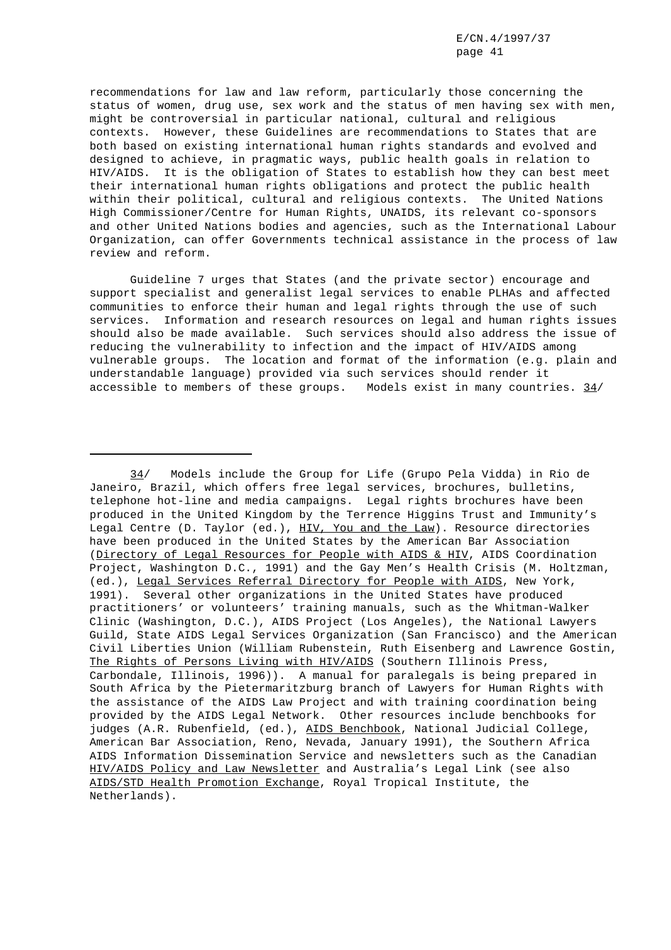recommendations for law and law reform, particularly those concerning the status of women, drug use, sex work and the status of men having sex with men, might be controversial in particular national, cultural and religious contexts. However, these Guidelines are recommendations to States that are both based on existing international human rights standards and evolved and designed to achieve, in pragmatic ways, public health goals in relation to HIV/AIDS. It is the obligation of States to establish how they can best meet their international human rights obligations and protect the public health within their political, cultural and religious contexts. The United Nations High Commissioner/Centre for Human Rights, UNAIDS, its relevant co-sponsors and other United Nations bodies and agencies, such as the International Labour Organization, can offer Governments technical assistance in the process of law review and reform.

Guideline 7 urges that States (and the private sector) encourage and support specialist and generalist legal services to enable PLHAs and affected communities to enforce their human and legal rights through the use of such services. Information and research resources on legal and human rights issues should also be made available. Such services should also address the issue of reducing the vulnerability to infection and the impact of HIV/AIDS among vulnerable groups. The location and format of the information (e.g. plain and understandable language) provided via such services should render it accessible to members of these groups. Models exist in many countries.  $34/$ 

<sup>34/</sup> Models include the Group for Life (Grupo Pela Vidda) in Rio de Janeiro, Brazil, which offers free legal services, brochures, bulletins, telephone hot-line and media campaigns. Legal rights brochures have been produced in the United Kingdom by the Terrence Higgins Trust and Immunity's Legal Centre (D. Taylor (ed.),  $HIV$ , You and the Law). Resource directories have been produced in the United States by the American Bar Association (Directory of Legal Resources for People with AIDS & HIV, AIDS Coordination Project, Washington D.C., 1991) and the Gay Men's Health Crisis (M. Holtzman, (ed.), Legal Services Referral Directory for People with AIDS, New York, 1991). Several other organizations in the United States have produced practitioners' or volunteers' training manuals, such as the Whitman-Walker Clinic (Washington, D.C.), AIDS Project (Los Angeles), the National Lawyers Guild, State AIDS Legal Services Organization (San Francisco) and the American Civil Liberties Union (William Rubenstein, Ruth Eisenberg and Lawrence Gostin, The Rights of Persons Living with HIV/AIDS (Southern Illinois Press, Carbondale, Illinois, 1996)). A manual for paralegals is being prepared in South Africa by the Pietermaritzburg branch of Lawyers for Human Rights with the assistance of the AIDS Law Project and with training coordination being provided by the AIDS Legal Network. Other resources include benchbooks for judges (A.R. Rubenfield, (ed.), AIDS Benchbook, National Judicial College, American Bar Association, Reno, Nevada, January 1991), the Southern Africa AIDS Information Dissemination Service and newsletters such as the Canadian HIV/AIDS Policy and Law Newsletter and Australia's Legal Link (see also AIDS/STD Health Promotion Exchange, Royal Tropical Institute, the Netherlands).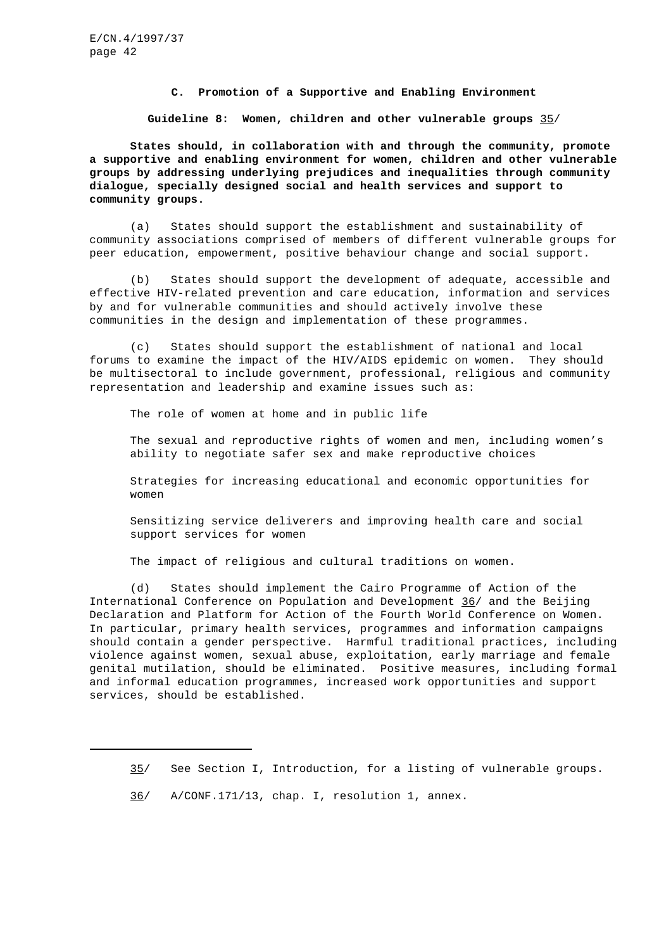**C. Promotion of a Supportive and Enabling Environment**

**Guideline 8: Women, children and other vulnerable groups** 35/

**States should, in collaboration with and through the community, promote a supportive and enabling environment for women, children and other vulnerable groups by addressing underlying prejudices and inequalities through community dialogue, specially designed social and health services and support to community groups.**

(a) States should support the establishment and sustainability of community associations comprised of members of different vulnerable groups for peer education, empowerment, positive behaviour change and social support.

(b) States should support the development of adequate, accessible and effective HIV-related prevention and care education, information and services by and for vulnerable communities and should actively involve these communities in the design and implementation of these programmes.

(c) States should support the establishment of national and local forums to examine the impact of the HIV/AIDS epidemic on women. They should be multisectoral to include government, professional, religious and community representation and leadership and examine issues such as:

The role of women at home and in public life

The sexual and reproductive rights of women and men, including women's ability to negotiate safer sex and make reproductive choices

Strategies for increasing educational and economic opportunities for women

Sensitizing service deliverers and improving health care and social support services for women

The impact of religious and cultural traditions on women.

(d) States should implement the Cairo Programme of Action of the International Conference on Population and Development 36/ and the Beijing Declaration and Platform for Action of the Fourth World Conference on Women. In particular, primary health services, programmes and information campaigns should contain a gender perspective. Harmful traditional practices, including violence against women, sexual abuse, exploitation, early marriage and female genital mutilation, should be eliminated. Positive measures, including formal and informal education programmes, increased work opportunities and support services, should be established.

36/ A/CONF.171/13, chap. I, resolution 1, annex.

<sup>35/</sup> See Section I, Introduction, for a listing of vulnerable groups.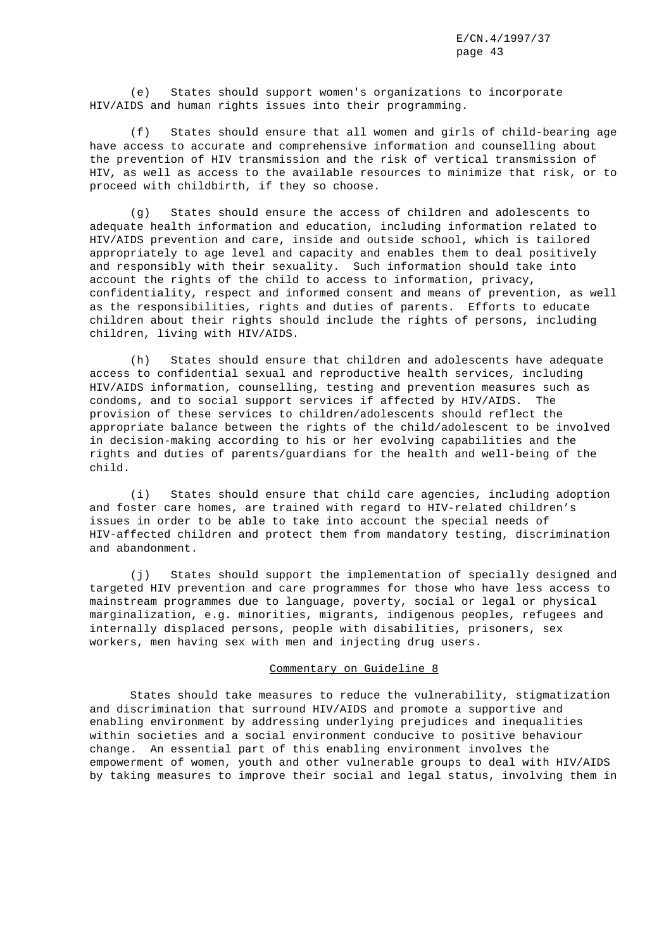(e) States should support women's organizations to incorporate HIV/AIDS and human rights issues into their programming.

(f) States should ensure that all women and girls of child-bearing age have access to accurate and comprehensive information and counselling about the prevention of HIV transmission and the risk of vertical transmission of HIV, as well as access to the available resources to minimize that risk, or to proceed with childbirth, if they so choose.

(g) States should ensure the access of children and adolescents to adequate health information and education, including information related to HIV/AIDS prevention and care, inside and outside school, which is tailored appropriately to age level and capacity and enables them to deal positively and responsibly with their sexuality. Such information should take into account the rights of the child to access to information, privacy, confidentiality, respect and informed consent and means of prevention, as well as the responsibilities, rights and duties of parents. Efforts to educate children about their rights should include the rights of persons, including children, living with HIV/AIDS.

(h) States should ensure that children and adolescents have adequate access to confidential sexual and reproductive health services, including HIV/AIDS information, counselling, testing and prevention measures such as condoms, and to social support services if affected by HIV/AIDS. The provision of these services to children/adolescents should reflect the appropriate balance between the rights of the child/adolescent to be involved in decision-making according to his or her evolving capabilities and the rights and duties of parents/guardians for the health and well-being of the child.

(i) States should ensure that child care agencies, including adoption and foster care homes, are trained with regard to HIV-related children's issues in order to be able to take into account the special needs of HIV-affected children and protect them from mandatory testing, discrimination and abandonment.

(j) States should support the implementation of specially designed and targeted HIV prevention and care programmes for those who have less access to mainstream programmes due to language, poverty, social or legal or physical marginalization, e.g. minorities, migrants, indigenous peoples, refugees and internally displaced persons, people with disabilities, prisoners, sex workers, men having sex with men and injecting drug users.

#### Commentary on Guideline 8

States should take measures to reduce the vulnerability, stigmatization and discrimination that surround HIV/AIDS and promote a supportive and enabling environment by addressing underlying prejudices and inequalities within societies and a social environment conducive to positive behaviour change. An essential part of this enabling environment involves the empowerment of women, youth and other vulnerable groups to deal with HIV/AIDS by taking measures to improve their social and legal status, involving them in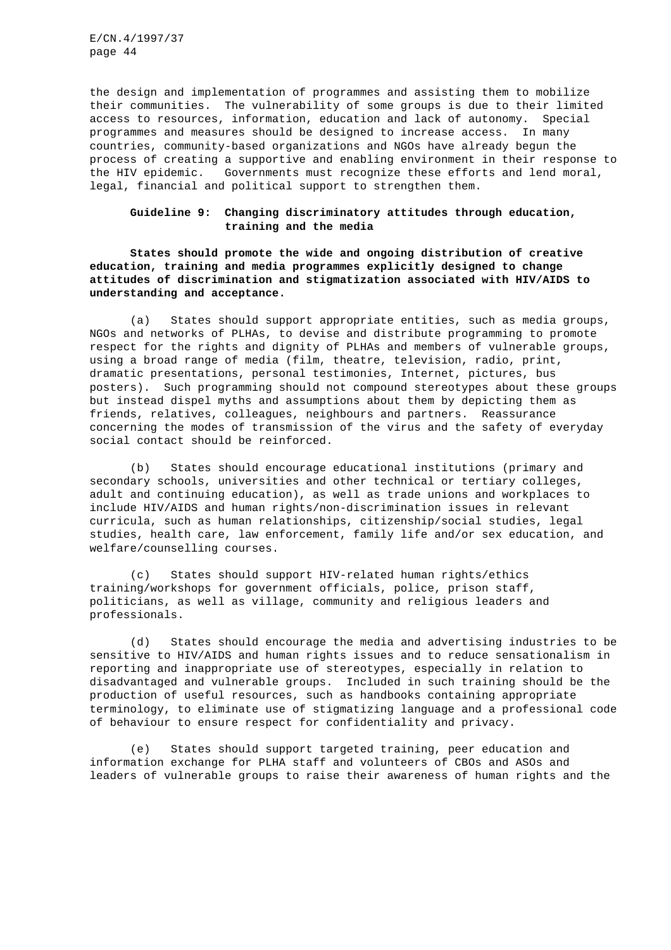the design and implementation of programmes and assisting them to mobilize their communities. The vulnerability of some groups is due to their limited access to resources, information, education and lack of autonomy. Special programmes and measures should be designed to increase access. In many countries, community-based organizations and NGOs have already begun the process of creating a supportive and enabling environment in their response to the HIV epidemic. Governments must recognize these efforts and lend moral, legal, financial and political support to strengthen them.

## **Guideline 9: Changing discriminatory attitudes through education, training and the media**

**States should promote the wide and ongoing distribution of creative education, training and media programmes explicitly designed to change attitudes of discrimination and stigmatization associated with HIV/AIDS to understanding and acceptance.**

(a) States should support appropriate entities, such as media groups, NGOs and networks of PLHAs, to devise and distribute programming to promote respect for the rights and dignity of PLHAs and members of vulnerable groups, using a broad range of media (film, theatre, television, radio, print, dramatic presentations, personal testimonies, Internet, pictures, bus posters). Such programming should not compound stereotypes about these groups but instead dispel myths and assumptions about them by depicting them as friends, relatives, colleagues, neighbours and partners. Reassurance concerning the modes of transmission of the virus and the safety of everyday social contact should be reinforced.

(b) States should encourage educational institutions (primary and secondary schools, universities and other technical or tertiary colleges, adult and continuing education), as well as trade unions and workplaces to include HIV/AIDS and human rights/non-discrimination issues in relevant curricula, such as human relationships, citizenship/social studies, legal studies, health care, law enforcement, family life and/or sex education, and welfare/counselling courses.

(c) States should support HIV-related human rights/ethics training/workshops for government officials, police, prison staff, politicians, as well as village, community and religious leaders and professionals.

(d) States should encourage the media and advertising industries to be sensitive to HIV/AIDS and human rights issues and to reduce sensationalism in reporting and inappropriate use of stereotypes, especially in relation to disadvantaged and vulnerable groups. Included in such training should be the production of useful resources, such as handbooks containing appropriate terminology, to eliminate use of stigmatizing language and a professional code of behaviour to ensure respect for confidentiality and privacy.

(e) States should support targeted training, peer education and information exchange for PLHA staff and volunteers of CBOs and ASOs and leaders of vulnerable groups to raise their awareness of human rights and the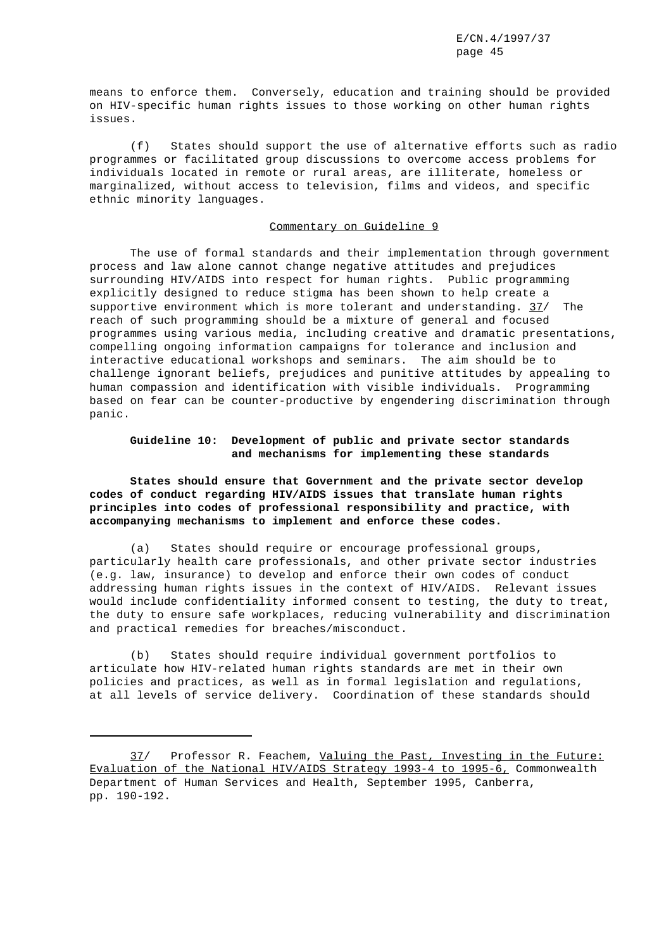means to enforce them. Conversely, education and training should be provided on HIV-specific human rights issues to those working on other human rights issues.

(f) States should support the use of alternative efforts such as radio programmes or facilitated group discussions to overcome access problems for individuals located in remote or rural areas, are illiterate, homeless or marginalized, without access to television, films and videos, and specific ethnic minority languages.

## Commentary on Guideline 9

The use of formal standards and their implementation through government process and law alone cannot change negative attitudes and prejudices surrounding HIV/AIDS into respect for human rights. Public programming explicitly designed to reduce stigma has been shown to help create a supportive environment which is more tolerant and understanding. 37/ The reach of such programming should be a mixture of general and focused programmes using various media, including creative and dramatic presentations, compelling ongoing information campaigns for tolerance and inclusion and interactive educational workshops and seminars. The aim should be to challenge ignorant beliefs, prejudices and punitive attitudes by appealing to human compassion and identification with visible individuals. Programming based on fear can be counter-productive by engendering discrimination through panic.

## **Guideline 10: Development of public and private sector standards and mechanisms for implementing these standards**

**States should ensure that Government and the private sector develop codes of conduct regarding HIV/AIDS issues that translate human rights principles into codes of professional responsibility and practice, with accompanying mechanisms to implement and enforce these codes.**

(a) States should require or encourage professional groups, particularly health care professionals, and other private sector industries (e.g. law, insurance) to develop and enforce their own codes of conduct addressing human rights issues in the context of HIV/AIDS. Relevant issues would include confidentiality informed consent to testing, the duty to treat, the duty to ensure safe workplaces, reducing vulnerability and discrimination and practical remedies for breaches/misconduct.

(b) States should require individual government portfolios to articulate how HIV-related human rights standards are met in their own policies and practices, as well as in formal legislation and regulations, at all levels of service delivery. Coordination of these standards should

<sup>37/</sup> Professor R. Feachem, Valuing the Past, Investing in the Future: Evaluation of the National HIV/AIDS Strategy 1993-4 to 1995-6, Commonwealth Department of Human Services and Health, September 1995, Canberra, pp. 190-192.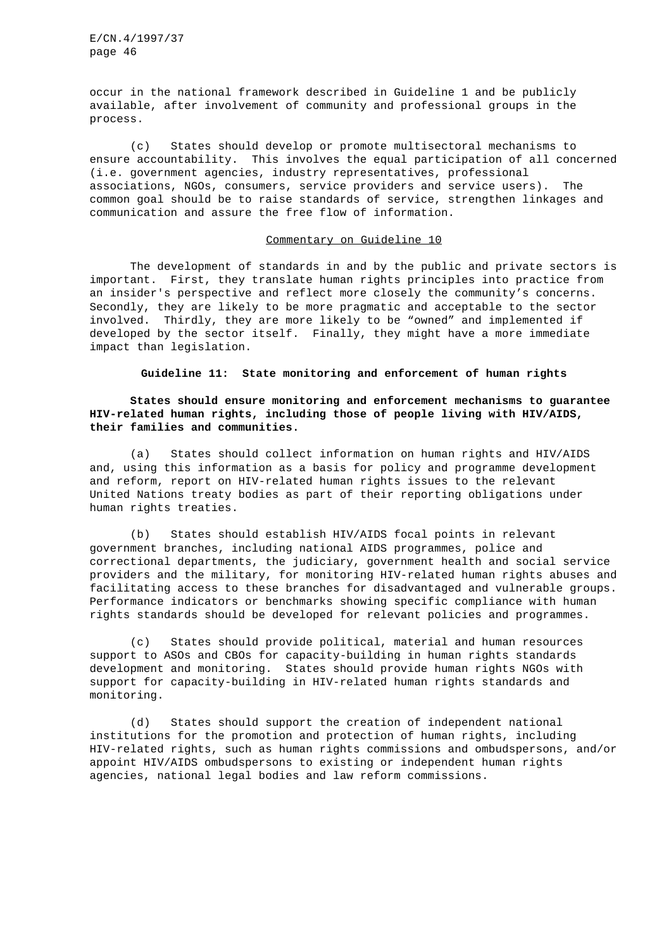occur in the national framework described in Guideline 1 and be publicly available, after involvement of community and professional groups in the process.

(c) States should develop or promote multisectoral mechanisms to ensure accountability. This involves the equal participation of all concerned (i.e. government agencies, industry representatives, professional associations, NGOs, consumers, service providers and service users). The common goal should be to raise standards of service, strengthen linkages and communication and assure the free flow of information.

## Commentary on Guideline 10

The development of standards in and by the public and private sectors is important. First, they translate human rights principles into practice from an insider's perspective and reflect more closely the community's concerns. Secondly, they are likely to be more pragmatic and acceptable to the sector involved. Thirdly, they are more likely to be "owned" and implemented if developed by the sector itself. Finally, they might have a more immediate impact than legislation.

#### **Guideline 11: State monitoring and enforcement of human rights**

## **States should ensure monitoring and enforcement mechanisms to guarantee HIV-related human rights, including those of people living with HIV/AIDS, their families and communities.**

(a) States should collect information on human rights and HIV/AIDS and, using this information as a basis for policy and programme development and reform, report on HIV-related human rights issues to the relevant United Nations treaty bodies as part of their reporting obligations under human rights treaties.

(b) States should establish HIV/AIDS focal points in relevant government branches, including national AIDS programmes, police and correctional departments, the judiciary, government health and social service providers and the military, for monitoring HIV-related human rights abuses and facilitating access to these branches for disadvantaged and vulnerable groups. Performance indicators or benchmarks showing specific compliance with human rights standards should be developed for relevant policies and programmes.

(c) States should provide political, material and human resources support to ASOs and CBOs for capacity-building in human rights standards development and monitoring. States should provide human rights NGOs with support for capacity-building in HIV-related human rights standards and monitoring.

(d) States should support the creation of independent national institutions for the promotion and protection of human rights, including HIV-related rights, such as human rights commissions and ombudspersons, and/or appoint HIV/AIDS ombudspersons to existing or independent human rights agencies, national legal bodies and law reform commissions.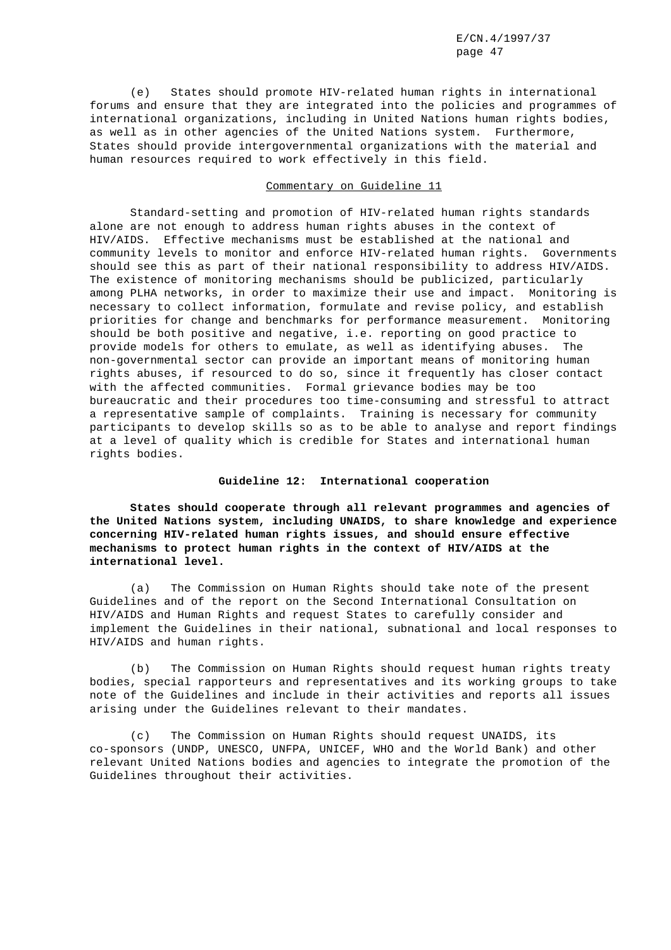(e) States should promote HIV-related human rights in international forums and ensure that they are integrated into the policies and programmes of international organizations, including in United Nations human rights bodies, as well as in other agencies of the United Nations system. Furthermore, States should provide intergovernmental organizations with the material and human resources required to work effectively in this field.

#### Commentary on Guideline 11

Standard-setting and promotion of HIV-related human rights standards alone are not enough to address human rights abuses in the context of HIV/AIDS. Effective mechanisms must be established at the national and community levels to monitor and enforce HIV-related human rights. Governments should see this as part of their national responsibility to address HIV/AIDS. The existence of monitoring mechanisms should be publicized, particularly among PLHA networks, in order to maximize their use and impact. Monitoring is necessary to collect information, formulate and revise policy, and establish priorities for change and benchmarks for performance measurement. Monitoring should be both positive and negative, i.e. reporting on good practice to provide models for others to emulate, as well as identifying abuses. The non-governmental sector can provide an important means of monitoring human rights abuses, if resourced to do so, since it frequently has closer contact with the affected communities. Formal grievance bodies may be too bureaucratic and their procedures too time-consuming and stressful to attract a representative sample of complaints. Training is necessary for community participants to develop skills so as to be able to analyse and report findings at a level of quality which is credible for States and international human rights bodies.

#### **Guideline 12: International cooperation**

**States should cooperate through all relevant programmes and agencies of the United Nations system, including UNAIDS, to share knowledge and experience concerning HIV-related human rights issues, and should ensure effective mechanisms to protect human rights in the context of HIV/AIDS at the international level.**

(a) The Commission on Human Rights should take note of the present Guidelines and of the report on the Second International Consultation on HIV/AIDS and Human Rights and request States to carefully consider and implement the Guidelines in their national, subnational and local responses to HIV/AIDS and human rights.

(b) The Commission on Human Rights should request human rights treaty bodies, special rapporteurs and representatives and its working groups to take note of the Guidelines and include in their activities and reports all issues arising under the Guidelines relevant to their mandates.

(c) The Commission on Human Rights should request UNAIDS, its co-sponsors (UNDP, UNESCO, UNFPA, UNICEF, WHO and the World Bank) and other relevant United Nations bodies and agencies to integrate the promotion of the Guidelines throughout their activities.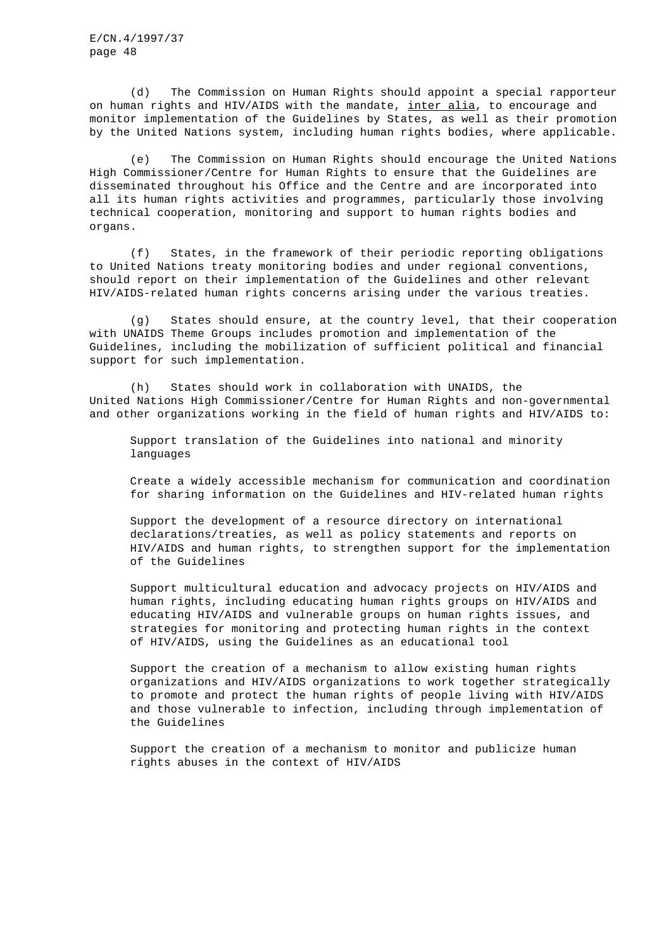(d) The Commission on Human Rights should appoint a special rapporteur on human rights and HIV/AIDS with the mandate, inter alia, to encourage and monitor implementation of the Guidelines by States, as well as their promotion by the United Nations system, including human rights bodies, where applicable.

(e) The Commission on Human Rights should encourage the United Nations High Commissioner/Centre for Human Rights to ensure that the Guidelines are disseminated throughout his Office and the Centre and are incorporated into all its human rights activities and programmes, particularly those involving technical cooperation, monitoring and support to human rights bodies and organs.

(f) States, in the framework of their periodic reporting obligations to United Nations treaty monitoring bodies and under regional conventions, should report on their implementation of the Guidelines and other relevant HIV/AIDS-related human rights concerns arising under the various treaties.

(g) States should ensure, at the country level, that their cooperation with UNAIDS Theme Groups includes promotion and implementation of the Guidelines, including the mobilization of sufficient political and financial support for such implementation.

(h) States should work in collaboration with UNAIDS, the United Nations High Commissioner/Centre for Human Rights and non-governmental and other organizations working in the field of human rights and HIV/AIDS to:

Support translation of the Guidelines into national and minority languages

Create a widely accessible mechanism for communication and coordination for sharing information on the Guidelines and HIV-related human rights

Support the development of a resource directory on international declarations/treaties, as well as policy statements and reports on HIV/AIDS and human rights, to strengthen support for the implementation of the Guidelines

Support multicultural education and advocacy projects on HIV/AIDS and human rights, including educating human rights groups on HIV/AIDS and educating HIV/AIDS and vulnerable groups on human rights issues, and strategies for monitoring and protecting human rights in the context of HIV/AIDS, using the Guidelines as an educational tool

Support the creation of a mechanism to allow existing human rights organizations and HIV/AIDS organizations to work together strategically to promote and protect the human rights of people living with HIV/AIDS and those vulnerable to infection, including through implementation of the Guidelines

Support the creation of a mechanism to monitor and publicize human rights abuses in the context of HIV/AIDS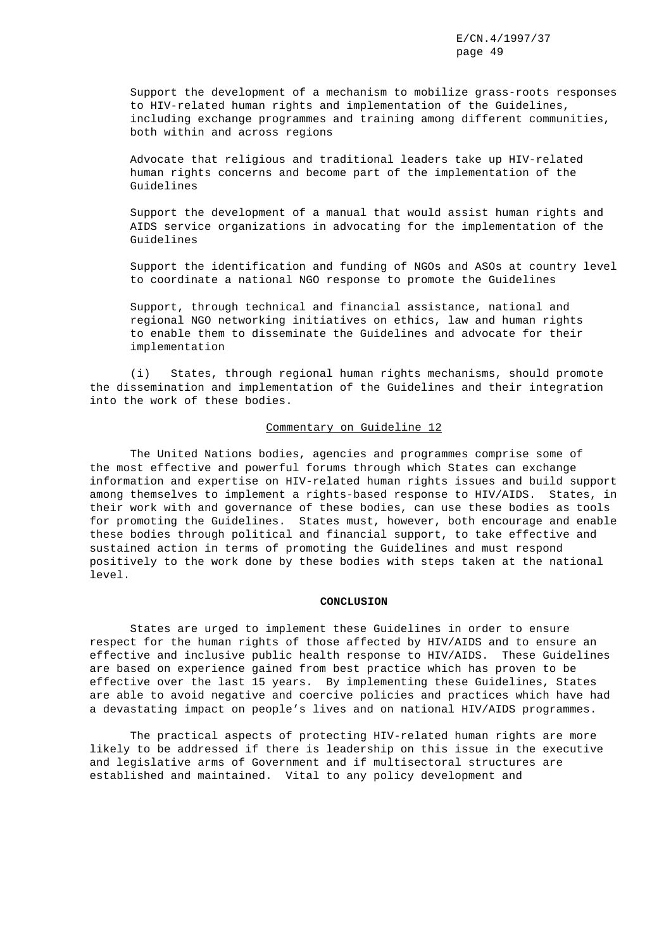Support the development of a mechanism to mobilize grass-roots responses to HIV-related human rights and implementation of the Guidelines, including exchange programmes and training among different communities, both within and across regions

Advocate that religious and traditional leaders take up HIV-related human rights concerns and become part of the implementation of the Guidelines

Support the development of a manual that would assist human rights and AIDS service organizations in advocating for the implementation of the Guidelines

Support the identification and funding of NGOs and ASOs at country level to coordinate a national NGO response to promote the Guidelines

Support, through technical and financial assistance, national and regional NGO networking initiatives on ethics, law and human rights to enable them to disseminate the Guidelines and advocate for their implementation

(i) States, through regional human rights mechanisms, should promote the dissemination and implementation of the Guidelines and their integration into the work of these bodies.

## Commentary on Guideline 12

The United Nations bodies, agencies and programmes comprise some of the most effective and powerful forums through which States can exchange information and expertise on HIV-related human rights issues and build support among themselves to implement a rights-based response to HIV/AIDS. States, in their work with and governance of these bodies, can use these bodies as tools for promoting the Guidelines. States must, however, both encourage and enable these bodies through political and financial support, to take effective and sustained action in terms of promoting the Guidelines and must respond positively to the work done by these bodies with steps taken at the national level.

#### **CONCLUSION**

States are urged to implement these Guidelines in order to ensure respect for the human rights of those affected by HIV/AIDS and to ensure an effective and inclusive public health response to HIV/AIDS. These Guidelines are based on experience gained from best practice which has proven to be effective over the last 15 years. By implementing these Guidelines, States are able to avoid negative and coercive policies and practices which have had a devastating impact on people's lives and on national HIV/AIDS programmes.

The practical aspects of protecting HIV-related human rights are more likely to be addressed if there is leadership on this issue in the executive and legislative arms of Government and if multisectoral structures are established and maintained. Vital to any policy development and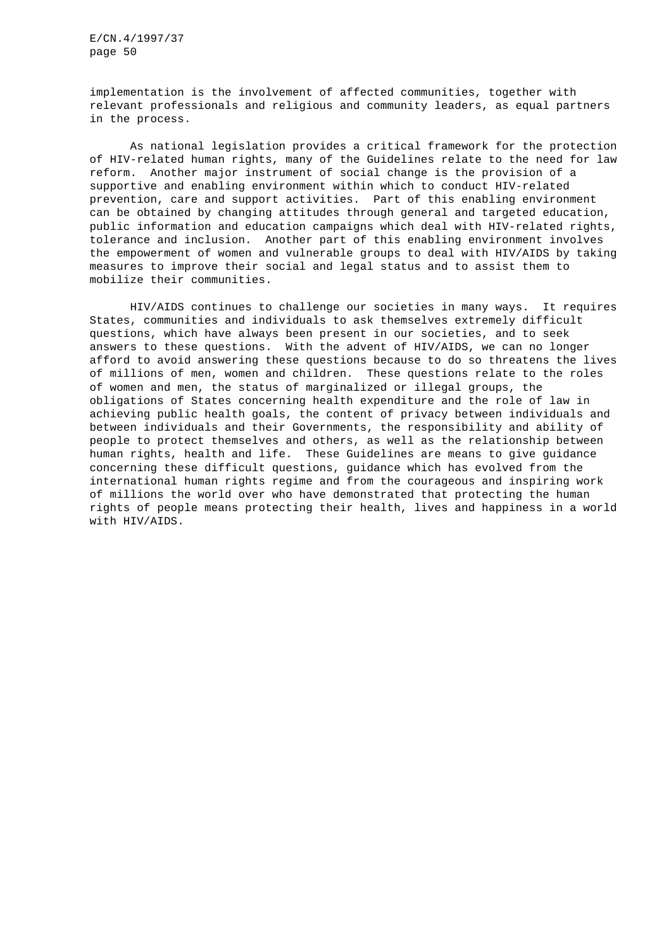implementation is the involvement of affected communities, together with relevant professionals and religious and community leaders, as equal partners in the process.

As national legislation provides a critical framework for the protection of HIV-related human rights, many of the Guidelines relate to the need for law reform. Another major instrument of social change is the provision of a supportive and enabling environment within which to conduct HIV-related prevention, care and support activities. Part of this enabling environment can be obtained by changing attitudes through general and targeted education, public information and education campaigns which deal with HIV-related rights, tolerance and inclusion. Another part of this enabling environment involves the empowerment of women and vulnerable groups to deal with HIV/AIDS by taking measures to improve their social and legal status and to assist them to mobilize their communities.

HIV/AIDS continues to challenge our societies in many ways. It requires States, communities and individuals to ask themselves extremely difficult questions, which have always been present in our societies, and to seek answers to these questions. With the advent of HIV/AIDS, we can no longer afford to avoid answering these questions because to do so threatens the lives of millions of men, women and children. These questions relate to the roles of women and men, the status of marginalized or illegal groups, the obligations of States concerning health expenditure and the role of law in achieving public health goals, the content of privacy between individuals and between individuals and their Governments, the responsibility and ability of people to protect themselves and others, as well as the relationship between human rights, health and life. These Guidelines are means to give guidance concerning these difficult questions, guidance which has evolved from the international human rights regime and from the courageous and inspiring work of millions the world over who have demonstrated that protecting the human rights of people means protecting their health, lives and happiness in a world with HIV/AIDS.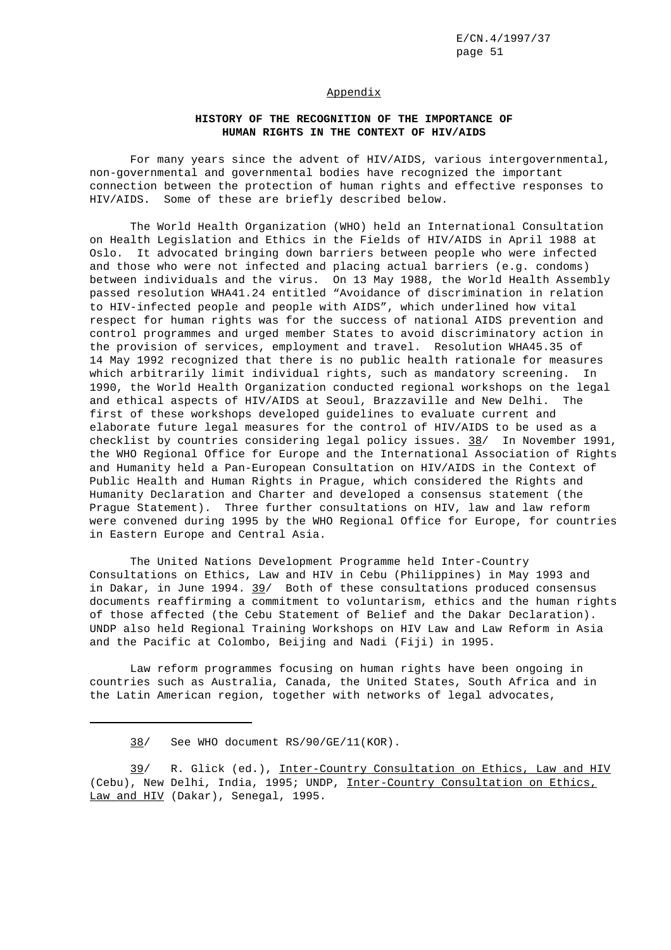### Appendix

## **HISTORY OF THE RECOGNITION OF THE IMPORTANCE OF HUMAN RIGHTS IN THE CONTEXT OF HIV/AIDS**

For many years since the advent of HIV/AIDS, various intergovernmental, non-governmental and governmental bodies have recognized the important connection between the protection of human rights and effective responses to HIV/AIDS. Some of these are briefly described below.

The World Health Organization (WHO) held an International Consultation on Health Legislation and Ethics in the Fields of HIV/AIDS in April 1988 at Oslo. It advocated bringing down barriers between people who were infected and those who were not infected and placing actual barriers (e.g. condoms) between individuals and the virus. On 13 May 1988, the World Health Assembly passed resolution WHA41.24 entitled "Avoidance of discrimination in relation to HIV-infected people and people with AIDS", which underlined how vital respect for human rights was for the success of national AIDS prevention and control programmes and urged member States to avoid discriminatory action in the provision of services, employment and travel. Resolution WHA45.35 of 14 May 1992 recognized that there is no public health rationale for measures which arbitrarily limit individual rights, such as mandatory screening. In 1990, the World Health Organization conducted regional workshops on the legal and ethical aspects of HIV/AIDS at Seoul, Brazzaville and New Delhi. The first of these workshops developed guidelines to evaluate current and elaborate future legal measures for the control of HIV/AIDS to be used as a checklist by countries considering legal policy issues. 38/ In November 1991, the WHO Regional Office for Europe and the International Association of Rights and Humanity held a Pan-European Consultation on HIV/AIDS in the Context of Public Health and Human Rights in Prague, which considered the Rights and Humanity Declaration and Charter and developed a consensus statement (the Prague Statement). Three further consultations on HIV, law and law reform were convened during 1995 by the WHO Regional Office for Europe, for countries in Eastern Europe and Central Asia.

The United Nations Development Programme held Inter-Country Consultations on Ethics, Law and HIV in Cebu (Philippines) in May 1993 and in Dakar, in June 1994. 39/ Both of these consultations produced consensus documents reaffirming a commitment to voluntarism, ethics and the human rights of those affected (the Cebu Statement of Belief and the Dakar Declaration). UNDP also held Regional Training Workshops on HIV Law and Law Reform in Asia and the Pacific at Colombo, Beijing and Nadi (Fiji) in 1995.

Law reform programmes focusing on human rights have been ongoing in countries such as Australia, Canada, the United States, South Africa and in the Latin American region, together with networks of legal advocates,

<sup>38/</sup> See WHO document RS/90/GE/11(KOR).

<sup>39/</sup> R. Glick (ed.), Inter-Country Consultation on Ethics, Law and HIV (Cebu), New Delhi, India, 1995; UNDP, Inter-Country Consultation on Ethics, Law and HIV (Dakar), Senegal, 1995.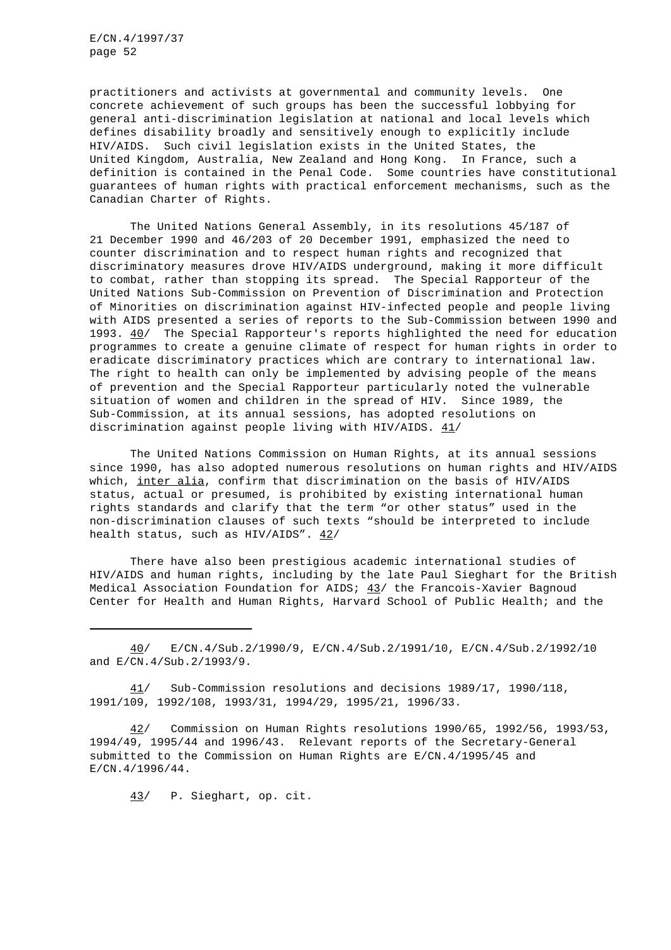practitioners and activists at governmental and community levels. One concrete achievement of such groups has been the successful lobbying for general anti-discrimination legislation at national and local levels which defines disability broadly and sensitively enough to explicitly include HIV/AIDS. Such civil legislation exists in the United States, the United Kingdom, Australia, New Zealand and Hong Kong. In France, such a definition is contained in the Penal Code. Some countries have constitutional guarantees of human rights with practical enforcement mechanisms, such as the Canadian Charter of Rights.

The United Nations General Assembly, in its resolutions 45/187 of 21 December 1990 and 46/203 of 20 December 1991, emphasized the need to counter discrimination and to respect human rights and recognized that discriminatory measures drove HIV/AIDS underground, making it more difficult to combat, rather than stopping its spread. The Special Rapporteur of the United Nations Sub-Commission on Prevention of Discrimination and Protection of Minorities on discrimination against HIV-infected people and people living with AIDS presented a series of reports to the Sub-Commission between 1990 and 1993. 40/ The Special Rapporteur's reports highlighted the need for education programmes to create a genuine climate of respect for human rights in order to eradicate discriminatory practices which are contrary to international law. The right to health can only be implemented by advising people of the means of prevention and the Special Rapporteur particularly noted the vulnerable situation of women and children in the spread of HIV. Since 1989, the Sub-Commission, at its annual sessions, has adopted resolutions on discrimination against people living with HIV/AIDS. 41/

The United Nations Commission on Human Rights, at its annual sessions since 1990, has also adopted numerous resolutions on human rights and HIV/AIDS which, inter alia, confirm that discrimination on the basis of HIV/AIDS status, actual or presumed, is prohibited by existing international human rights standards and clarify that the term "or other status" used in the non-discrimination clauses of such texts "should be interpreted to include health status, such as  $HIV/ALDS"$ .  $42/$ 

There have also been prestigious academic international studies of HIV/AIDS and human rights, including by the late Paul Sieghart for the British Medical Association Foundation for AIDS;  $43/$  the Francois-Xavier Bagnoud Center for Health and Human Rights, Harvard School of Public Health; and the

42/ Commission on Human Rights resolutions 1990/65, 1992/56, 1993/53, 1994/49, 1995/44 and 1996/43. Relevant reports of the Secretary-General submitted to the Commission on Human Rights are E/CN.4/1995/45 and  $E/CN.4/1996/44.$ 

43/ P. Sieghart, op. cit.

<sup>40/</sup> E/CN.4/Sub.2/1990/9, E/CN.4/Sub.2/1991/10, E/CN.4/Sub.2/1992/10 and E/CN.4/Sub.2/1993/9.

<sup>41/</sup> Sub-Commission resolutions and decisions 1989/17, 1990/118, 1991/109, 1992/108, 1993/31, 1994/29, 1995/21, 1996/33.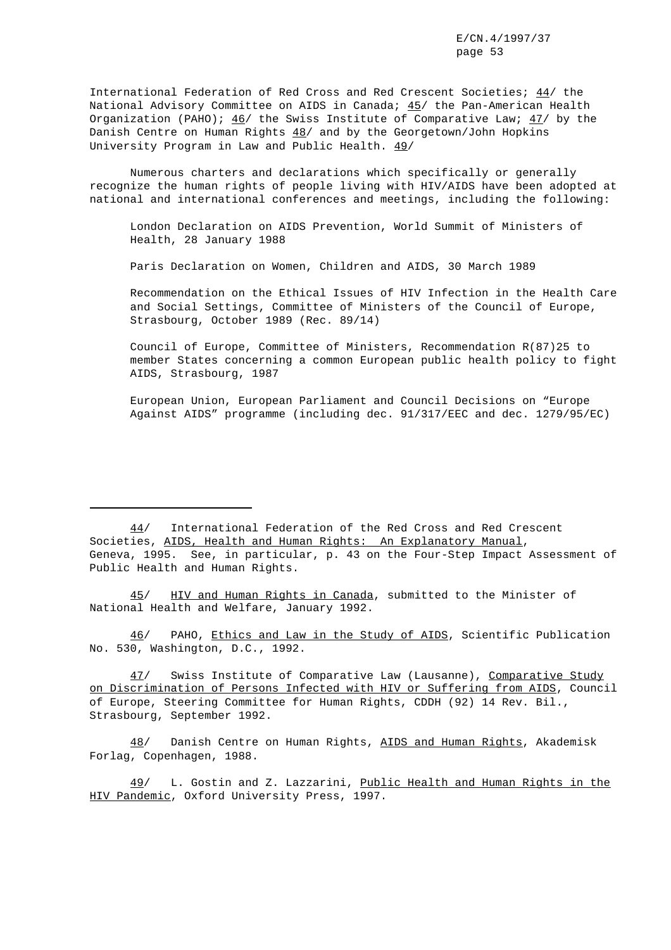International Federation of Red Cross and Red Crescent Societies; 44/ the National Advisory Committee on AIDS in Canada; 45/ the Pan-American Health Organization (PAHO);  $46/$  the Swiss Institute of Comparative Law;  $47/$  by the Danish Centre on Human Rights 48/ and by the Georgetown/John Hopkins University Program in Law and Public Health. 49/

Numerous charters and declarations which specifically or generally recognize the human rights of people living with HIV/AIDS have been adopted at national and international conferences and meetings, including the following:

London Declaration on AIDS Prevention, World Summit of Ministers of Health, 28 January 1988

Paris Declaration on Women, Children and AIDS, 30 March 1989

Recommendation on the Ethical Issues of HIV Infection in the Health Care and Social Settings, Committee of Ministers of the Council of Europe, Strasbourg, October 1989 (Rec. 89/14)

Council of Europe, Committee of Ministers, Recommendation R(87)25 to member States concerning a common European public health policy to fight AIDS, Strasbourg, 1987

European Union, European Parliament and Council Decisions on "Europe Against AIDS" programme (including dec. 91/317/EEC and dec. 1279/95/EC)

44/ International Federation of the Red Cross and Red Crescent Societies, AIDS, Health and Human Rights: An Explanatory Manual, Geneva, 1995. See, in particular, p. 43 on the Four-Step Impact Assessment of Public Health and Human Rights.

45/ HIV and Human Rights in Canada, submitted to the Minister of National Health and Welfare, January 1992.

46/ PAHO, Ethics and Law in the Study of AIDS, Scientific Publication No. 530, Washington, D.C., 1992.

47/ Swiss Institute of Comparative Law (Lausanne), Comparative Study on Discrimination of Persons Infected with HIV or Suffering from AIDS, Council of Europe, Steering Committee for Human Rights, CDDH (92) 14 Rev. Bil., Strasbourg, September 1992.

48/ Danish Centre on Human Rights, AIDS and Human Rights, Akademisk Forlag, Copenhagen, 1988.

49/ L. Gostin and Z. Lazzarini, Public Health and Human Rights in the HIV Pandemic, Oxford University Press, 1997.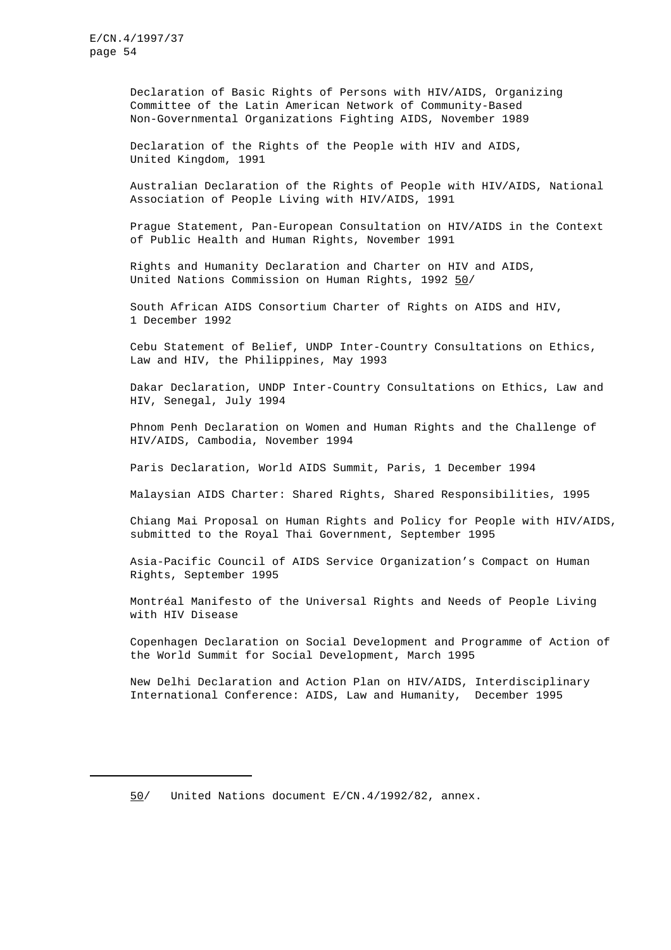Declaration of Basic Rights of Persons with HIV/AIDS, Organizing Committee of the Latin American Network of Community-Based Non-Governmental Organizations Fighting AIDS, November 1989

Declaration of the Rights of the People with HIV and AIDS, United Kingdom, 1991

Australian Declaration of the Rights of People with HIV/AIDS, National Association of People Living with HIV/AIDS, 1991

Prague Statement, Pan-European Consultation on HIV/AIDS in the Context of Public Health and Human Rights, November 1991

Rights and Humanity Declaration and Charter on HIV and AIDS, United Nations Commission on Human Rights, 1992 50/

South African AIDS Consortium Charter of Rights on AIDS and HIV, 1 December 1992

Cebu Statement of Belief, UNDP Inter-Country Consultations on Ethics, Law and HIV, the Philippines, May 1993

Dakar Declaration, UNDP Inter-Country Consultations on Ethics, Law and HIV, Senegal, July 1994

Phnom Penh Declaration on Women and Human Rights and the Challenge of HIV/AIDS, Cambodia, November 1994

Paris Declaration, World AIDS Summit, Paris, 1 December 1994

Malaysian AIDS Charter: Shared Rights, Shared Responsibilities, 1995

Chiang Mai Proposal on Human Rights and Policy for People with HIV/AIDS, submitted to the Royal Thai Government, September 1995

Asia-Pacific Council of AIDS Service Organization's Compact on Human Rights, September 1995

Montréal Manifesto of the Universal Rights and Needs of People Living with HIV Disease

Copenhagen Declaration on Social Development and Programme of Action of the World Summit for Social Development, March 1995

New Delhi Declaration and Action Plan on HIV/AIDS, Interdisciplinary International Conference: AIDS, Law and Humanity, December 1995

50/ United Nations document E/CN.4/1992/82, annex.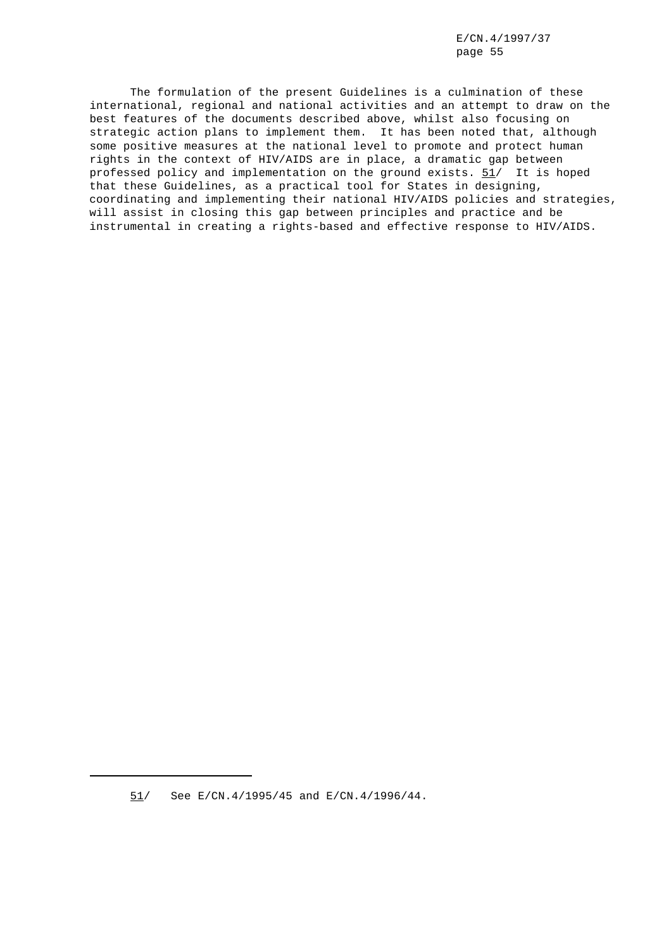The formulation of the present Guidelines is a culmination of these international, regional and national activities and an attempt to draw on the best features of the documents described above, whilst also focusing on strategic action plans to implement them. It has been noted that, although some positive measures at the national level to promote and protect human rights in the context of HIV/AIDS are in place, a dramatic gap between professed policy and implementation on the ground exists. 51/ It is hoped that these Guidelines, as a practical tool for States in designing, coordinating and implementing their national HIV/AIDS policies and strategies, will assist in closing this gap between principles and practice and be instrumental in creating a rights-based and effective response to HIV/AIDS.

<sup>51/</sup> See E/CN.4/1995/45 and E/CN.4/1996/44.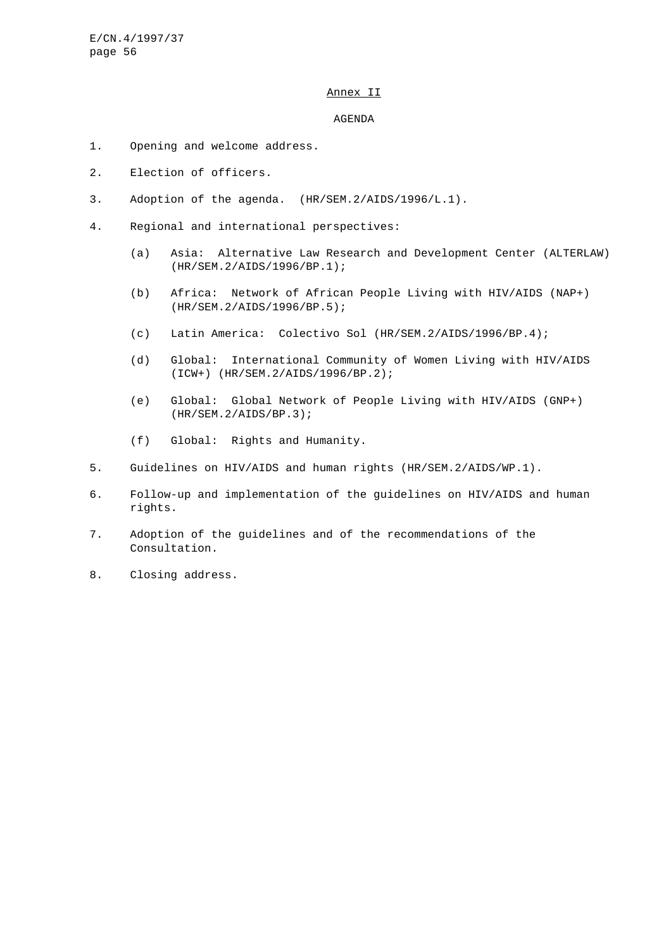## Annex II

#### AGENDA

- 1. Opening and welcome address.
- 2. Election of officers.
- 3. Adoption of the agenda. (HR/SEM.2/AIDS/1996/L.1).
- 4. Regional and international perspectives:
	- (a) Asia: Alternative Law Research and Development Center (ALTERLAW) (HR/SEM.2/AIDS/1996/BP.1);
	- (b) Africa: Network of African People Living with HIV/AIDS (NAP+) (HR/SEM.2/AIDS/1996/BP.5);
	- (c) Latin America: Colectivo Sol (HR/SEM.2/AIDS/1996/BP.4);
	- (d) Global: International Community of Women Living with HIV/AIDS (ICW+) (HR/SEM.2/AIDS/1996/BP.2);
	- (e) Global: Global Network of People Living with HIV/AIDS (GNP+) (HR/SEM.2/AIDS/BP.3);
	- (f) Global: Rights and Humanity.
- 5. Guidelines on HIV/AIDS and human rights (HR/SEM.2/AIDS/WP.1).
- 6. Follow-up and implementation of the guidelines on HIV/AIDS and human rights.
- 7. Adoption of the guidelines and of the recommendations of the Consultation.
- 8. Closing address.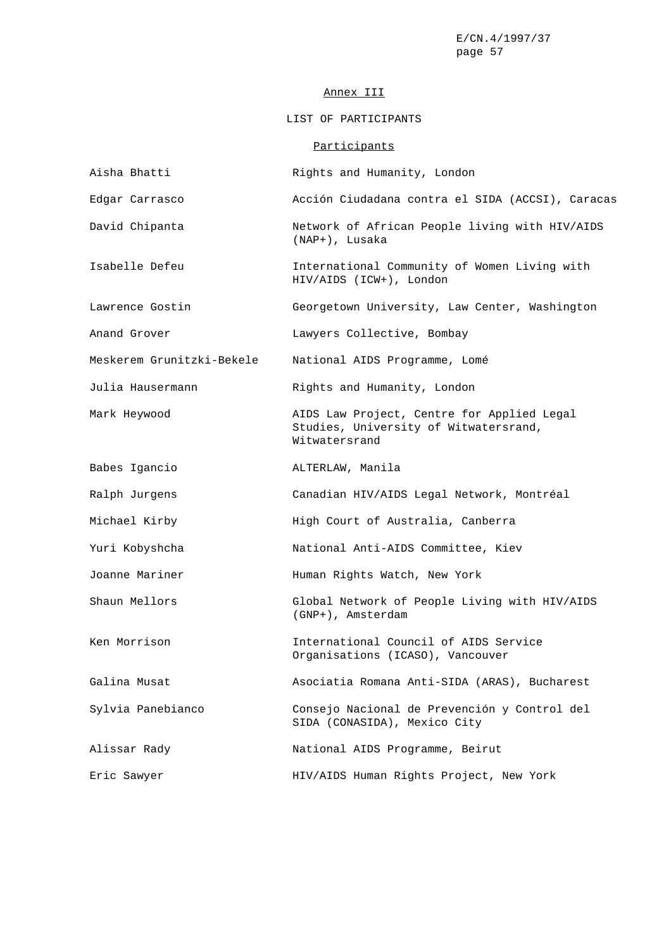## Annex III

# LIST OF PARTICIPANTS

# Participants

| Aisha Bhatti              | Rights and Humanity, London                                                                          |
|---------------------------|------------------------------------------------------------------------------------------------------|
| Edgar Carrasco            | Acción Ciudadana contra el SIDA (ACCSI), Caracas                                                     |
| David Chipanta            | Network of African People living with HIV/AIDS<br>(NAP+), Lusaka                                     |
| Isabelle Defeu            | International Community of Women Living with<br>HIV/AIDS (ICW+), London                              |
| Lawrence Gostin           | Georgetown University, Law Center, Washington                                                        |
| Anand Grover              | Lawyers Collective, Bombay                                                                           |
| Meskerem Grunitzki-Bekele | National AIDS Programme, Lomé                                                                        |
| Julia Hausermann          | Rights and Humanity, London                                                                          |
| Mark Heywood              | AIDS Law Project, Centre for Applied Legal<br>Studies, University of Witwatersrand,<br>Witwatersrand |
| Babes Igancio             | ALTERLAW, Manila                                                                                     |
| Ralph Jurgens             | Canadian HIV/AIDS Legal Network, Montréal                                                            |
| Michael Kirby             | High Court of Australia, Canberra                                                                    |
| Yuri Kobyshcha            | National Anti-AIDS Committee, Kiev                                                                   |
| Joanne Mariner            | Human Rights Watch, New York                                                                         |
| Shaun Mellors             | Global Network of People Living with HIV/AIDS<br>(GNP+), Amsterdam                                   |
| Ken Morrison              | International Council of AIDS Service<br>Organisations (ICASO), Vancouver                            |
| Galina Musat              | Asociatia Romana Anti-SIDA (ARAS), Bucharest                                                         |
| Sylvia Panebianco         | Consejo Nacional de Prevención y Control del<br>SIDA (CONASIDA), Mexico City                         |
| Alissar Rady              | National AIDS Programme, Beirut                                                                      |
| Eric Sawyer               | HIV/AIDS Human Rights Project, New York                                                              |